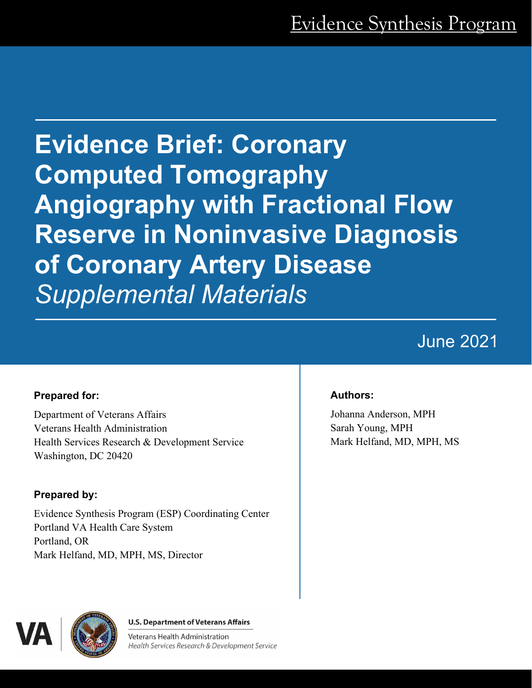**Evidence Brief: Coronary Computed Tomography Angiography with Fractional Flow Reserve in Noninvasive Diagnosis of Coronary Artery Disease**  *Supplemental Materials* 

# June 2021

### **Prepared for:**

Department of Veterans Affairs Veterans Health Administration Health Services Research & Development Service Washington, DC 20420

### **Prepared by:**

Evidence Synthesis Program (ESP) Coordinating Center Portland VA Health Care System Portland, OR Mark Helfand, MD, MPH, MS, Director

### **Authors:**

Johanna Anderson, MPH Sarah Young, MPH Mark Helfand, MD, MPH, MS



**U.S. Department of Veterans Affairs** 

Veterans Health Administration Health Services Research & Development Service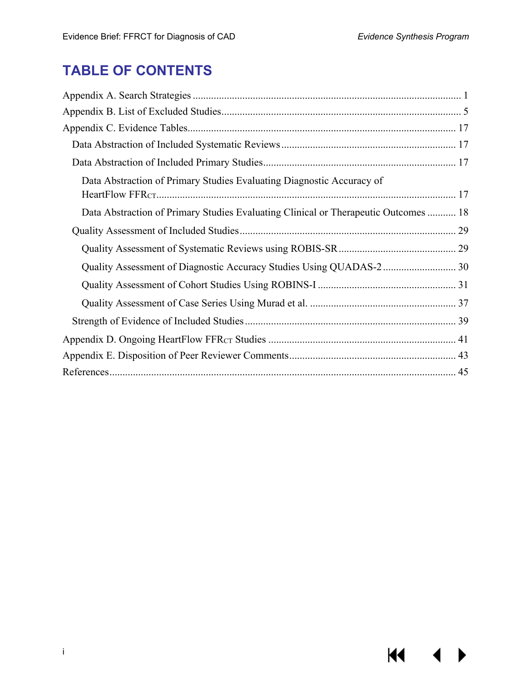$M \cdot 1$ 

## **TABLE OF CONTENTS**

| Data Abstraction of Primary Studies Evaluating Diagnostic Accuracy of               |
|-------------------------------------------------------------------------------------|
| Data Abstraction of Primary Studies Evaluating Clinical or Therapeutic Outcomes  18 |
|                                                                                     |
|                                                                                     |
|                                                                                     |
|                                                                                     |
|                                                                                     |
|                                                                                     |
|                                                                                     |
|                                                                                     |
|                                                                                     |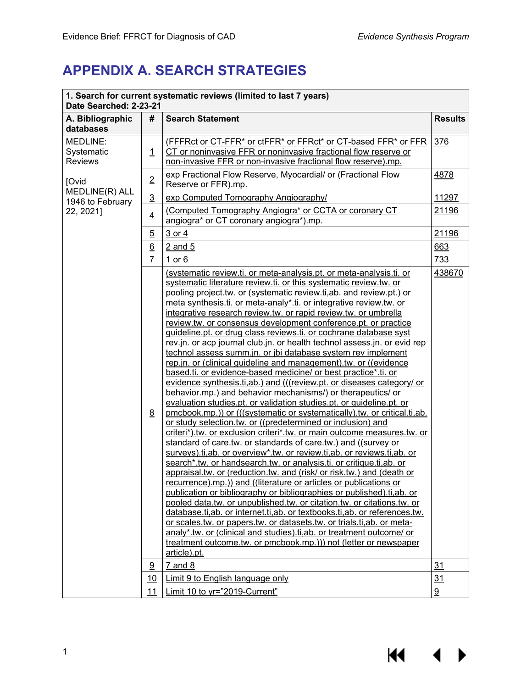## <span id="page-2-0"></span>**APPENDIX A. SEARCH STRATEGIES**

| 1. Search for current systematic reviews (limited to last 7 years)<br>Date Searched: 2-23-21 |                       |                                                                                                                                                                                                                                                                                                                                                                                                                                                                                                                                                                                                                                                                                                                                                                                                                                                                                                                                                                                                                                                                                                                                                                                                                                                                                                                                                                                                                                                                                                                                                                                                                                                                                                                                                                                                                                                                                                                                                                                                                                                                      |                 |
|----------------------------------------------------------------------------------------------|-----------------------|----------------------------------------------------------------------------------------------------------------------------------------------------------------------------------------------------------------------------------------------------------------------------------------------------------------------------------------------------------------------------------------------------------------------------------------------------------------------------------------------------------------------------------------------------------------------------------------------------------------------------------------------------------------------------------------------------------------------------------------------------------------------------------------------------------------------------------------------------------------------------------------------------------------------------------------------------------------------------------------------------------------------------------------------------------------------------------------------------------------------------------------------------------------------------------------------------------------------------------------------------------------------------------------------------------------------------------------------------------------------------------------------------------------------------------------------------------------------------------------------------------------------------------------------------------------------------------------------------------------------------------------------------------------------------------------------------------------------------------------------------------------------------------------------------------------------------------------------------------------------------------------------------------------------------------------------------------------------------------------------------------------------------------------------------------------------|-----------------|
| A. Bibliographic<br>databases                                                                | #                     | <b>Search Statement</b>                                                                                                                                                                                                                                                                                                                                                                                                                                                                                                                                                                                                                                                                                                                                                                                                                                                                                                                                                                                                                                                                                                                                                                                                                                                                                                                                                                                                                                                                                                                                                                                                                                                                                                                                                                                                                                                                                                                                                                                                                                              | <b>Results</b>  |
| MEDLINE:<br>Systematic<br><b>Reviews</b>                                                     | $\overline{1}$        | (FFFRct or CT-FFR* or ctFFR* or FFRct* or CT-based FFR* or FFR<br>CT or noninvasive FFR or noninvasive fractional flow reserve or<br>non-invasive FFR or non-invasive fractional flow reserve).mp.                                                                                                                                                                                                                                                                                                                                                                                                                                                                                                                                                                                                                                                                                                                                                                                                                                                                                                                                                                                                                                                                                                                                                                                                                                                                                                                                                                                                                                                                                                                                                                                                                                                                                                                                                                                                                                                                   | 376             |
| [Ovid                                                                                        | $\overline{2}$        | exp Fractional Flow Reserve, Myocardial/ or (Fractional Flow<br>Reserve or FFR).mp.                                                                                                                                                                                                                                                                                                                                                                                                                                                                                                                                                                                                                                                                                                                                                                                                                                                                                                                                                                                                                                                                                                                                                                                                                                                                                                                                                                                                                                                                                                                                                                                                                                                                                                                                                                                                                                                                                                                                                                                  | 4878            |
| MEDLINE(R) ALL<br>1946 to February                                                           | $\overline{3}$        | exp Computed Tomography Angiography/                                                                                                                                                                                                                                                                                                                                                                                                                                                                                                                                                                                                                                                                                                                                                                                                                                                                                                                                                                                                                                                                                                                                                                                                                                                                                                                                                                                                                                                                                                                                                                                                                                                                                                                                                                                                                                                                                                                                                                                                                                 | 11297           |
| 22, 2021]                                                                                    | $\overline{4}$        | (Computed Tomography Angiogra* or CCTA or coronary CT<br>angiogra* or CT coronary angiogra*).mp.                                                                                                                                                                                                                                                                                                                                                                                                                                                                                                                                                                                                                                                                                                                                                                                                                                                                                                                                                                                                                                                                                                                                                                                                                                                                                                                                                                                                                                                                                                                                                                                                                                                                                                                                                                                                                                                                                                                                                                     | 21196           |
|                                                                                              | $\overline{5}$        | 3 or 4                                                                                                                                                                                                                                                                                                                                                                                                                                                                                                                                                                                                                                                                                                                                                                                                                                                                                                                                                                                                                                                                                                                                                                                                                                                                                                                                                                                                                                                                                                                                                                                                                                                                                                                                                                                                                                                                                                                                                                                                                                                               | 21196           |
|                                                                                              | $\underline{6}$       | $2$ and $5$                                                                                                                                                                                                                                                                                                                                                                                                                                                                                                                                                                                                                                                                                                                                                                                                                                                                                                                                                                                                                                                                                                                                                                                                                                                                                                                                                                                                                                                                                                                                                                                                                                                                                                                                                                                                                                                                                                                                                                                                                                                          | 663             |
|                                                                                              | $\overline{L}$        | $1$ or $6$                                                                                                                                                                                                                                                                                                                                                                                                                                                                                                                                                                                                                                                                                                                                                                                                                                                                                                                                                                                                                                                                                                                                                                                                                                                                                                                                                                                                                                                                                                                                                                                                                                                                                                                                                                                                                                                                                                                                                                                                                                                           | 733             |
|                                                                                              | 8                     | (systematic review.ti. or meta-analysis.pt. or meta-analysis.ti. or<br>systematic literature review.ti. or this systematic review.tw. or<br>pooling project.tw. or (systematic review.ti, ab. and review.pt.) or<br>meta synthesis.ti. or meta-analy*.ti. or integrative review.tw. or<br>integrative research review.tw. or rapid review.tw. or umbrella<br>review.tw. or consensus development conference.pt. or practice<br>guideline.pt. or drug class reviews.ti. or cochrane database syst<br>rev.jn. or acp journal club.jn. or health technol assess.jn. or evid rep<br>technol assess summ.jn. or jbi database system rev implement<br>rep.jn. or (clinical guideline and management).tw. or ((evidence<br>based.ti. or evidence-based medicine/ or best practice*.ti. or<br>evidence synthesis.ti, ab.) and (((review.pt. or diseases category/ or<br>behavior.mp.) and behavior mechanisms/) or therapeutics/ or<br>evaluation studies.pt. or validation studies.pt. or guideline.pt. or<br>pmcbook.mp.)) or (((systematic or systematically).tw. or critical.ti,ab.<br>or study selection.tw. or ((predetermined or inclusion) and<br>criteri*).tw. or exclusion criteri*.tw. or main outcome measures.tw. or<br>standard of care.tw. or standards of care.tw.) and ((survey or<br>surveys).ti,ab. or overview*.tw. or review.ti,ab. or reviews.ti,ab. or<br>search*.tw. or handsearch.tw. or analysis.ti. or critique.ti,ab. or<br>appraisal.tw. or (reduction.tw. and (risk/ or risk.tw.) and (death or<br>recurrence).mp.)) and ((literature or articles or publications or<br>publication or bibliography or bibliographies or published).ti, ab. or<br>pooled data.tw. or unpublished.tw. or citation.tw. or citations.tw. or<br>database.ti, ab. or internet.ti, ab. or textbooks.ti, ab. or references.tw.<br>or scales.tw. or papers.tw. or datasets.tw. or trials.ti, ab. or meta-<br>analy*.tw. or (clinical and studies).ti, ab. or treatment outcome/ or<br>treatment outcome.tw. or pmcbook.mp.))) not (letter or newspaper<br>article).pt. | 438670          |
|                                                                                              | $\overline{\partial}$ | $7$ and $8$                                                                                                                                                                                                                                                                                                                                                                                                                                                                                                                                                                                                                                                                                                                                                                                                                                                                                                                                                                                                                                                                                                                                                                                                                                                                                                                                                                                                                                                                                                                                                                                                                                                                                                                                                                                                                                                                                                                                                                                                                                                          | 31              |
|                                                                                              | 10                    | Limit 9 to English language only                                                                                                                                                                                                                                                                                                                                                                                                                                                                                                                                                                                                                                                                                                                                                                                                                                                                                                                                                                                                                                                                                                                                                                                                                                                                                                                                                                                                                                                                                                                                                                                                                                                                                                                                                                                                                                                                                                                                                                                                                                     | 31              |
|                                                                                              | 11                    | Limit 10 to yr="2019-Current"                                                                                                                                                                                                                                                                                                                                                                                                                                                                                                                                                                                                                                                                                                                                                                                                                                                                                                                                                                                                                                                                                                                                                                                                                                                                                                                                                                                                                                                                                                                                                                                                                                                                                                                                                                                                                                                                                                                                                                                                                                        | $\underline{9}$ |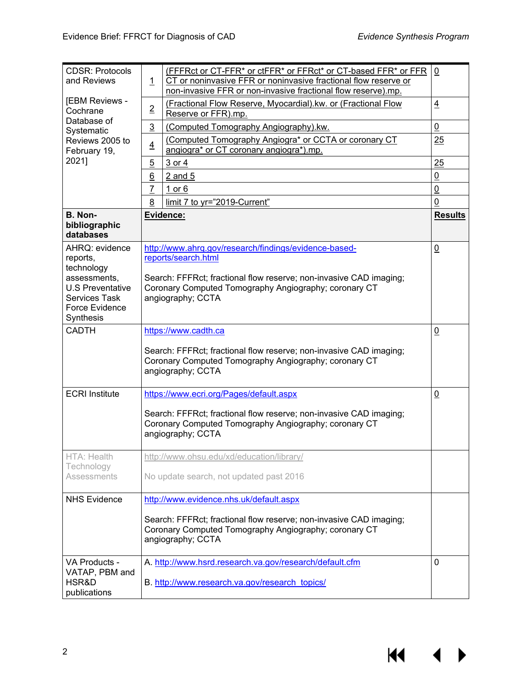| <b>CDSR: Protocols</b><br>and Reviews                                                                                                      | $\mathbf{1}$                                                           | (FFFRct or CT-FFR* or ctFFR* or FFRct* or CT-based FFR* or FFR<br>CT or noninvasive FFR or noninvasive fractional flow reserve or<br>non-invasive FFR or non-invasive fractional flow reserve).mp.                               | $\overline{0}$  |
|--------------------------------------------------------------------------------------------------------------------------------------------|------------------------------------------------------------------------|----------------------------------------------------------------------------------------------------------------------------------------------------------------------------------------------------------------------------------|-----------------|
| [EBM Reviews -<br>Cochrane                                                                                                                 | $\overline{2}$<br>Reserve or FFR).mp.<br>Database of<br>$\overline{3}$ | (Fractional Flow Reserve, Myocardial).kw. or (Fractional Flow                                                                                                                                                                    | $\overline{4}$  |
| Systematic                                                                                                                                 |                                                                        | (Computed Tomography Angiography).kw.                                                                                                                                                                                            | $\overline{0}$  |
| Reviews 2005 to<br>February 19,                                                                                                            | $\overline{4}$                                                         | (Computed Tomography Angiogra* or CCTA or coronary CT<br>angiogra* or CT coronary angiogra*).mp.                                                                                                                                 | 25              |
| 2021]                                                                                                                                      | $\overline{5}$                                                         | 3 or 4                                                                                                                                                                                                                           | 25              |
|                                                                                                                                            | 6                                                                      | $2$ and $5$                                                                                                                                                                                                                      | $\overline{0}$  |
|                                                                                                                                            | $\overline{1}$                                                         | 1 or $6$                                                                                                                                                                                                                         | $\underline{0}$ |
|                                                                                                                                            | 8                                                                      | limit 7 to yr="2019-Current"                                                                                                                                                                                                     | 0               |
| B. Non-<br>bibliographic<br>databases                                                                                                      |                                                                        | Evidence:                                                                                                                                                                                                                        | <b>Results</b>  |
| AHRQ: evidence<br>reports,<br>technology<br>assessments,<br><b>U.S Preventative</b><br><b>Services Task</b><br>Force Evidence<br>Synthesis |                                                                        | http://www.ahrg.gov/research/findings/evidence-based-<br>reports/search.html<br>Search: FFFRct; fractional flow reserve; non-invasive CAD imaging;<br>Coronary Computed Tomography Angiography; coronary CT<br>angiography; CCTA | $\underline{0}$ |
| <b>CADTH</b>                                                                                                                               |                                                                        | https://www.cadth.ca<br>Search: FFFRct; fractional flow reserve; non-invasive CAD imaging;<br>Coronary Computed Tomography Angiography; coronary CT<br>angiography; CCTA                                                         | $\underline{0}$ |
| <b>ECRI</b> Institute                                                                                                                      |                                                                        | https://www.ecri.org/Pages/default.aspx<br>Search: FFFRct; fractional flow reserve; non-invasive CAD imaging;<br>Coronary Computed Tomography Angiography; coronary CT<br>angiography; CCTA                                      | $\underline{0}$ |
| HTA: Health<br>Technology<br>Assessments                                                                                                   |                                                                        | http://www.ohsu.edu/xd/education/library/<br>No update search, not updated past 2016                                                                                                                                             |                 |
| <b>NHS Evidence</b>                                                                                                                        |                                                                        | http://www.evidence.nhs.uk/default.aspx<br>Search: FFFRct; fractional flow reserve; non-invasive CAD imaging;<br>Coronary Computed Tomography Angiography; coronary CT                                                           |                 |
|                                                                                                                                            |                                                                        | angiography; CCTA                                                                                                                                                                                                                |                 |
| VA Products -<br>VATAP, PBM and<br>HSR&D<br>publications                                                                                   |                                                                        | A. http://www.hsrd.research.va.gov/research/default.cfm<br>B. http://www.research.va.gov/research_topics/                                                                                                                        | 0               |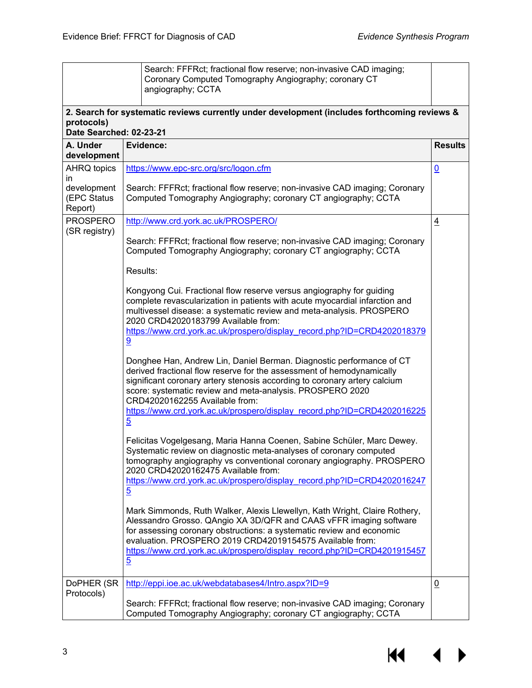|                                       | Search: FFFRct; fractional flow reserve; non-invasive CAD imaging;<br>Coronary Computed Tomography Angiography; coronary CT<br>angiography; CCTA                                                                                                                                                                                                                                   |                 |
|---------------------------------------|------------------------------------------------------------------------------------------------------------------------------------------------------------------------------------------------------------------------------------------------------------------------------------------------------------------------------------------------------------------------------------|-----------------|
| protocols)<br>Date Searched: 02-23-21 | 2. Search for systematic reviews currently under development (includes forthcoming reviews &                                                                                                                                                                                                                                                                                       |                 |
| A. Under<br>development               | Evidence:                                                                                                                                                                                                                                                                                                                                                                          | <b>Results</b>  |
| <b>AHRQ topics</b><br>in              | https://www.epc-src.org/src/logon.cfm                                                                                                                                                                                                                                                                                                                                              | $\underline{0}$ |
| development<br>(EPC Status<br>Report) | Search: FFFRct; fractional flow reserve; non-invasive CAD imaging; Coronary<br>Computed Tomography Angiography; coronary CT angiography; CCTA                                                                                                                                                                                                                                      |                 |
| <b>PROSPERO</b><br>(SR registry)      | http://www.crd.york.ac.uk/PROSPERO/                                                                                                                                                                                                                                                                                                                                                | $\overline{4}$  |
|                                       | Search: FFFRct; fractional flow reserve; non-invasive CAD imaging; Coronary<br>Computed Tomography Angiography; coronary CT angiography; CCTA                                                                                                                                                                                                                                      |                 |
|                                       | Results:                                                                                                                                                                                                                                                                                                                                                                           |                 |
|                                       | Kongyong Cui. Fractional flow reserve versus angiography for guiding<br>complete revascularization in patients with acute myocardial infarction and<br>multivessel disease: a systematic review and meta-analysis. PROSPERO<br>2020 CRD42020183799 Available from:<br>https://www.crd.york.ac.uk/prospero/display record.php?ID=CRD4202018379<br>9                                 |                 |
|                                       | Donghee Han, Andrew Lin, Daniel Berman. Diagnostic performance of CT<br>derived fractional flow reserve for the assessment of hemodynamically<br>significant coronary artery stenosis according to coronary artery calcium<br>score: systematic review and meta-analysis. PROSPERO 2020<br>CRD42020162255 Available from:                                                          |                 |
|                                       | https://www.crd.york.ac.uk/prospero/display record.php?ID=CRD4202016225<br>$\overline{5}$                                                                                                                                                                                                                                                                                          |                 |
|                                       | Felicitas Vogelgesang, Maria Hanna Coenen, Sabine Schüler, Marc Dewey.<br>Systematic review on diagnostic meta-analyses of coronary computed<br>tomography angiography vs conventional coronary angiography. PROSPERO<br>2020 CRD42020162475 Available from:<br>https://www.crd.york.ac.uk/prospero/display_record.php?ID=CRD4202016247<br>$\overline{5}$                          |                 |
|                                       | Mark Simmonds, Ruth Walker, Alexis Llewellyn, Kath Wright, Claire Rothery,<br>Alessandro Grosso. QAngio XA 3D/QFR and CAAS vFFR imaging software<br>for assessing coronary obstructions: a systematic review and economic<br>evaluation. PROSPERO 2019 CRD42019154575 Available from:<br>https://www.crd.york.ac.uk/prospero/display record.php?ID=CRD4201915457<br>$\overline{5}$ |                 |
| DoPHER (SR<br>Protocols)              | http://eppi.ioe.ac.uk/webdatabases4/Intro.aspx?ID=9                                                                                                                                                                                                                                                                                                                                | $\overline{0}$  |
|                                       | Search: FFFRct; fractional flow reserve; non-invasive CAD imaging; Coronary<br>Computed Tomography Angiography; coronary CT angiography; CCTA                                                                                                                                                                                                                                      |                 |

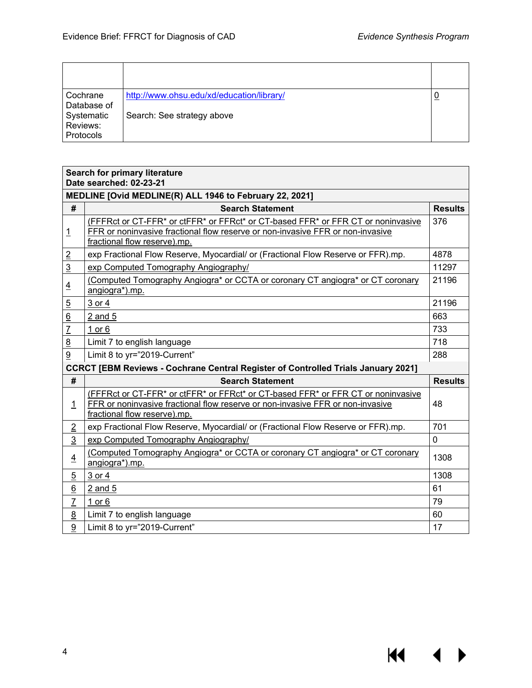$M \cdot 1$ 

| Cochrane<br>Database of                    | http://www.ohsu.edu/xd/education/library/ | <u> ଧ</u> |
|--------------------------------------------|-------------------------------------------|-----------|
| Systematic<br>Reviews:<br><b>Protocols</b> | Search: See strategy above                |           |

#### **Search for primary literature Date searched: 02-23-21**

|                 | 2016 SCAICHCU. 04-49-41                                                                                                                                                                            |                |  |  |
|-----------------|----------------------------------------------------------------------------------------------------------------------------------------------------------------------------------------------------|----------------|--|--|
|                 | MEDLINE [Ovid MEDLINE(R) ALL 1946 to February 22, 2021]                                                                                                                                            |                |  |  |
| #               | <b>Search Statement</b>                                                                                                                                                                            | <b>Results</b> |  |  |
| <u>1</u>        | (FFFRct or CT-FFR* or ctFFR* or FFRct* or CT-based FFR* or FFR CT or noninvasive<br>FFR or noninvasive fractional flow reserve or non-invasive FFR or non-invasive<br>fractional flow reserve).mp. | 376            |  |  |
| $\overline{2}$  | exp Fractional Flow Reserve, Myocardial/ or (Fractional Flow Reserve or FFR).mp.                                                                                                                   | 4878           |  |  |
| $\overline{3}$  | exp Computed Tomography Angiography/                                                                                                                                                               | 11297          |  |  |
| $\overline{4}$  | (Computed Tomography Angiogra* or CCTA or coronary CT angiogra* or CT coronary<br>angiogra*).mp.                                                                                                   | 21196          |  |  |
| $\overline{5}$  | $3$ or $4$                                                                                                                                                                                         | 21196          |  |  |
| $\overline{6}$  | $2$ and $5$                                                                                                                                                                                        | 663            |  |  |
| $\overline{7}$  | 1 or $6$                                                                                                                                                                                           | 733            |  |  |
| $\overline{8}$  | Limit 7 to english language                                                                                                                                                                        | 718            |  |  |
| $\overline{9}$  | Limit 8 to yr="2019-Current"                                                                                                                                                                       | 288            |  |  |
|                 | <b>CCRCT [EBM Reviews - Cochrane Central Register of Controlled Trials January 2021]</b>                                                                                                           |                |  |  |
| #               | <b>Search Statement</b>                                                                                                                                                                            | <b>Results</b> |  |  |
| $\overline{1}$  | (FFFRct or CT-FFR* or ctFFR* or FFRct* or CT-based FFR* or FFR CT or noninvasive<br>FFR or noninvasive fractional flow reserve or non-invasive FFR or non-invasive<br>fractional flow reserve).mp. | 48             |  |  |
|                 |                                                                                                                                                                                                    |                |  |  |
| $\overline{2}$  | exp Fractional Flow Reserve, Myocardial/ or (Fractional Flow Reserve or FFR).mp.                                                                                                                   | 701            |  |  |
| $\overline{3}$  | exp Computed Tomography Angiography/                                                                                                                                                               | 0              |  |  |
| $\overline{4}$  | (Computed Tomography Angiogra* or CCTA or coronary CT angiogra* or CT coronary<br>angiogra*).mp.                                                                                                   | 1308           |  |  |
| $\overline{5}$  | 3 or 4                                                                                                                                                                                             | 1308           |  |  |
| $\underline{6}$ | $2$ and $5$                                                                                                                                                                                        | 61             |  |  |
| $\overline{1}$  | 1 or $6$                                                                                                                                                                                           | 79             |  |  |
| 8               | Limit 7 to english language                                                                                                                                                                        | 60             |  |  |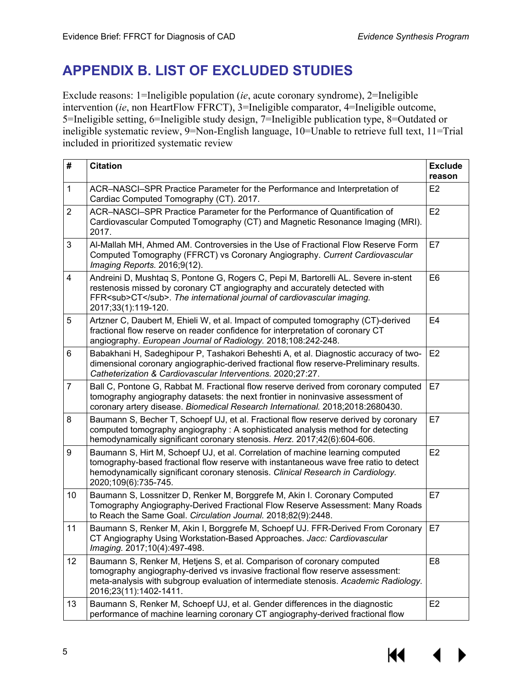## <span id="page-6-0"></span>**APPENDIX B. LIST OF EXCLUDED STUDIES**

Exclude reasons: 1=Ineligible population (*ie*, acute coronary syndrome), 2=Ineligible intervention (*ie*, non HeartFlow FFRCT), 3=Ineligible comparator, 4=Ineligible outcome, 5=Ineligible setting, 6=Ineligible study design, 7=Ineligible publication type, 8=Outdated or ineligible systematic review, 9=Non-English language, 10=Unable to retrieve full text, 11=Trial included in prioritized systematic review

| $\#$           | <b>Citation</b>                                                                                                                                                                                                                                                                    | <b>Exclude</b><br>reason |
|----------------|------------------------------------------------------------------------------------------------------------------------------------------------------------------------------------------------------------------------------------------------------------------------------------|--------------------------|
| $\mathbf{1}$   | ACR-NASCI-SPR Practice Parameter for the Performance and Interpretation of<br>Cardiac Computed Tomography (CT). 2017.                                                                                                                                                              | E <sub>2</sub>           |
| $\overline{2}$ | ACR-NASCI-SPR Practice Parameter for the Performance of Quantification of<br>Cardiovascular Computed Tomography (CT) and Magnetic Resonance Imaging (MRI).<br>2017.                                                                                                                | E <sub>2</sub>           |
| 3              | Al-Mallah MH, Ahmed AM. Controversies in the Use of Fractional Flow Reserve Form<br>Computed Tomography (FFRCT) vs Coronary Angiography. Current Cardiovascular<br>Imaging Reports. 2016;9(12).                                                                                    | E7                       |
| $\overline{4}$ | Andreini D, Mushtaq S, Pontone G, Rogers C, Pepi M, Bartorelli AL. Severe in-stent<br>restenosis missed by coronary CT angiography and accurately detected with<br>FFR <sub>CT</sub> . The international journal of cardiovascular imaging.<br>2017;33(1):119-120.                 | E <sub>6</sub>           |
| 5              | Artzner C, Daubert M, Ehieli W, et al. Impact of computed tomography (CT)-derived<br>fractional flow reserve on reader confidence for interpretation of coronary CT<br>angiography. European Journal of Radiology. 2018;108:242-248.                                               | E <sub>4</sub>           |
| 6              | Babakhani H, Sadeghipour P, Tashakori Beheshti A, et al. Diagnostic accuracy of two-<br>dimensional coronary angiographic-derived fractional flow reserve-Preliminary results.<br>Catheterization & Cardiovascular Interventions. 2020;27:27.                                      | E <sub>2</sub>           |
| $\overline{7}$ | Ball C, Pontone G, Rabbat M. Fractional flow reserve derived from coronary computed<br>tomography angiography datasets: the next frontier in noninvasive assessment of<br>coronary artery disease. Biomedical Research International. 2018;2018:2680430.                           | E7                       |
| 8              | Baumann S, Becher T, Schoepf UJ, et al. Fractional flow reserve derived by coronary<br>computed tomography angiography : A sophisticated analysis method for detecting<br>hemodynamically significant coronary stenosis. Herz. 2017;42(6):604-606.                                 | E7                       |
| 9              | Baumann S, Hirt M, Schoepf UJ, et al. Correlation of machine learning computed<br>tomography-based fractional flow reserve with instantaneous wave free ratio to detect<br>hemodynamically significant coronary stenosis. Clinical Research in Cardiology.<br>2020;109(6):735-745. | E2                       |
| 10             | Baumann S, Lossnitzer D, Renker M, Borggrefe M, Akin I. Coronary Computed<br>Tomography Angiography-Derived Fractional Flow Reserve Assessment: Many Roads<br>to Reach the Same Goal. Circulation Journal. 2018;82(9):2448.                                                        | E7                       |
| 11             | Baumann S, Renker M, Akin I, Borggrefe M, Schoepf UJ. FFR-Derived From Coronary<br>CT Angiography Using Workstation-Based Approaches. Jacc: Cardiovascular<br>Imaging. 2017;10(4):497-498.                                                                                         | E7                       |
| 12             | Baumann S, Renker M, Hetjens S, et al. Comparison of coronary computed<br>tomography angiography-derived vs invasive fractional flow reserve assessment:<br>meta-analysis with subgroup evaluation of intermediate stenosis. Academic Radiology.<br>2016;23(11):1402-1411.         | E <sub>8</sub>           |
| 13             | Baumann S, Renker M, Schoepf UJ, et al. Gender differences in the diagnostic<br>performance of machine learning coronary CT angiography-derived fractional flow                                                                                                                    | E <sub>2</sub>           |

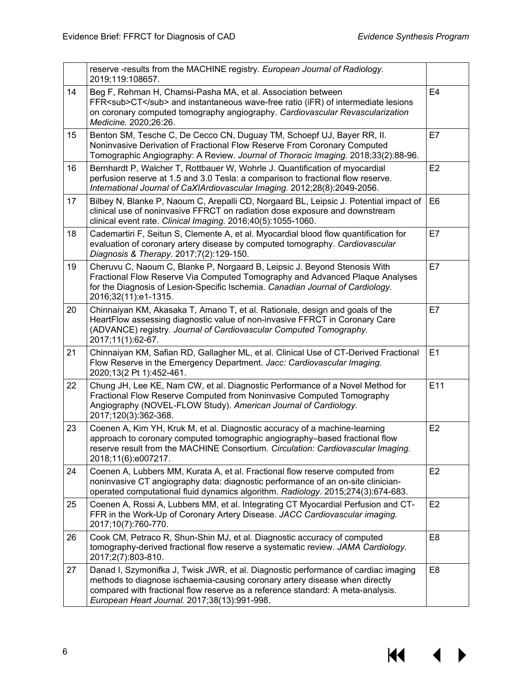|    | reserve -results from the MACHINE registry. European Journal of Radiology.<br>2019;119:108657.                                                                                                                                                                                                       |                |
|----|------------------------------------------------------------------------------------------------------------------------------------------------------------------------------------------------------------------------------------------------------------------------------------------------------|----------------|
| 14 | Beg F, Rehman H, Chamsi-Pasha MA, et al. Association between<br>FFR <sub>CT</sub> and instantaneous wave-free ratio (iFR) of intermediate lesions<br>on coronary computed tomography angiography. Cardiovascular Revascularization<br>Medicine. 2020;26:26.                                          | E <sub>4</sub> |
| 15 | Benton SM, Tesche C, De Cecco CN, Duguay TM, Schoepf UJ, Bayer RR, II.<br>Noninvasive Derivation of Fractional Flow Reserve From Coronary Computed<br>Tomographic Angiography: A Review. Journal of Thoracic Imaging. 2018;33(2):88-96.                                                              | E7             |
| 16 | Bernhardt P, Walcher T, Rottbauer W, Wohrle J. Quantification of myocardial<br>perfusion reserve at 1.5 and 3.0 Tesla: a comparison to fractional flow reserve.<br>International Journal of CaXIArdiovascular Imaging. 2012;28(8):2049-2056.                                                         | E2             |
| 17 | Bilbey N, Blanke P, Naoum C, Arepalli CD, Norgaard BL, Leipsic J. Potential impact of<br>clinical use of noninvasive FFRCT on radiation dose exposure and downstream<br>clinical event rate. Clinical Imaging. 2016;40(5):1055-1060.                                                                 | E <sub>6</sub> |
| 18 | Cademartiri F, Seitun S, Clemente A, et al. Myocardial blood flow quantification for<br>evaluation of coronary artery disease by computed tomography. Cardiovascular<br>Diagnosis & Therapy. 2017;7(2):129-150.                                                                                      | E7             |
| 19 | Cheruvu C, Naoum C, Blanke P, Norgaard B, Leipsic J. Beyond Stenosis With<br>Fractional Flow Reserve Via Computed Tomography and Advanced Plaque Analyses<br>for the Diagnosis of Lesion-Specific Ischemia. Canadian Journal of Cardiology.<br>2016;32(11):e1-1315.                                  | E7             |
| 20 | Chinnaiyan KM, Akasaka T, Amano T, et al. Rationale, design and goals of the<br>HeartFlow assessing diagnostic value of non-invasive FFRCT in Coronary Care<br>(ADVANCE) registry. Journal of Cardiovascular Computed Tomography.<br>2017;11(1):62-67.                                               | E7             |
| 21 | Chinnaiyan KM, Safian RD, Gallagher ML, et al. Clinical Use of CT-Derived Fractional<br>Flow Reserve in the Emergency Department. Jacc: Cardiovascular Imaging.<br>2020;13(2 Pt 1):452-461.                                                                                                          | E1             |
| 22 | Chung JH, Lee KE, Nam CW, et al. Diagnostic Performance of a Novel Method for<br>Fractional Flow Reserve Computed from Noninvasive Computed Tomography<br>Angiography (NOVEL-FLOW Study). American Journal of Cardiology.<br>2017;120(3):362-368.                                                    | E11            |
| 23 | Coenen A, Kim YH, Kruk M, et al. Diagnostic accuracy of a machine-learning<br>approach to coronary computed tomographic angiography-based fractional flow<br>reserve result from the MACHINE Consortium. Circulation: Cardiovascular Imaging.<br>2018;11(6):e007217.                                 | E <sub>2</sub> |
| 24 | Coenen A, Lubbers MM, Kurata A, et al. Fractional flow reserve computed from<br>noninvasive CT angiography data: diagnostic performance of an on-site clinician-<br>operated computational fluid dynamics algorithm. Radiology. 2015;274(3):674-683.                                                 | E <sub>2</sub> |
| 25 | Coenen A, Rossi A, Lubbers MM, et al. Integrating CT Myocardial Perfusion and CT-<br>FFR in the Work-Up of Coronary Artery Disease. JACC Cardiovascular imaging.<br>2017;10(7):760-770.                                                                                                              | E <sub>2</sub> |
| 26 | Cook CM, Petraco R, Shun-Shin MJ, et al. Diagnostic accuracy of computed<br>tomography-derived fractional flow reserve a systematic review. JAMA Cardiology.<br>2017;2(7):803-810.                                                                                                                   | E <sub>8</sub> |
| 27 | Danad I, Szymonifka J, Twisk JWR, et al. Diagnostic performance of cardiac imaging<br>methods to diagnose ischaemia-causing coronary artery disease when directly<br>compared with fractional flow reserve as a reference standard: A meta-analysis.<br>European Heart Journal. 2017;38(13):991-998. | E <sub>8</sub> |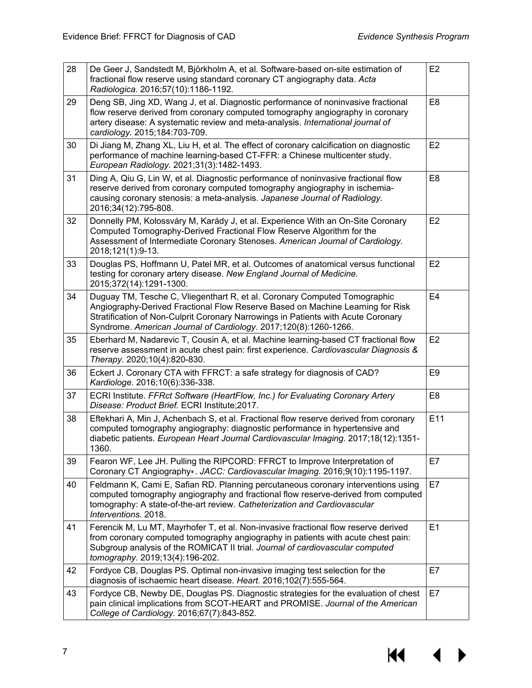| 28 | De Geer J, Sandstedt M, Björkholm A, et al. Software-based on-site estimation of<br>fractional flow reserve using standard coronary CT angiography data. Acta<br>Radiologica. 2016;57(10):1186-1192.                                                                                                                 | E2             |
|----|----------------------------------------------------------------------------------------------------------------------------------------------------------------------------------------------------------------------------------------------------------------------------------------------------------------------|----------------|
| 29 | Deng SB, Jing XD, Wang J, et al. Diagnostic performance of noninvasive fractional<br>flow reserve derived from coronary computed tomography angiography in coronary<br>artery disease: A systematic review and meta-analysis. International journal of<br>cardiology. 2015;184:703-709.                              | E <sub>8</sub> |
| 30 | Di Jiang M, Zhang XL, Liu H, et al. The effect of coronary calcification on diagnostic<br>performance of machine learning-based CT-FFR: a Chinese multicenter study.<br>European Radiology. 2021;31(3):1482-1493.                                                                                                    | E2             |
| 31 | Ding A, Qiu G, Lin W, et al. Diagnostic performance of noninvasive fractional flow<br>reserve derived from coronary computed tomography angiography in ischemia-<br>causing coronary stenosis: a meta-analysis. Japanese Journal of Radiology.<br>2016;34(12):795-808.                                               | E <sub>8</sub> |
| 32 | Donnelly PM, Kolossváry M, Karády J, et al. Experience With an On-Site Coronary<br>Computed Tomography-Derived Fractional Flow Reserve Algorithm for the<br>Assessment of Intermediate Coronary Stenoses. American Journal of Cardiology.<br>2018;121(1):9-13.                                                       | E <sub>2</sub> |
| 33 | Douglas PS, Hoffmann U, Patel MR, et al. Outcomes of anatomical versus functional<br>testing for coronary artery disease. New England Journal of Medicine.<br>2015;372(14):1291-1300.                                                                                                                                | E <sub>2</sub> |
| 34 | Duguay TM, Tesche C, Vliegenthart R, et al. Coronary Computed Tomographic<br>Angiography-Derived Fractional Flow Reserve Based on Machine Learning for Risk<br>Stratification of Non-Culprit Coronary Narrowings in Patients with Acute Coronary<br>Syndrome. American Journal of Cardiology. 2017;120(8):1260-1266. | E <sub>4</sub> |
| 35 | Eberhard M, Nadarevic T, Cousin A, et al. Machine learning-based CT fractional flow<br>reserve assessment in acute chest pain: first experience. Cardiovascular Diagnosis &<br>Therapy. 2020;10(4):820-830.                                                                                                          | E2             |
| 36 | Eckert J. Coronary CTA with FFRCT: a safe strategy for diagnosis of CAD?<br>Kardiologe. 2016;10(6):336-338.                                                                                                                                                                                                          | E <sub>9</sub> |
| 37 | ECRI Institute. FFRct Software (HeartFlow, Inc.) for Evaluating Coronary Artery<br>Disease: Product Brief. ECRI Institute;2017.                                                                                                                                                                                      | E <sub>8</sub> |
| 38 | Eftekhari A, Min J, Achenbach S, et al. Fractional flow reserve derived from coronary<br>computed tomography angiography: diagnostic performance in hypertensive and<br>diabetic patients. European Heart Journal Cardiovascular Imaging. 2017;18(12):1351-<br>1360.                                                 | E11            |
| 39 | Fearon WF, Lee JH. Pulling the RIPCORD: FFRCT to Improve Interpretation of<br>Coronary CT Angiography». JACC: Cardiovascular Imaging. 2016;9(10):1195-1197.                                                                                                                                                          | E7             |
| 40 | Feldmann K, Cami E, Safian RD. Planning percutaneous coronary interventions using<br>computed tomography angiography and fractional flow reserve-derived from computed<br>tomography: A state-of-the-art review. Catheterization and Cardiovascular<br>Interventions. 2018.                                          | E7             |
| 41 | Ferencik M, Lu MT, Mayrhofer T, et al. Non-invasive fractional flow reserve derived<br>from coronary computed tomography angiography in patients with acute chest pain:<br>Subgroup analysis of the ROMICAT II trial. Journal of cardiovascular computed<br>tomography. 2019;13(4):196-202.                          | E1             |
| 42 | Fordyce CB, Douglas PS. Optimal non-invasive imaging test selection for the<br>diagnosis of ischaemic heart disease. Heart. 2016;102(7):555-564.                                                                                                                                                                     | E7             |
| 43 | Fordyce CB, Newby DE, Douglas PS. Diagnostic strategies for the evaluation of chest<br>pain clinical implications from SCOT-HEART and PROMISE. Journal of the American<br>College of Cardiology. 2016;67(7):843-852.                                                                                                 | E7             |

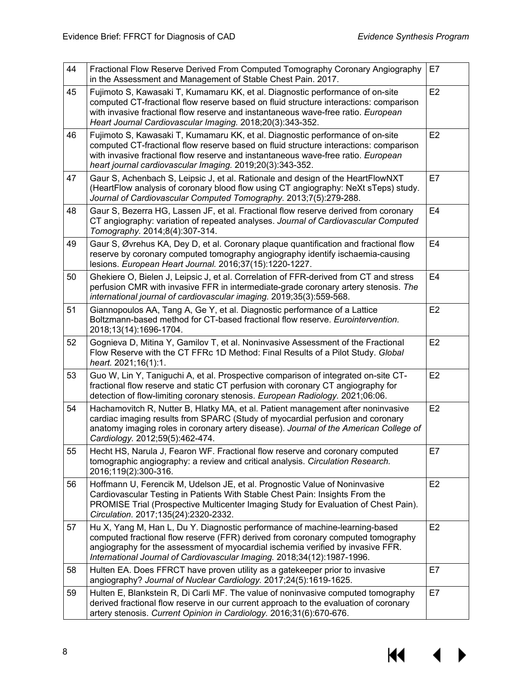| 44 | Fractional Flow Reserve Derived From Computed Tomography Coronary Angiography<br>in the Assessment and Management of Stable Chest Pain. 2017.                                                                                                                                                                                 | E7             |
|----|-------------------------------------------------------------------------------------------------------------------------------------------------------------------------------------------------------------------------------------------------------------------------------------------------------------------------------|----------------|
| 45 | Fujimoto S, Kawasaki T, Kumamaru KK, et al. Diagnostic performance of on-site<br>computed CT-fractional flow reserve based on fluid structure interactions: comparison<br>with invasive fractional flow reserve and instantaneous wave-free ratio. European<br>Heart Journal Cardiovascular Imaging. 2018;20(3):343-352.      | E2             |
| 46 | Fujimoto S, Kawasaki T, Kumamaru KK, et al. Diagnostic performance of on-site<br>computed CT-fractional flow reserve based on fluid structure interactions: comparison<br>with invasive fractional flow reserve and instantaneous wave-free ratio. European<br>heart journal cardiovascular Imaging. 2019;20(3):343-352.      | E2             |
| 47 | Gaur S, Achenbach S, Leipsic J, et al. Rationale and design of the HeartFlowNXT<br>(HeartFlow analysis of coronary blood flow using CT angiography: NeXt sTeps) study.<br>Journal of Cardiovascular Computed Tomography. 2013;7(5):279-288.                                                                                   | E7             |
| 48 | Gaur S, Bezerra HG, Lassen JF, et al. Fractional flow reserve derived from coronary<br>CT angiography: variation of repeated analyses. Journal of Cardiovascular Computed<br>Tomography. 2014;8(4):307-314.                                                                                                                   | E <sub>4</sub> |
| 49 | Gaur S, Øvrehus KA, Dey D, et al. Coronary plaque quantification and fractional flow<br>reserve by coronary computed tomography angiography identify ischaemia-causing<br>lesions. European Heart Journal. 2016;37(15):1220-1227.                                                                                             | E <sub>4</sub> |
| 50 | Ghekiere O, Bielen J, Leipsic J, et al. Correlation of FFR-derived from CT and stress<br>perfusion CMR with invasive FFR in intermediate-grade coronary artery stenosis. The<br>international journal of cardiovascular imaging. 2019;35(3):559-568.                                                                          | E <sub>4</sub> |
| 51 | Giannopoulos AA, Tang A, Ge Y, et al. Diagnostic performance of a Lattice<br>Boltzmann-based method for CT-based fractional flow reserve. Eurointervention.<br>2018;13(14):1696-1704.                                                                                                                                         | E2             |
| 52 | Gognieva D, Mitina Y, Gamilov T, et al. Noninvasive Assessment of the Fractional<br>Flow Reserve with the CT FFRc 1D Method: Final Results of a Pilot Study. Global<br>heart. 2021;16(1):1.                                                                                                                                   | E2             |
| 53 | Guo W, Lin Y, Taniguchi A, et al. Prospective comparison of integrated on-site CT-<br>fractional flow reserve and static CT perfusion with coronary CT angiography for<br>detection of flow-limiting coronary stenosis. European Radiology. 2021;06:06.                                                                       | E2             |
| 54 | Hachamovitch R, Nutter B, Hlatky MA, et al. Patient management after noninvasive<br>cardiac imaging results from SPARC (Study of myocardial perfusion and coronary<br>anatomy imaging roles in coronary artery disease). Journal of the American College of<br>Cardiology. 2012;59(5):462-474.                                | E2             |
| 55 | Hecht HS, Narula J, Fearon WF. Fractional flow reserve and coronary computed<br>tomographic angiography: a review and critical analysis. Circulation Research.<br>2016;119(2):300-316.                                                                                                                                        | E7             |
| 56 | Hoffmann U, Ferencik M, Udelson JE, et al. Prognostic Value of Noninvasive<br>Cardiovascular Testing in Patients With Stable Chest Pain: Insights From the<br>PROMISE Trial (Prospective Multicenter Imaging Study for Evaluation of Chest Pain).<br>Circulation. 2017;135(24):2320-2332.                                     | E <sub>2</sub> |
| 57 | Hu X, Yang M, Han L, Du Y. Diagnostic performance of machine-learning-based<br>computed fractional flow reserve (FFR) derived from coronary computed tomography<br>angiography for the assessment of myocardial ischemia verified by invasive FFR.<br>International Journal of Cardiovascular Imaging. 2018;34(12):1987-1996. | E <sub>2</sub> |
| 58 | Hulten EA. Does FFRCT have proven utility as a gatekeeper prior to invasive<br>angiography? Journal of Nuclear Cardiology. 2017;24(5):1619-1625.                                                                                                                                                                              | E7             |
| 59 | Hulten E, Blankstein R, Di Carli MF. The value of noninvasive computed tomography<br>derived fractional flow reserve in our current approach to the evaluation of coronary<br>artery stenosis. Current Opinion in Cardiology. 2016;31(6):670-676.                                                                             | E7             |

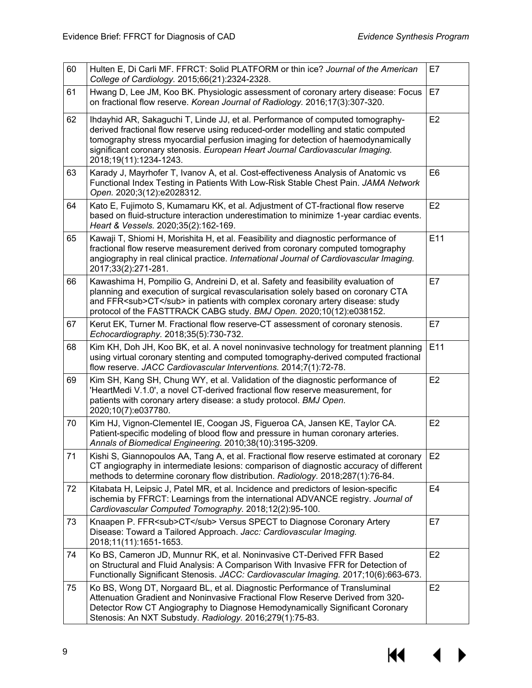| 60 | Hulten E, Di Carli MF. FFRCT: Solid PLATFORM or thin ice? Journal of the American<br>College of Cardiology. 2015;66(21):2324-2328.                                                                                                                                                                                                                                 | E7             |
|----|--------------------------------------------------------------------------------------------------------------------------------------------------------------------------------------------------------------------------------------------------------------------------------------------------------------------------------------------------------------------|----------------|
| 61 | Hwang D, Lee JM, Koo BK. Physiologic assessment of coronary artery disease: Focus<br>on fractional flow reserve. Korean Journal of Radiology. 2016;17(3):307-320.                                                                                                                                                                                                  | E7             |
| 62 | Ihdayhid AR, Sakaguchi T, Linde JJ, et al. Performance of computed tomography-<br>derived fractional flow reserve using reduced-order modelling and static computed<br>tomography stress myocardial perfusion imaging for detection of haemodynamically<br>significant coronary stenosis. European Heart Journal Cardiovascular Imaging.<br>2018;19(11):1234-1243. | E <sub>2</sub> |
| 63 | Karady J, Mayrhofer T, Ivanov A, et al. Cost-effectiveness Analysis of Anatomic vs<br>Functional Index Testing in Patients With Low-Risk Stable Chest Pain. JAMA Network<br>Open. 2020;3(12):e2028312.                                                                                                                                                             | E <sub>6</sub> |
| 64 | Kato E, Fujimoto S, Kumamaru KK, et al. Adjustment of CT-fractional flow reserve<br>based on fluid-structure interaction underestimation to minimize 1-year cardiac events.<br>Heart & Vessels. 2020;35(2):162-169.                                                                                                                                                | E2             |
| 65 | Kawaji T, Shiomi H, Morishita H, et al. Feasibility and diagnostic performance of<br>fractional flow reserve measurement derived from coronary computed tomography<br>angiography in real clinical practice. International Journal of Cardiovascular Imaging.<br>2017;33(2):271-281.                                                                               | E11            |
| 66 | Kawashima H, Pompilio G, Andreini D, et al. Safety and feasibility evaluation of<br>planning and execution of surgical revascularisation solely based on coronary CTA<br>and FFR <sub>CT</sub> in patients with complex coronary artery disease: study<br>protocol of the FASTTRACK CABG study. BMJ Open. 2020;10(12):e038152.                                     | E7             |
| 67 | Kerut EK, Turner M. Fractional flow reserve-CT assessment of coronary stenosis.<br>Echocardiography. 2018;35(5):730-732.                                                                                                                                                                                                                                           | E7             |
| 68 | Kim KH, Doh JH, Koo BK, et al. A novel noninvasive technology for treatment planning<br>using virtual coronary stenting and computed tomography-derived computed fractional<br>flow reserve. JACC Cardiovascular Interventions. 2014;7(1):72-78.                                                                                                                   | E11            |
| 69 | Kim SH, Kang SH, Chung WY, et al. Validation of the diagnostic performance of<br>'HeartMedi V.1.0', a novel CT-derived fractional flow reserve measurement, for<br>patients with coronary artery disease: a study protocol. BMJ Open.<br>2020;10(7):e037780.                                                                                                       | E2             |
| 70 | Kim HJ, Vignon-Clementel IE, Coogan JS, Figueroa CA, Jansen KE, Taylor CA.<br>Patient-specific modeling of blood flow and pressure in human coronary arteries.<br>Annals of Biomedical Engineering. 2010;38(10):3195-3209.                                                                                                                                         | E2             |
| 71 | Kishi S, Giannopoulos AA, Tang A, et al. Fractional flow reserve estimated at coronary<br>CT angiography in intermediate lesions: comparison of diagnostic accuracy of different<br>methods to determine coronary flow distribution. Radiology. 2018;287(1):76-84.                                                                                                 | E2             |
| 72 | Kitabata H, Leipsic J, Patel MR, et al. Incidence and predictors of lesion-specific<br>ischemia by FFRCT: Learnings from the international ADVANCE registry. Journal of<br>Cardiovascular Computed Tomography. 2018;12(2):95-100.                                                                                                                                  | E <sub>4</sub> |
| 73 | Knaapen P. FFR <sub>CT</sub> Versus SPECT to Diagnose Coronary Artery<br>Disease: Toward a Tailored Approach. Jacc: Cardiovascular Imaging.<br>2018;11(11):1651-1653.                                                                                                                                                                                              | E7             |
| 74 | Ko BS, Cameron JD, Munnur RK, et al. Noninvasive CT-Derived FFR Based<br>on Structural and Fluid Analysis: A Comparison With Invasive FFR for Detection of<br>Functionally Significant Stenosis. JACC: Cardiovascular Imaging. 2017;10(6):663-673.                                                                                                                 | E <sub>2</sub> |
| 75 | Ko BS, Wong DT, Norgaard BL, et al. Diagnostic Performance of Transluminal<br>Attenuation Gradient and Noninvasive Fractional Flow Reserve Derived from 320-<br>Detector Row CT Angiography to Diagnose Hemodynamically Significant Coronary<br>Stenosis: An NXT Substudy. Radiology. 2016;279(1):75-83.                                                           | E <sub>2</sub> |

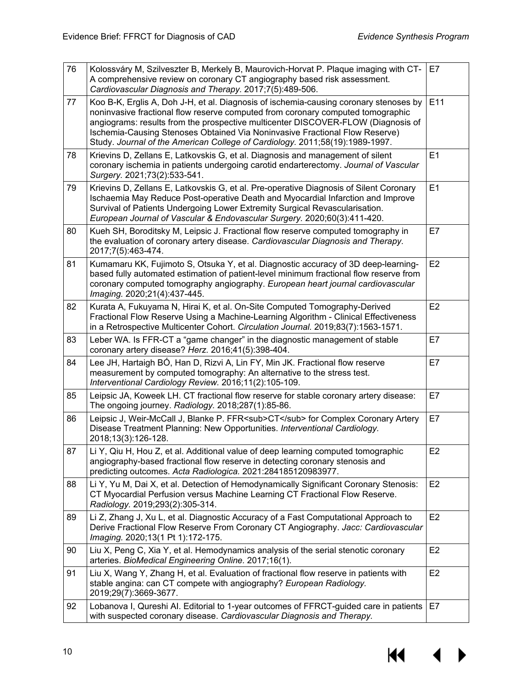| 76 | Kolossváry M, Szilveszter B, Merkely B, Maurovich-Horvat P. Plaque imaging with CT-<br>A comprehensive review on coronary CT angiography based risk assessment.<br>Cardiovascular Diagnosis and Therapy. 2017;7(5):489-506.                                                                                                                                                                                                 | E7             |
|----|-----------------------------------------------------------------------------------------------------------------------------------------------------------------------------------------------------------------------------------------------------------------------------------------------------------------------------------------------------------------------------------------------------------------------------|----------------|
| 77 | Koo B-K, Erglis A, Doh J-H, et al. Diagnosis of ischemia-causing coronary stenoses by<br>noninvasive fractional flow reserve computed from coronary computed tomographic<br>angiograms: results from the prospective multicenter DISCOVER-FLOW (Diagnosis of<br>Ischemia-Causing Stenoses Obtained Via Noninvasive Fractional Flow Reserve)<br>Study. Journal of the American College of Cardiology. 2011;58(19):1989-1997. | E11            |
| 78 | Krievins D, Zellans E, Latkovskis G, et al. Diagnosis and management of silent<br>coronary ischemia in patients undergoing carotid endarterectomy. Journal of Vascular<br>Surgery. 2021;73(2):533-541.                                                                                                                                                                                                                      | E1             |
| 79 | Krievins D, Zellans E, Latkovskis G, et al. Pre-operative Diagnosis of Silent Coronary<br>Ischaemia May Reduce Post-operative Death and Myocardial Infarction and Improve<br>Survival of Patients Undergoing Lower Extremity Surgical Revascularisation.<br>European Journal of Vascular & Endovascular Surgery. 2020;60(3):411-420.                                                                                        | E1             |
| 80 | Kueh SH, Boroditsky M, Leipsic J. Fractional flow reserve computed tomography in<br>the evaluation of coronary artery disease. Cardiovascular Diagnosis and Therapy.<br>2017;7(5):463-474.                                                                                                                                                                                                                                  | E7             |
| 81 | Kumamaru KK, Fujimoto S, Otsuka Y, et al. Diagnostic accuracy of 3D deep-learning-<br>based fully automated estimation of patient-level minimum fractional flow reserve from<br>coronary computed tomography angiography. European heart journal cardiovascular<br>Imaging. 2020;21(4):437-445.                                                                                                                             | E <sub>2</sub> |
| 82 | Kurata A, Fukuyama N, Hirai K, et al. On-Site Computed Tomography-Derived<br>Fractional Flow Reserve Using a Machine-Learning Algorithm - Clinical Effectiveness<br>in a Retrospective Multicenter Cohort. Circulation Journal. 2019;83(7):1563-1571.                                                                                                                                                                       | E2             |
| 83 | Leber WA. Is FFR-CT a "game changer" in the diagnostic management of stable<br>coronary artery disease? Herz. 2016;41(5):398-404.                                                                                                                                                                                                                                                                                           | E7             |
| 84 | Lee JH, Hartaigh BÓ, Han D, Rizvi A, Lin FY, Min JK. Fractional flow reserve<br>measurement by computed tomography: An alternative to the stress test.<br>Interventional Cardiology Review. 2016;11(2):105-109.                                                                                                                                                                                                             | E7             |
| 85 | Leipsic JA, Koweek LH. CT fractional flow reserve for stable coronary artery disease:<br>The ongoing journey. Radiology. 2018;287(1):85-86.                                                                                                                                                                                                                                                                                 | E7             |
| 86 | Leipsic J, Weir-McCall J, Blanke P. FFR <sub>CT</sub> for Complex Coronary Artery<br>Disease Treatment Planning: New Opportunities. Interventional Cardiology.<br>2018;13(3):126-128.                                                                                                                                                                                                                                       | E7             |
| 87 | Li Y, Qiu H, Hou Z, et al. Additional value of deep learning computed tomographic<br>angiography-based fractional flow reserve in detecting coronary stenosis and<br>predicting outcomes. Acta Radiologica. 2021:284185120983977.                                                                                                                                                                                           | E2             |
| 88 | Li Y, Yu M, Dai X, et al. Detection of Hemodynamically Significant Coronary Stenosis:<br>CT Myocardial Perfusion versus Machine Learning CT Fractional Flow Reserve.<br>Radiology. 2019;293(2):305-314.                                                                                                                                                                                                                     | E <sub>2</sub> |
| 89 | Li Z, Zhang J, Xu L, et al. Diagnostic Accuracy of a Fast Computational Approach to<br>Derive Fractional Flow Reserve From Coronary CT Angiography. Jacc: Cardiovascular<br>Imaging. 2020;13(1 Pt 1):172-175.                                                                                                                                                                                                               | E <sub>2</sub> |
| 90 | Liu X, Peng C, Xia Y, et al. Hemodynamics analysis of the serial stenotic coronary<br>arteries. BioMedical Engineering Online. 2017;16(1).                                                                                                                                                                                                                                                                                  | E <sub>2</sub> |
| 91 | Liu X, Wang Y, Zhang H, et al. Evaluation of fractional flow reserve in patients with<br>stable angina: can CT compete with angiography? European Radiology.<br>2019;29(7):3669-3677.                                                                                                                                                                                                                                       | E2             |
| 92 | Lobanova I, Qureshi AI. Editorial to 1-year outcomes of FFRCT-guided care in patients<br>with suspected coronary disease. Cardiovascular Diagnosis and Therapy.                                                                                                                                                                                                                                                             | E7             |

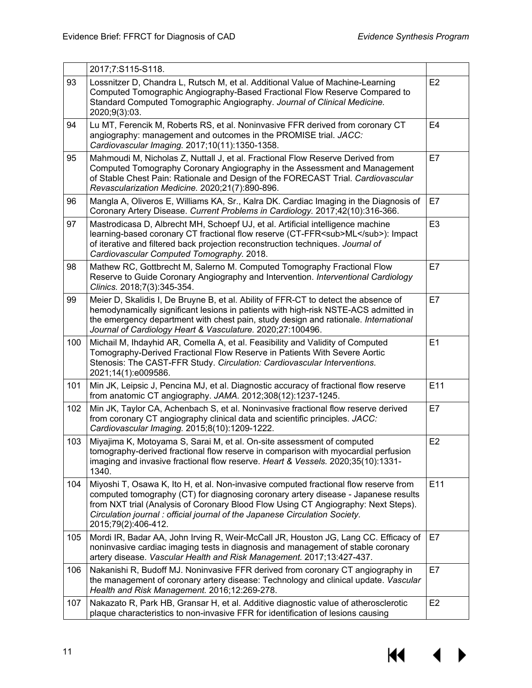|     | 2017;7:S115-S118.                                                                                                                                                                                                                                                                                                                                                      |                |
|-----|------------------------------------------------------------------------------------------------------------------------------------------------------------------------------------------------------------------------------------------------------------------------------------------------------------------------------------------------------------------------|----------------|
| 93  | Lossnitzer D, Chandra L, Rutsch M, et al. Additional Value of Machine-Learning<br>Computed Tomographic Angiography-Based Fractional Flow Reserve Compared to<br>Standard Computed Tomographic Angiography. Journal of Clinical Medicine.<br>2020;9(3):03.                                                                                                              | E <sub>2</sub> |
| 94  | Lu MT, Ferencik M, Roberts RS, et al. Noninvasive FFR derived from coronary CT<br>angiography: management and outcomes in the PROMISE trial. JACC:<br>Cardiovascular Imaging. 2017;10(11):1350-1358.                                                                                                                                                                   | E <sub>4</sub> |
| 95  | Mahmoudi M, Nicholas Z, Nuttall J, et al. Fractional Flow Reserve Derived from<br>Computed Tomography Coronary Angiography in the Assessment and Management<br>of Stable Chest Pain: Rationale and Design of the FORECAST Trial. Cardiovascular<br>Revascularization Medicine. 2020;21(7):890-896.                                                                     | E7             |
| 96  | Mangla A, Oliveros E, Williams KA, Sr., Kalra DK. Cardiac Imaging in the Diagnosis of<br>Coronary Artery Disease. Current Problems in Cardiology. 2017;42(10):316-366.                                                                                                                                                                                                 | E7             |
| 97  | Mastrodicasa D, Albrecht MH, Schoepf UJ, et al. Artificial intelligence machine<br>learning-based coronary CT fractional flow reserve (CT-FFR <sub>ML</sub> ): Impact<br>of iterative and filtered back projection reconstruction techniques. Journal of<br>Cardiovascular Computed Tomography. 2018.                                                                  | E <sub>3</sub> |
| 98  | Mathew RC, Gottbrecht M, Salerno M. Computed Tomography Fractional Flow<br>Reserve to Guide Coronary Angiography and Intervention. Interventional Cardiology<br>Clinics. 2018;7(3):345-354.                                                                                                                                                                            | E7             |
| 99  | Meier D, Skalidis I, De Bruyne B, et al. Ability of FFR-CT to detect the absence of<br>hemodynamically significant lesions in patients with high-risk NSTE-ACS admitted in<br>the emergency department with chest pain, study design and rationale. International<br>Journal of Cardiology Heart & Vasculature. 2020;27:100496.                                        | E7             |
| 100 | Michail M, Ihdayhid AR, Comella A, et al. Feasibility and Validity of Computed<br>Tomography-Derived Fractional Flow Reserve in Patients With Severe Aortic<br>Stenosis: The CAST-FFR Study. Circulation: Cardiovascular Interventions.<br>2021;14(1):e009586.                                                                                                         | E1             |
| 101 | Min JK, Leipsic J, Pencina MJ, et al. Diagnostic accuracy of fractional flow reserve<br>from anatomic CT angiography. JAMA. 2012;308(12):1237-1245.                                                                                                                                                                                                                    | E11            |
| 102 | Min JK, Taylor CA, Achenbach S, et al. Noninvasive fractional flow reserve derived<br>from coronary CT angiography clinical data and scientific principles. JACC:<br>Cardiovascular Imaging. 2015;8(10):1209-1222.                                                                                                                                                     | E7             |
| 103 | Miyajima K, Motoyama S, Sarai M, et al. On-site assessment of computed<br>tomography-derived fractional flow reserve in comparison with myocardial perfusion<br>imaging and invasive fractional flow reserve. Heart & Vessels. 2020;35(10):1331-<br>1340.                                                                                                              | E <sub>2</sub> |
| 104 | Miyoshi T, Osawa K, Ito H, et al. Non-invasive computed fractional flow reserve from<br>computed tomography (CT) for diagnosing coronary artery disease - Japanese results<br>from NXT trial (Analysis of Coronary Blood Flow Using CT Angiography: Next Steps).<br>Circulation journal : official journal of the Japanese Circulation Society.<br>2015;79(2):406-412. | E11            |
| 105 | Mordi IR, Badar AA, John Irving R, Weir-McCall JR, Houston JG, Lang CC. Efficacy of<br>noninvasive cardiac imaging tests in diagnosis and management of stable coronary<br>artery disease. Vascular Health and Risk Management. 2017;13:427-437.                                                                                                                       | E7             |
| 106 | Nakanishi R, Budoff MJ. Noninvasive FFR derived from coronary CT angiography in<br>the management of coronary artery disease: Technology and clinical update. Vascular<br>Health and Risk Management. 2016;12:269-278.                                                                                                                                                 | E7             |
| 107 | Nakazato R, Park HB, Gransar H, et al. Additive diagnostic value of atherosclerotic<br>plaque characteristics to non-invasive FFR for identification of lesions causing                                                                                                                                                                                                | E <sub>2</sub> |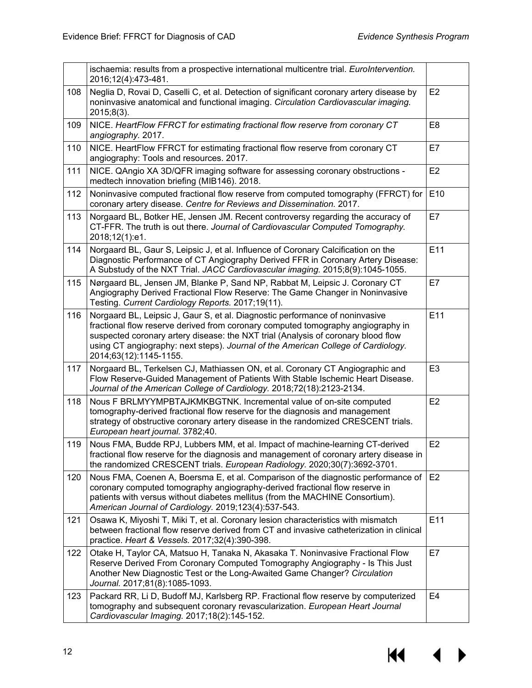|     | ischaemia: results from a prospective international multicentre trial. EuroIntervention.<br>2016;12(4):473-481.                                                                                                                                                                                                                                                      |                |
|-----|----------------------------------------------------------------------------------------------------------------------------------------------------------------------------------------------------------------------------------------------------------------------------------------------------------------------------------------------------------------------|----------------|
| 108 | Neglia D, Rovai D, Caselli C, et al. Detection of significant coronary artery disease by<br>noninvasive anatomical and functional imaging. Circulation Cardiovascular imaging.<br>2015;8(3).                                                                                                                                                                         | E <sub>2</sub> |
| 109 | NICE. HeartFlow FFRCT for estimating fractional flow reserve from coronary CT<br>angiography. 2017.                                                                                                                                                                                                                                                                  | E <sub>8</sub> |
| 110 | NICE. HeartFlow FFRCT for estimating fractional flow reserve from coronary CT<br>angiography: Tools and resources. 2017.                                                                                                                                                                                                                                             | E7             |
| 111 | NICE. QAngio XA 3D/QFR imaging software for assessing coronary obstructions -<br>medtech innovation briefing (MIB146). 2018.                                                                                                                                                                                                                                         | E <sub>2</sub> |
| 112 | Noninvasive computed fractional flow reserve from computed tomography (FFRCT) for<br>coronary artery disease. Centre for Reviews and Dissemination. 2017.                                                                                                                                                                                                            | E10            |
| 113 | Norgaard BL, Botker HE, Jensen JM. Recent controversy regarding the accuracy of<br>CT-FFR. The truth is out there. Journal of Cardiovascular Computed Tomography.<br>2018;12(1):e1.                                                                                                                                                                                  | E7             |
| 114 | Norgaard BL, Gaur S, Leipsic J, et al. Influence of Coronary Calcification on the<br>Diagnostic Performance of CT Angiography Derived FFR in Coronary Artery Disease:<br>A Substudy of the NXT Trial. JACC Cardiovascular imaging. 2015;8(9):1045-1055.                                                                                                              | E11            |
| 115 | Nørgaard BL, Jensen JM, Blanke P, Sand NP, Rabbat M, Leipsic J. Coronary CT<br>Angiography Derived Fractional Flow Reserve: The Game Changer in Noninvasive<br>Testing. Current Cardiology Reports. 2017;19(11).                                                                                                                                                     | E7             |
| 116 | Norgaard BL, Leipsic J, Gaur S, et al. Diagnostic performance of noninvasive<br>fractional flow reserve derived from coronary computed tomography angiography in<br>suspected coronary artery disease: the NXT trial (Analysis of coronary blood flow<br>using CT angiography: next steps). Journal of the American College of Cardiology.<br>2014;63(12):1145-1155. | E11            |
| 117 | Norgaard BL, Terkelsen CJ, Mathiassen ON, et al. Coronary CT Angiographic and<br>Flow Reserve-Guided Management of Patients With Stable Ischemic Heart Disease.<br>Journal of the American College of Cardiology. 2018;72(18):2123-2134.                                                                                                                             | E <sub>3</sub> |
| 118 | Nous F BRLMYYMPBTAJKMKBGTNK. Incremental value of on-site computed<br>tomography-derived fractional flow reserve for the diagnosis and management<br>strategy of obstructive coronary artery disease in the randomized CRESCENT trials.<br>European heart journal. 3782;40.                                                                                          | E2             |
| 119 | Nous FMA, Budde RPJ, Lubbers MM, et al. Impact of machine-learning CT-derived<br>fractional flow reserve for the diagnosis and management of coronary artery disease in<br>the randomized CRESCENT trials. European Radiology. 2020;30(7):3692-3701.                                                                                                                 | E <sub>2</sub> |
| 120 | Nous FMA, Coenen A, Boersma E, et al. Comparison of the diagnostic performance of<br>coronary computed tomography angiography-derived fractional flow reserve in<br>patients with versus without diabetes mellitus (from the MACHINE Consortium).<br>American Journal of Cardiology. 2019;123(4):537-543.                                                            | E <sub>2</sub> |
| 121 | Osawa K, Miyoshi T, Miki T, et al. Coronary lesion characteristics with mismatch<br>between fractional flow reserve derived from CT and invasive catheterization in clinical<br>practice. Heart & Vessels. 2017;32(4):390-398.                                                                                                                                       | E11            |
| 122 | Otake H, Taylor CA, Matsuo H, Tanaka N, Akasaka T. Noninvasive Fractional Flow<br>Reserve Derived From Coronary Computed Tomography Angiography - Is This Just<br>Another New Diagnostic Test or the Long-Awaited Game Changer? Circulation<br>Journal. 2017;81(8):1085-1093.                                                                                        | E7             |
| 123 | Packard RR, Li D, Budoff MJ, Karlsberg RP. Fractional flow reserve by computerized<br>tomography and subsequent coronary revascularization. European Heart Journal<br>Cardiovascular Imaging. 2017;18(2):145-152.                                                                                                                                                    | E <sub>4</sub> |

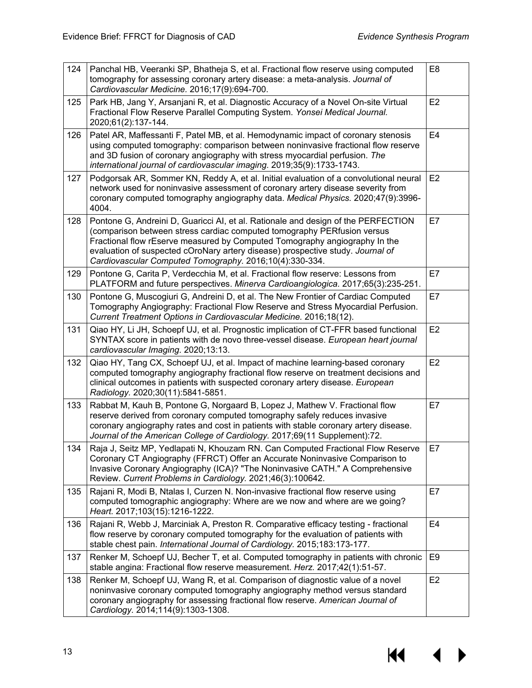| 124 | Panchal HB, Veeranki SP, Bhatheja S, et al. Fractional flow reserve using computed<br>tomography for assessing coronary artery disease: a meta-analysis. Journal of<br>Cardiovascular Medicine. 2016;17(9):694-700.                                                                                                                                                                     | E <sub>8</sub> |
|-----|-----------------------------------------------------------------------------------------------------------------------------------------------------------------------------------------------------------------------------------------------------------------------------------------------------------------------------------------------------------------------------------------|----------------|
| 125 | Park HB, Jang Y, Arsanjani R, et al. Diagnostic Accuracy of a Novel On-site Virtual<br>Fractional Flow Reserve Parallel Computing System. Yonsei Medical Journal.<br>2020;61(2):137-144.                                                                                                                                                                                                | E <sub>2</sub> |
| 126 | Patel AR, Maffessanti F, Patel MB, et al. Hemodynamic impact of coronary stenosis<br>using computed tomography: comparison between noninvasive fractional flow reserve<br>and 3D fusion of coronary angiography with stress myocardial perfusion. The<br>international journal of cardiovascular imaging. 2019;35(9):1733-1743.                                                         | E <sub>4</sub> |
| 127 | Podgorsak AR, Sommer KN, Reddy A, et al. Initial evaluation of a convolutional neural<br>network used for noninvasive assessment of coronary artery disease severity from<br>coronary computed tomography angiography data. Medical Physics. 2020;47(9):3996-<br>4004.                                                                                                                  | E <sub>2</sub> |
| 128 | Pontone G, Andreini D, Guaricci AI, et al. Rationale and design of the PERFECTION<br>(comparison between stress cardiac computed tomography PERfusion versus<br>Fractional flow rEserve measured by Computed Tomography angiography In the<br>evaluation of suspected cOroNary artery disease) prospective study. Journal of<br>Cardiovascular Computed Tomography. 2016;10(4):330-334. | E7             |
| 129 | Pontone G, Carita P, Verdecchia M, et al. Fractional flow reserve: Lessons from<br>PLATFORM and future perspectives. Minerva Cardioangiologica. 2017;65(3):235-251.                                                                                                                                                                                                                     | E7             |
| 130 | Pontone G, Muscogiuri G, Andreini D, et al. The New Frontier of Cardiac Computed<br>Tomography Angiography: Fractional Flow Reserve and Stress Myocardial Perfusion.<br>Current Treatment Options in Cardiovascular Medicine. 2016;18(12).                                                                                                                                              | E7             |
| 131 | Qiao HY, Li JH, Schoepf UJ, et al. Prognostic implication of CT-FFR based functional<br>SYNTAX score in patients with de novo three-vessel disease. European heart journal<br>cardiovascular Imaging. 2020;13:13.                                                                                                                                                                       | E <sub>2</sub> |
| 132 | Qiao HY, Tang CX, Schoepf UJ, et al. Impact of machine learning-based coronary<br>computed tomography angiography fractional flow reserve on treatment decisions and<br>clinical outcomes in patients with suspected coronary artery disease. European<br>Radiology. 2020;30(11):5841-5851.                                                                                             | E2             |
| 133 | Rabbat M, Kauh B, Pontone G, Norgaard B, Lopez J, Mathew V. Fractional flow<br>reserve derived from coronary computed tomography safely reduces invasive<br>coronary angiography rates and cost in patients with stable coronary artery disease.<br>Journal of the American College of Cardiology. 2017;69(11 Supplement):72.                                                           | E7             |
| 134 | Raja J, Seitz MP, Yedlapati N, Khouzam RN. Can Computed Fractional Flow Reserve<br>Coronary CT Angiography (FFRCT) Offer an Accurate Noninvasive Comparison to<br>Invasive Coronary Angiography (ICA)? "The Noninvasive CATH." A Comprehensive<br>Review. Current Problems in Cardiology. 2021;46(3):100642.                                                                            | E7             |
| 135 | Rajani R, Modi B, Ntalas I, Curzen N. Non-invasive fractional flow reserve using<br>computed tomographic angiography: Where are we now and where are we going?<br>Heart. 2017;103(15):1216-1222.                                                                                                                                                                                        | E7             |
| 136 | Rajani R, Webb J, Marciniak A, Preston R. Comparative efficacy testing - fractional<br>flow reserve by coronary computed tomography for the evaluation of patients with<br>stable chest pain. International Journal of Cardiology. 2015;183:173-177.                                                                                                                                    | E4             |
| 137 | Renker M, Schoepf UJ, Becher T, et al. Computed tomography in patients with chronic<br>stable angina: Fractional flow reserve measurement. Herz. 2017;42(1):51-57.                                                                                                                                                                                                                      | E <sub>9</sub> |
| 138 | Renker M, Schoepf UJ, Wang R, et al. Comparison of diagnostic value of a novel<br>noninvasive coronary computed tomography angiography method versus standard<br>coronary angiography for assessing fractional flow reserve. American Journal of<br>Cardiology. 2014;114(9):1303-1308.                                                                                                  | E2             |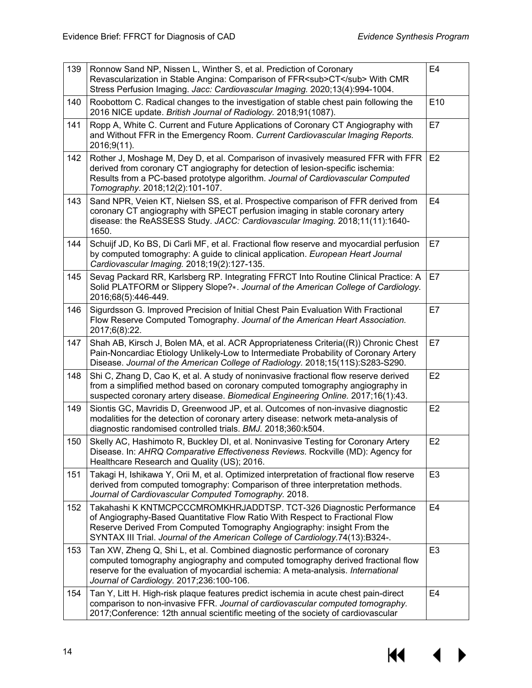| 139 | Ronnow Sand NP, Nissen L, Winther S, et al. Prediction of Coronary<br>Revascularization in Stable Angina: Comparison of FFR <sub>CT</sub> With CMR<br>Stress Perfusion Imaging. Jacc: Cardiovascular Imaging. 2020;13(4):994-1004.                                                                             | E4             |
|-----|----------------------------------------------------------------------------------------------------------------------------------------------------------------------------------------------------------------------------------------------------------------------------------------------------------------|----------------|
| 140 | Roobottom C. Radical changes to the investigation of stable chest pain following the<br>2016 NICE update. British Journal of Radiology. 2018;91(1087).                                                                                                                                                         | E10            |
| 141 | Ropp A, White C. Current and Future Applications of Coronary CT Angiography with<br>and Without FFR in the Emergency Room. Current Cardiovascular Imaging Reports.<br>2016;9(11).                                                                                                                              | E7             |
| 142 | Rother J, Moshage M, Dey D, et al. Comparison of invasively measured FFR with FFR<br>derived from coronary CT angiography for detection of lesion-specific ischemia:<br>Results from a PC-based prototype algorithm. Journal of Cardiovascular Computed<br>Tomography. 2018;12(2):101-107.                     | E <sub>2</sub> |
| 143 | Sand NPR, Veien KT, Nielsen SS, et al. Prospective comparison of FFR derived from<br>coronary CT angiography with SPECT perfusion imaging in stable coronary artery<br>disease: the ReASSESS Study. JACC: Cardiovascular Imaging. 2018;11(11):1640-<br>1650.                                                   | E <sub>4</sub> |
| 144 | Schuijf JD, Ko BS, Di Carli MF, et al. Fractional flow reserve and myocardial perfusion<br>by computed tomography: A guide to clinical application. European Heart Journal<br>Cardiovascular Imaging. 2018;19(2):127-135.                                                                                      | E7             |
| 145 | Sevag Packard RR, Karlsberg RP. Integrating FFRCT Into Routine Clinical Practice: A<br>Solid PLATFORM or Slippery Slope?*. Journal of the American College of Cardiology.<br>2016;68(5):446-449.                                                                                                               | E7             |
| 146 | Sigurdsson G. Improved Precision of Initial Chest Pain Evaluation With Fractional<br>Flow Reserve Computed Tomography. Journal of the American Heart Association.<br>2017;6(8):22.                                                                                                                             | E7             |
| 147 | Shah AB, Kirsch J, Bolen MA, et al. ACR Appropriateness Criteria((R)) Chronic Chest<br>Pain-Noncardiac Etiology Unlikely-Low to Intermediate Probability of Coronary Artery<br>Disease. Journal of the American College of Radiology. 2018;15(11S):S283-S290.                                                  | E7             |
| 148 | Shi C, Zhang D, Cao K, et al. A study of noninvasive fractional flow reserve derived<br>from a simplified method based on coronary computed tomography angiography in<br>suspected coronary artery disease. Biomedical Engineering Online. 2017;16(1):43.                                                      | E <sub>2</sub> |
| 149 | Siontis GC, Mavridis D, Greenwood JP, et al. Outcomes of non-invasive diagnostic<br>modalities for the detection of coronary artery disease: network meta-analysis of<br>diagnostic randomised controlled trials. BMJ. 2018;360:k504.                                                                          | E2             |
| 150 | Skelly AC, Hashimoto R, Buckley DI, et al. Noninvasive Testing for Coronary Artery<br>Disease. In: AHRQ Comparative Effectiveness Reviews. Rockville (MD): Agency for<br>Healthcare Research and Quality (US); 2016.                                                                                           | E <sub>2</sub> |
| 151 | Takagi H, Ishikawa Y, Orii M, et al. Optimized interpretation of fractional flow reserve<br>derived from computed tomography: Comparison of three interpretation methods.<br>Journal of Cardiovascular Computed Tomography. 2018.                                                                              | E <sub>3</sub> |
| 152 | Takahashi K KNTMCPCCCMROMKHRJADDTSP. TCT-326 Diagnostic Performance<br>of Angiography-Based Quantitative Flow Ratio With Respect to Fractional Flow<br>Reserve Derived From Computed Tomography Angiography: insight From the<br>SYNTAX III Trial. Journal of the American College of Cardiology.74(13):B324-. | E <sub>4</sub> |
| 153 | Tan XW, Zheng Q, Shi L, et al. Combined diagnostic performance of coronary<br>computed tomography angiography and computed tomography derived fractional flow<br>reserve for the evaluation of myocardial ischemia: A meta-analysis. International<br>Journal of Cardiology. 2017;236:100-106.                 | E <sub>3</sub> |
| 154 | Tan Y, Litt H. High-risk plaque features predict ischemia in acute chest pain-direct<br>comparison to non-invasive FFR. Journal of cardiovascular computed tomography.<br>2017;Conference: 12th annual scientific meeting of the society of cardiovascular                                                     | E <sub>4</sub> |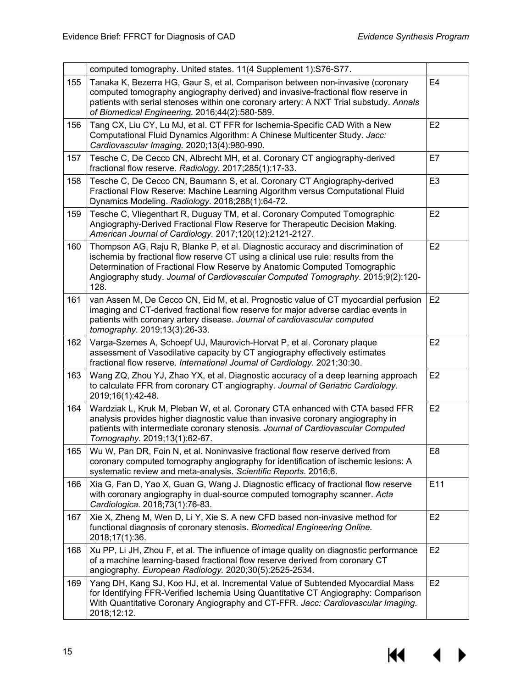|     | computed tomography. United states. 11(4 Supplement 1):S76-S77.                                                                                                                                                                                                                                                                                |                |
|-----|------------------------------------------------------------------------------------------------------------------------------------------------------------------------------------------------------------------------------------------------------------------------------------------------------------------------------------------------|----------------|
| 155 | Tanaka K, Bezerra HG, Gaur S, et al. Comparison between non-invasive (coronary<br>computed tomography angiography derived) and invasive-fractional flow reserve in<br>patients with serial stenoses within one coronary artery: A NXT Trial substudy. Annals<br>of Biomedical Engineering. 2016;44(2):580-589.                                 | E <sub>4</sub> |
| 156 | Tang CX, Liu CY, Lu MJ, et al. CT FFR for Ischemia-Specific CAD With a New<br>Computational Fluid Dynamics Algorithm: A Chinese Multicenter Study. Jacc:<br>Cardiovascular Imaging. 2020;13(4):980-990.                                                                                                                                        | E <sub>2</sub> |
| 157 | Tesche C, De Cecco CN, Albrecht MH, et al. Coronary CT angiography-derived<br>fractional flow reserve. Radiology. 2017;285(1):17-33.                                                                                                                                                                                                           | E7             |
| 158 | Tesche C, De Cecco CN, Baumann S, et al. Coronary CT Angiography-derived<br>Fractional Flow Reserve: Machine Learning Algorithm versus Computational Fluid<br>Dynamics Modeling. Radiology. 2018;288(1):64-72.                                                                                                                                 | E <sub>3</sub> |
| 159 | Tesche C, Vliegenthart R, Duguay TM, et al. Coronary Computed Tomographic<br>Angiography-Derived Fractional Flow Reserve for Therapeutic Decision Making.<br>American Journal of Cardiology. 2017;120(12):2121-2127.                                                                                                                           | E2             |
| 160 | Thompson AG, Raju R, Blanke P, et al. Diagnostic accuracy and discrimination of<br>ischemia by fractional flow reserve CT using a clinical use rule: results from the<br>Determination of Fractional Flow Reserve by Anatomic Computed Tomographic<br>Angiography study. Journal of Cardiovascular Computed Tomography. 2015;9(2):120-<br>128. | E <sub>2</sub> |
| 161 | van Assen M, De Cecco CN, Eid M, et al. Prognostic value of CT myocardial perfusion<br>imaging and CT-derived fractional flow reserve for major adverse cardiac events in<br>patients with coronary artery disease. Journal of cardiovascular computed<br>tomography. 2019;13(3):26-33.                                                        | E <sub>2</sub> |
| 162 | Varga-Szemes A, Schoepf UJ, Maurovich-Horvat P, et al. Coronary plaque<br>assessment of Vasodilative capacity by CT angiography effectively estimates<br>fractional flow reserve. International Journal of Cardiology. 2021;30:30.                                                                                                             | E2             |
| 163 | Wang ZQ, Zhou YJ, Zhao YX, et al. Diagnostic accuracy of a deep learning approach<br>to calculate FFR from coronary CT angiography. Journal of Geriatric Cardiology.<br>2019;16(1):42-48.                                                                                                                                                      | E2             |
| 164 | Wardziak L, Kruk M, Pleban W, et al. Coronary CTA enhanced with CTA based FFR<br>analysis provides higher diagnostic value than invasive coronary angiography in<br>patients with intermediate coronary stenosis. Journal of Cardiovascular Computed<br>Tomography. 2019;13(1):62-67.                                                          | E <sub>2</sub> |
| 165 | Wu W, Pan DR, Foin N, et al. Noninvasive fractional flow reserve derived from<br>coronary computed tomography angiography for identification of ischemic lesions: A<br>systematic review and meta-analysis. Scientific Reports. 2016;6.                                                                                                        | E <sub>8</sub> |
| 166 | Xia G, Fan D, Yao X, Guan G, Wang J. Diagnostic efficacy of fractional flow reserve<br>with coronary angiography in dual-source computed tomography scanner. Acta<br>Cardiologica. 2018;73(1):76-83.                                                                                                                                           | E11            |
| 167 | Xie X, Zheng M, Wen D, Li Y, Xie S. A new CFD based non-invasive method for<br>functional diagnosis of coronary stenosis. Biomedical Engineering Online.<br>2018;17(1):36.                                                                                                                                                                     | E <sub>2</sub> |
| 168 | Xu PP, Li JH, Zhou F, et al. The influence of image quality on diagnostic performance<br>of a machine learning-based fractional flow reserve derived from coronary CT<br>angiography. European Radiology. 2020;30(5):2525-2534.                                                                                                                | E <sub>2</sub> |
| 169 | Yang DH, Kang SJ, Koo HJ, et al. Incremental Value of Subtended Myocardial Mass<br>for Identifying FFR-Verified Ischemia Using Quantitative CT Angiography: Comparison<br>With Quantitative Coronary Angiography and CT-FFR. Jacc: Cardiovascular Imaging.<br>2018;12:12.                                                                      | E2             |

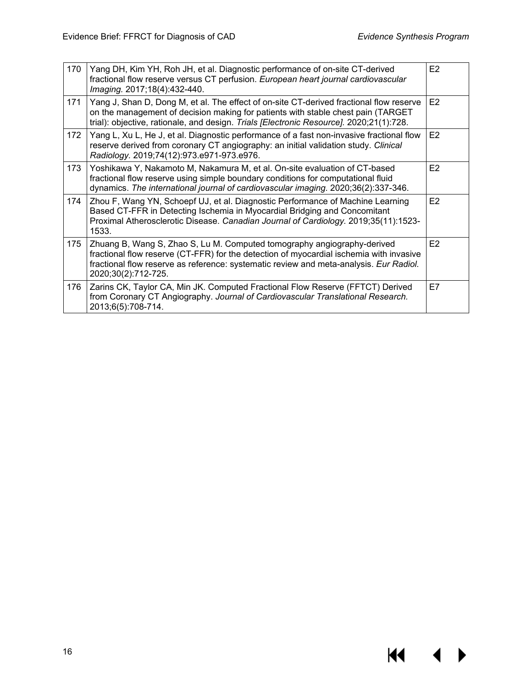$M = 1$ 

 $\blacktriangleright$ 

| 170 | Yang DH, Kim YH, Roh JH, et al. Diagnostic performance of on-site CT-derived<br>fractional flow reserve versus CT perfusion. European heart journal cardiovascular<br>Imaging. 2017;18(4):432-440.                                                                                  | E <sub>2</sub> |
|-----|-------------------------------------------------------------------------------------------------------------------------------------------------------------------------------------------------------------------------------------------------------------------------------------|----------------|
| 171 | Yang J, Shan D, Dong M, et al. The effect of on-site CT-derived fractional flow reserve<br>on the management of decision making for patients with stable chest pain (TARGET<br>trial): objective, rationale, and design. Trials [Electronic Resource]. 2020;21(1):728.              | E <sub>2</sub> |
| 172 | Yang L, Xu L, He J, et al. Diagnostic performance of a fast non-invasive fractional flow<br>reserve derived from coronary CT angiography: an initial validation study. Clinical<br>Radiology. 2019;74(12):973.e971-973.e976.                                                        | E2             |
| 173 | Yoshikawa Y, Nakamoto M, Nakamura M, et al. On-site evaluation of CT-based<br>fractional flow reserve using simple boundary conditions for computational fluid<br>dynamics. The international journal of cardiovascular imaging. 2020;36(2):337-346.                                | E <sub>2</sub> |
| 174 | Zhou F, Wang YN, Schoepf UJ, et al. Diagnostic Performance of Machine Learning<br>Based CT-FFR in Detecting Ischemia in Myocardial Bridging and Concomitant<br>Proximal Atherosclerotic Disease. Canadian Journal of Cardiology. 2019;35(11):1523-<br>1533.                         | E <sub>2</sub> |
| 175 | Zhuang B, Wang S, Zhao S, Lu M. Computed tomography angiography-derived<br>fractional flow reserve (CT-FFR) for the detection of myocardial ischemia with invasive<br>fractional flow reserve as reference: systematic review and meta-analysis. Eur Radiol.<br>2020;30(2):712-725. | E <sub>2</sub> |
| 176 | Zarins CK, Taylor CA, Min JK. Computed Fractional Flow Reserve (FFTCT) Derived<br>from Coronary CT Angiography. Journal of Cardiovascular Translational Research.<br>2013;6(5):708-714.                                                                                             | E7             |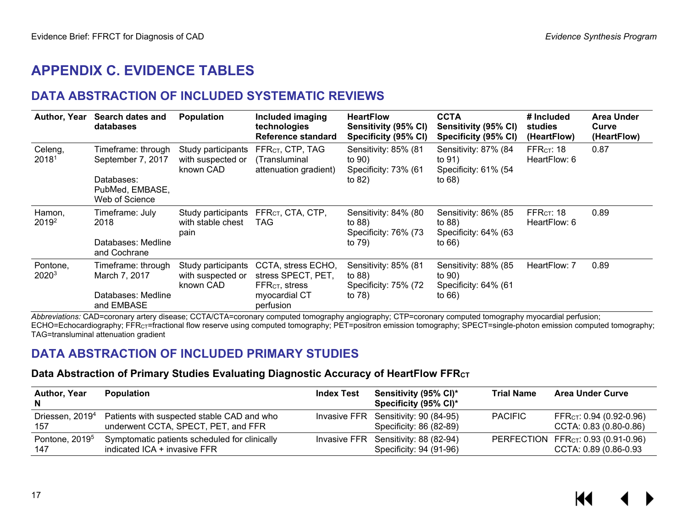## **APPENDIX C. EVIDENCE TABLES**

## **DATA ABSTRACTION OF INCLUDED SYSTEMATIC REVIEWS**

| <b>Author, Year</b>           | Search dates and<br>databases                   | <b>Population</b>                                    | Included imaging<br>technologies<br>Reference standard                            | <b>HeartFlow</b><br>Sensitivity (95% CI)<br>Specificity (95% CI) | <b>CCTA</b><br>Sensitivity (95% CI)<br>Specificity (95% CI) | # Included<br>studies<br>(HeartFlow)   | Area Under<br>Curve<br>(HeartFlow) |
|-------------------------------|-------------------------------------------------|------------------------------------------------------|-----------------------------------------------------------------------------------|------------------------------------------------------------------|-------------------------------------------------------------|----------------------------------------|------------------------------------|
| Celeng,<br>2018 <sup>1</sup>  | Timeframe: through<br>September 7, 2017         | Study participants<br>with suspected or<br>known CAD | FFR <sub>CT</sub> , CTP, TAG<br>(Transluminal<br>attenuation gradient)            | Sensitivity: 85% (81<br>to 90)<br>Specificity: 73% (61           | Sensitivity: 87% (84<br>to 91)<br>Specificity: 61% (54      | FFR $cr: 18$<br>HeartFlow: 6           | 0.87                               |
|                               | Databases:<br>PubMed, EMBASE,<br>Web of Science |                                                      |                                                                                   | to $82)$                                                         | to $68)$                                                    |                                        |                                    |
| Hamon,<br>2019 <sup>2</sup>   | Timeframe: July<br>2018                         | Study participants<br>with stable chest<br>pain      | FFR <sub>CT</sub> , CTA, CTP,<br>TAG.                                             | Sensitivity: 84% (80<br>to 88)<br>Specificity: 76% (73           | Sensitivity: 86% (85<br>to $88)$<br>Specificity: 64% (63    | FFR <sub>CT</sub> : 18<br>HeartFlow: 6 | 0.89                               |
|                               | Databases: Medline<br>and Cochrane              |                                                      |                                                                                   | to 79)                                                           | to $66)$                                                    |                                        |                                    |
| Pontone,<br>2020 <sup>3</sup> | Timeframe: through<br>March 7, 2017             | Study participants<br>with suspected or<br>known CAD | CCTA, stress ECHO,<br>stress SPECT, PET,<br>$\mathsf{FFR}_{\mathsf{CT}}$ , stress | Sensitivity: 85% (81<br>to $88)$<br>Specificity: 75% (72         | Sensitivity: 88% (85<br>to 90)<br>Specificity: 64% (61      | HeartFlow: 7                           | 0.89                               |
|                               | Databases: Medline<br>and EMBASE                |                                                      | myocardial CT<br>perfusion                                                        | to 78)                                                           | to $66)$                                                    |                                        |                                    |

<span id="page-18-1"></span><span id="page-18-0"></span>*Abbreviations:* CAD=coronary artery disease; CCTA/CTA=coronary computed tomography angiography; CTP=coronary computed tomography myocardial perfusion; ECHO=Echocardiography; FFRcT=fractional flow reserve using computed tomography; PET=positron emission tomography; SPECT=single-photon emission computed tomography; TAG=transluminal attenuation gradient

### **DATA ABSTRACTION OF INCLUDED PRIMARY STUDIES**

#### **Data Abstraction of Primary Studies Evaluating Diagnostic Accuracy of HeartFlow FFRCT**

<span id="page-18-3"></span><span id="page-18-2"></span>

| <b>Author, Year</b><br>N.          | <b>Population</b>                                                                 | <b>Index Test</b> | Sensitivity (95% CI)*<br>Specificity (95% CI)*                  | <b>Trial Name</b> | <b>Area Under Curve</b>                                        |
|------------------------------------|-----------------------------------------------------------------------------------|-------------------|-----------------------------------------------------------------|-------------------|----------------------------------------------------------------|
| Driessen, 2019 <sup>4</sup><br>157 | Patients with suspected stable CAD and who<br>underwent CCTA, SPECT, PET, and FFR |                   | Invasive FFR Sensitivity: 90 (84-95)<br>Specificity: 86 (82-89) | <b>PACIFIC</b>    | FFR <sub>CT</sub> : 0.94 (0.92-0.96)<br>CCTA: 0.83 (0.80-0.86) |
| Pontone, 2019 <sup>5</sup><br>147  | Symptomatic patients scheduled for clinically<br>indicated ICA + invasive FFR     |                   | Invasive FFR Sensitivity: 88 (82-94)<br>Specificity: 94 (91-96) |                   | PERFECTION FFRCT: 0.93 (0.91-0.96)<br>CCTA: 0.89 (0.86-0.93    |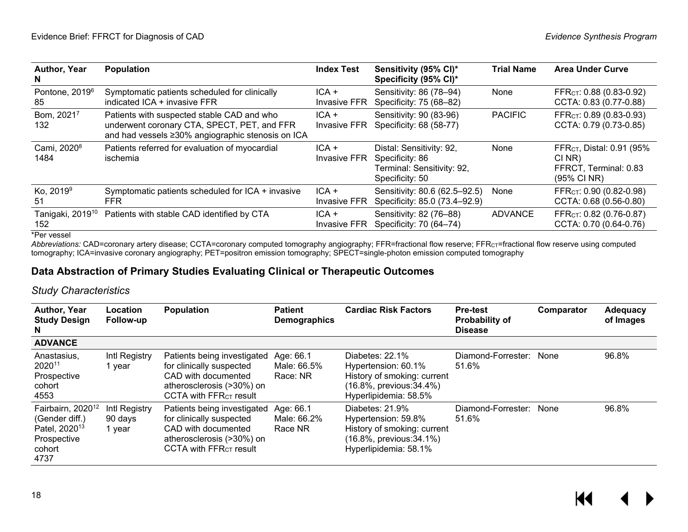| Author, Year<br>N                   | <b>Population</b>                                                                                                                              | <b>Index Test</b>              | Sensitivity (95% CI)*<br>Specificity (95% CI)*                                               | <b>Trial Name</b> | <b>Area Under Curve</b>                                                                 |
|-------------------------------------|------------------------------------------------------------------------------------------------------------------------------------------------|--------------------------------|----------------------------------------------------------------------------------------------|-------------------|-----------------------------------------------------------------------------------------|
| Pontone, 2019 <sup>6</sup><br>85    | Symptomatic patients scheduled for clinically<br>indicated ICA + invasive FFR                                                                  | $ICA +$<br><b>Invasive FFR</b> | Sensitivity: 86 (78-94)<br>Specificity: 75 (68-82)                                           | None              | FFR <sub>CT</sub> : 0.88 (0.83-0.92)<br>CCTA: 0.83 (0.77-0.88)                          |
| Bom, 20217<br>132                   | Patients with suspected stable CAD and who<br>underwent coronary CTA, SPECT, PET, and FFR<br>and had vessels ≥30% angiographic stenosis on ICA | $ICA +$<br><b>Invasive FFR</b> | Sensitivity: 90 (83-96)<br>Specificity: 68 (58-77)                                           | <b>PACIFIC</b>    | FFR <sub>CT</sub> : 0.89 (0.83-0.93)<br>CCTA: 0.79 (0.73-0.85)                          |
| Cami, 2020 <sup>8</sup><br>1484     | Patients referred for evaluation of myocardial<br>ischemia                                                                                     | $ICA +$<br><b>Invasive FFR</b> | Distal: Sensitivity: 92,<br>Specificity: 86<br>Terminal: Sensitivity: 92,<br>Specificity: 50 | None              | FFR <sub>CT</sub> , Distal: 0.91 (95%<br>CI NR)<br>FFRCT, Terminal: 0.83<br>(95% CI NR) |
| Ko, 2019 <sup>9</sup><br>51         | Symptomatic patients scheduled for ICA + invasive<br>FFR.                                                                                      | $ICA +$<br><b>Invasive FFR</b> | Sensitivity: 80.6 (62.5-92.5)<br>Specificity: 85.0 (73.4-92.9)                               | None              | FFR <sub>CT</sub> : 0.90 (0.82-0.98)<br>CCTA: 0.68 (0.56-0.80)                          |
| Tanigaki, 2019 <sup>10</sup><br>152 | Patients with stable CAD identified by CTA                                                                                                     | $ICA +$<br><b>Invasive FFR</b> | Sensitivity: 82 (76-88)<br>Specificity: 70 (64-74)                                           | <b>ADVANCE</b>    | FFR <sub>CT</sub> : 0.82 (0.76-0.87)<br>CCTA: 0.70 (0.64-0.76)                          |

\*Per vessel

*Abbreviations:* CAD=coronary artery disease; CCTA=coronary computed tomography angiography; FFR=fractional flow reserve; FFRCT=fractional flow reserve using computed tomography; ICA=invasive coronary angiography; PET=positron emission tomography; SPECT=single-photon emission computed tomography

#### **Data Abstraction of Primary Studies Evaluating Clinical or Therapeutic Outcomes**

#### *Study Characteristics*

<span id="page-19-0"></span>

| Author, Year<br><b>Study Design</b><br>N                                                                      | Location<br>Follow-up              | <b>Population</b>                                                                                                                                 | <b>Patient</b><br><b>Demographics</b> | <b>Cardiac Risk Factors</b>                                                                                                | <b>Pre-test</b><br><b>Probability of</b><br><b>Disease</b> | Comparator | Adequacy<br>of Images |
|---------------------------------------------------------------------------------------------------------------|------------------------------------|---------------------------------------------------------------------------------------------------------------------------------------------------|---------------------------------------|----------------------------------------------------------------------------------------------------------------------------|------------------------------------------------------------|------------|-----------------------|
| <b>ADVANCE</b>                                                                                                |                                    |                                                                                                                                                   |                                       |                                                                                                                            |                                                            |            |                       |
| Anastasius,<br>2020 <sup>11</sup><br>Prospective<br>cohort<br>4553                                            | Intl Registry<br>1 year            | Patients being investigated<br>for clinically suspected<br>CAD with documented<br>atherosclerosis (>30%) on<br>CCTA with $FFRCT$ result           | Age: 66.1<br>Male: 66.5%<br>Race: NR  | Diabetes: 22.1%<br>Hypertension: 60.1%<br>History of smoking: current<br>(16.8%, previous: 34.4%)<br>Hyperlipidemia: 58.5% | Diamond-Forrester: None<br>51.6%                           |            | 96.8%                 |
| Fairbairn, 2020 <sup>12</sup><br>(Gender diff.)<br>Patel, 2020 <sup>13</sup><br>Prospective<br>cohort<br>4737 | Intl Registry<br>90 days<br>1 year | Patients being investigated<br>for clinically suspected<br>CAD with documented<br>atherosclerosis (>30%) on<br>CCTA with FFR <sub>CT</sub> result | Age: 66.1<br>Male: 66.2%<br>Race NR   | Diabetes: 21.9%<br>Hypertension: 59.8%<br>History of smoking: current<br>(16.8%, previous:34.1%)<br>Hyperlipidemia: 58.1%  | Diamond-Forrester: None<br>51.6%                           |            | 96.8%                 |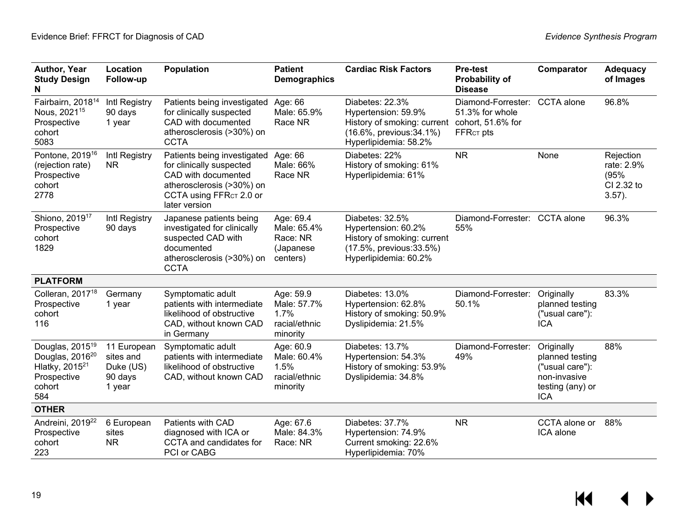| Author, Year<br><b>Study Design</b><br>N                                                                                 | Location<br>Follow-up                                      | <b>Population</b>                                                                                                                                                   | <b>Patient</b><br><b>Demographics</b>                         | <b>Cardiac Risk Factors</b>                                                                                                | <b>Pre-test</b><br><b>Probability of</b><br><b>Disease</b>                | Comparator                                                                                         | <b>Adequacy</b><br>of Images                               |
|--------------------------------------------------------------------------------------------------------------------------|------------------------------------------------------------|---------------------------------------------------------------------------------------------------------------------------------------------------------------------|---------------------------------------------------------------|----------------------------------------------------------------------------------------------------------------------------|---------------------------------------------------------------------------|----------------------------------------------------------------------------------------------------|------------------------------------------------------------|
| Fairbairn, 2018 <sup>14</sup><br>Nous, 2021 <sup>15</sup><br>Prospective<br>cohort<br>5083                               | Intl Registry<br>90 days<br>1 year                         | Patients being investigated<br>for clinically suspected<br>CAD with documented<br>atherosclerosis (>30%) on<br><b>CCTA</b>                                          | Age: 66<br>Male: 65.9%<br>Race NR                             | Diabetes: 22.3%<br>Hypertension: 59.9%<br>History of smoking: current<br>(16.6%, previous: 34.1%)<br>Hyperlipidemia: 58.2% | Diamond-Forrester:<br>51.3% for whole<br>cohort, 51.6% for<br>$FFRCT$ pts | CCTA alone                                                                                         | 96.8%                                                      |
| Pontone, 2019 <sup>16</sup><br>(rejection rate)<br>Prospective<br>cohort<br>2778                                         | Intl Registry<br><b>NR</b>                                 | Patients being investigated<br>for clinically suspected<br>CAD with documented<br>atherosclerosis (>30%) on<br>CCTA using FFR <sub>CT</sub> 2.0 or<br>later version | Age: 66<br>Male: 66%<br>Race NR                               | Diabetes: 22%<br>History of smoking: 61%<br>Hyperlipidemia: 61%                                                            | <b>NR</b>                                                                 | None                                                                                               | Rejection<br>rate: 2.9%<br>(95%<br>CI 2.32 to<br>$3.57$ ). |
| Shiono, 2019 <sup>17</sup><br>Prospective<br>cohort<br>1829                                                              | Intl Registry<br>90 days                                   | Japanese patients being<br>investigated for clinically<br>suspected CAD with<br>documented<br>atherosclerosis (>30%) on<br><b>CCTA</b>                              | Age: 69.4<br>Male: 65.4%<br>Race: NR<br>(Japanese<br>centers) | Diabetes: 32.5%<br>Hypertension: 60.2%<br>History of smoking: current<br>(17.5%, previous: 33.5%)<br>Hyperlipidemia: 60.2% | Diamond-Forrester: CCTA alone<br>55%                                      |                                                                                                    | 96.3%                                                      |
| <b>PLATFORM</b>                                                                                                          |                                                            |                                                                                                                                                                     |                                                               |                                                                                                                            |                                                                           |                                                                                                    |                                                            |
| Colleran, 2017 <sup>18</sup><br>Prospective<br>cohort<br>116                                                             | Germany<br>1 year                                          | Symptomatic adult<br>patients with intermediate<br>likelihood of obstructive<br>CAD, without known CAD<br>in Germany                                                | Age: 59.9<br>Male: 57.7%<br>1.7%<br>racial/ethnic<br>minority | Diabetes: 13.0%<br>Hypertension: 62.8%<br>History of smoking: 50.9%<br>Dyslipidemia: 21.5%                                 | Diamond-Forrester:<br>50.1%                                               | Originally<br>planned testing<br>("usual care"):<br><b>ICA</b>                                     | 83.3%                                                      |
| Douglas, 2015 <sup>19</sup><br>Douglas, 2016 <sup>20</sup><br>Hlatky, 2015 <sup>21</sup><br>Prospective<br>cohort<br>584 | 11 European<br>sites and<br>Duke (US)<br>90 days<br>1 year | Symptomatic adult<br>patients with intermediate<br>likelihood of obstructive<br>CAD, without known CAD                                                              | Age: 60.9<br>Male: 60.4%<br>1.5%<br>racial/ethnic<br>minority | Diabetes: 13.7%<br>Hypertension: 54.3%<br>History of smoking: 53.9%<br>Dyslipidemia: 34.8%                                 | Diamond-Forrester:<br>49%                                                 | Originally<br>planned testing<br>("usual care"):<br>non-invasive<br>testing (any) or<br><b>ICA</b> | 88%                                                        |
| <b>OTHER</b>                                                                                                             |                                                            |                                                                                                                                                                     |                                                               |                                                                                                                            |                                                                           |                                                                                                    |                                                            |
| Andreini, 2019 <sup>22</sup><br>Prospective<br>cohort<br>223                                                             | 6 European<br>sites<br><b>NR</b>                           | Patients with CAD<br>diagnosed with ICA or<br>CCTA and candidates for<br>PCI or CABG                                                                                | Age: 67.6<br>Male: 84.3%<br>Race: NR                          | Diabetes: 37.7%<br>Hypertension: 74.9%<br>Current smoking: 22.6%<br>Hyperlipidemia: 70%                                    | <b>NR</b>                                                                 | CCTA alone or<br>ICA alone                                                                         | 88%                                                        |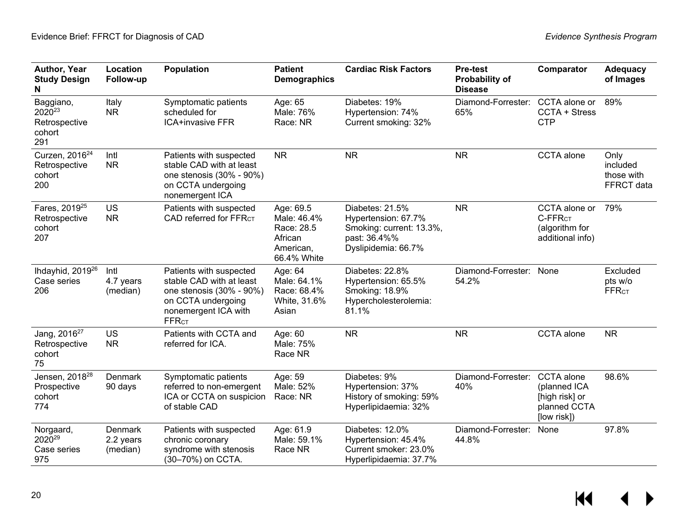| Author, Year<br><b>Study Design</b><br>N                          | Location<br>Follow-up                   | <b>Population</b>                                                                                                                                        | <b>Patient</b><br><b>Demographics</b>                                         | <b>Cardiac Risk Factors</b>                                                                               | <b>Pre-test</b><br>Probability of<br><b>Disease</b> | Comparator                                                                         | <b>Adequacy</b><br>of Images                   |
|-------------------------------------------------------------------|-----------------------------------------|----------------------------------------------------------------------------------------------------------------------------------------------------------|-------------------------------------------------------------------------------|-----------------------------------------------------------------------------------------------------------|-----------------------------------------------------|------------------------------------------------------------------------------------|------------------------------------------------|
| Baggiano,<br>2020 <sup>23</sup><br>Retrospective<br>cohort<br>291 | Italy<br><b>NR</b>                      | Symptomatic patients<br>scheduled for<br><b>ICA+invasive FFR</b>                                                                                         | Age: 65<br>Male: 76%<br>Race: NR                                              | Diabetes: 19%<br>Hypertension: 74%<br>Current smoking: 32%                                                | Diamond-Forrester:<br>65%                           | CCTA alone or<br>CCTA + Stress<br><b>CTP</b>                                       | 89%                                            |
| Curzen, 2016 <sup>24</sup><br>Retrospective<br>cohort<br>200      | Intl<br><b>NR</b>                       | Patients with suspected<br>stable CAD with at least<br>one stenosis (30% - 90%)<br>on CCTA undergoing<br>nonemergent ICA                                 | <b>NR</b>                                                                     | <b>NR</b>                                                                                                 | <b>NR</b>                                           | CCTA alone                                                                         | Only<br>included<br>those with<br>FFRCT data   |
| Fares, 2019 <sup>25</sup><br>Retrospective<br>cohort<br>207       | US<br><b>NR</b>                         | Patients with suspected<br>CAD referred for FFR <sub>CT</sub>                                                                                            | Age: 69.5<br>Male: 46.4%<br>Race: 28.5<br>African<br>American,<br>66.4% White | Diabetes: 21.5%<br>Hypertension: 67.7%<br>Smoking: current: 13.3%,<br>past: 36.4%%<br>Dyslipidemia: 66.7% | <b>NR</b>                                           | CCTA alone or<br>C-FFR <sub>CT</sub><br>(algorithm for<br>additional info)         | 79%                                            |
| Ihdayhid, 2019 <sup>26</sup><br>Case series<br>206                | Intl<br>4.7 years<br>(median)           | Patients with suspected<br>stable CAD with at least<br>one stenosis (30% - 90%)<br>on CCTA undergoing<br>nonemergent ICA with<br><b>FFR<sub>CT</sub></b> | Age: 64<br>Male: 64.1%<br>Race: 68.4%<br>White, 31.6%<br>Asian                | Diabetes: 22.8%<br>Hypertension: 65.5%<br>Smoking: 18.9%<br>Hypercholesterolemia:<br>81.1%                | Diamond-Forrester: None<br>54.2%                    |                                                                                    | Excluded<br>pts w/o<br><b>FFR<sub>CT</sub></b> |
| Jang, 2016 <sup>27</sup><br>Retrospective<br>cohort<br>75         | <b>US</b><br><b>NR</b>                  | Patients with CCTA and<br>referred for ICA.                                                                                                              | Age: 60<br>Male: 75%<br>Race NR                                               | <b>NR</b>                                                                                                 | <b>NR</b>                                           | CCTA alone                                                                         | <b>NR</b>                                      |
| Jensen, 2018 <sup>28</sup><br>Prospective<br>cohort<br>774        | Denmark<br>90 days                      | Symptomatic patients<br>referred to non-emergent<br>ICA or CCTA on suspicion<br>of stable CAD                                                            | Age: 59<br>Male: 52%<br>Race: NR                                              | Diabetes: 9%<br>Hypertension: 37%<br>History of smoking: 59%<br>Hyperlipidaemia: 32%                      | Diamond-Forrester:<br>40%                           | <b>CCTA</b> alone<br>(planned ICA<br>[high risk] or<br>planned CCTA<br>[low risk]) | 98.6%                                          |
| Norgaard,<br>2020 <sup>29</sup><br>Case series<br>975             | <b>Denmark</b><br>2.2 years<br>(median) | Patients with suspected<br>chronic coronary<br>syndrome with stenosis<br>(30-70%) on CCTA.                                                               | Age: 61.9<br>Male: 59.1%<br>Race NR                                           | Diabetes: 12.0%<br>Hypertension: 45.4%<br>Current smoker: 23.0%<br>Hyperlipidaemia: 37.7%                 | Diamond-Forrester:<br>44.8%                         | None                                                                               | 97.8%                                          |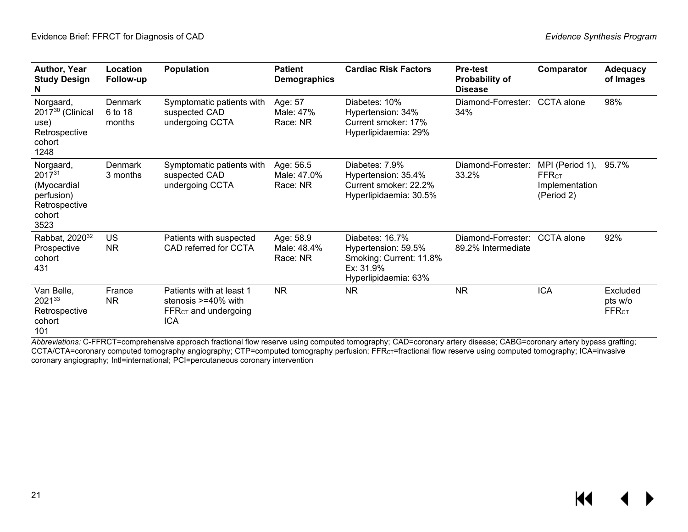| Author, Year<br><b>Study Design</b><br>N                                             | Location<br>Follow-up               | <b>Population</b>                                                                                    | <b>Patient</b><br><b>Demographics</b> | <b>Cardiac Risk Factors</b>                                                                            | <b>Pre-test</b><br>Probability of<br><b>Disease</b> | Comparator                                                      | <b>Adequacy</b><br>of Images        |
|--------------------------------------------------------------------------------------|-------------------------------------|------------------------------------------------------------------------------------------------------|---------------------------------------|--------------------------------------------------------------------------------------------------------|-----------------------------------------------------|-----------------------------------------------------------------|-------------------------------------|
| Norgaard,<br>2017 <sup>30</sup> (Clinical<br>use)<br>Retrospective<br>cohort<br>1248 | <b>Denmark</b><br>6 to 18<br>months | Symptomatic patients with<br>suspected CAD<br>undergoing CCTA                                        | Age: 57<br>Male: 47%<br>Race: NR      | Diabetes: 10%<br>Hypertension: 34%<br>Current smoker: 17%<br>Hyperlipidaemia: 29%                      | Diamond-Forrester:<br>34%                           | CCTA alone                                                      | 98%                                 |
| Norgaard,<br>201731<br>(Myocardial<br>perfusion)<br>Retrospective<br>cohort<br>3523  | Denmark<br>3 months                 | Symptomatic patients with<br>suspected CAD<br>undergoing CCTA                                        | Age: 56.5<br>Male: 47.0%<br>Race: NR  | Diabetes: 7.9%<br>Hypertension: 35.4%<br>Current smoker: 22.2%<br>Hyperlipidaemia: 30.5%               | Diamond-Forrester:<br>33.2%                         | MPI (Period 1),<br><b>FFRCT</b><br>Implementation<br>(Period 2) | 95.7%                               |
| Rabbat, 2020 <sup>32</sup><br>Prospective<br>cohort<br>431                           | US<br><b>NR</b>                     | Patients with suspected<br>CAD referred for CCTA                                                     | Age: 58.9<br>Male: 48.4%<br>Race: NR  | Diabetes: 16.7%<br>Hypertension: 59.5%<br>Smoking: Current: 11.8%<br>Ex: 31.9%<br>Hyperlipidaemia: 63% | Diamond-Forrester:<br>89.2% Intermediate            | <b>CCTA</b> alone                                               | 92%                                 |
| Van Belle,<br>202133<br>Retrospective<br>cohort<br>101                               | France<br><b>NR</b>                 | Patients with at least 1<br>stenosis $>=$ 40% with<br>FFR <sub>CT</sub> and undergoing<br><b>ICA</b> | <b>NR</b>                             | <b>NR</b>                                                                                              | <b>NR</b>                                           | <b>ICA</b>                                                      | Excluded<br>pts w/o<br><b>FFRCT</b> |

*Abbreviations:* C-FFRCT=comprehensive approach fractional flow reserve using computed tomography; CAD=coronary artery disease; CABG=coronary artery bypass grafting; CCTA/CTA=coronary computed tomography angiography; CTP=computed tomography perfusion; FFR $_{\rm CT}$ =fractional flow reserve using computed tomography; ICA=invasive coronary angiography; Intl=international; PCI=percutaneous coronary intervention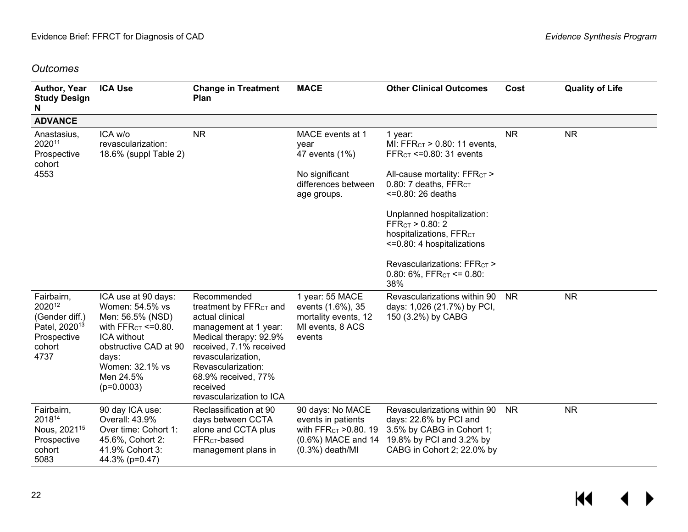### *Outcomes*

| Author, Year<br><b>Study Design</b><br>N                                                             | <b>ICA Use</b>                                                                                                                                                                                | <b>Change in Treatment</b><br>Plan                                                                                                                                                                                                                            | <b>MACE</b>                                                                                                                | <b>Other Clinical Outcomes</b>                                                                                                                | Cost      | <b>Quality of Life</b> |
|------------------------------------------------------------------------------------------------------|-----------------------------------------------------------------------------------------------------------------------------------------------------------------------------------------------|---------------------------------------------------------------------------------------------------------------------------------------------------------------------------------------------------------------------------------------------------------------|----------------------------------------------------------------------------------------------------------------------------|-----------------------------------------------------------------------------------------------------------------------------------------------|-----------|------------------------|
| <b>ADVANCE</b>                                                                                       |                                                                                                                                                                                               |                                                                                                                                                                                                                                                               |                                                                                                                            |                                                                                                                                               |           |                        |
| Anastasius,<br>202011<br>Prospective<br>cohort                                                       | ICA w/o<br>revascularization:<br>18.6% (suppl Table 2)                                                                                                                                        | <b>NR</b>                                                                                                                                                                                                                                                     | MACE events at 1<br>year<br>47 events (1%)                                                                                 | 1 year:<br>MI: FFR $c_7$ > 0.80: 11 events,<br>FFR $c$ <sup><math>=</math></sup> $0.80$ : 31 events                                           | <b>NR</b> | <b>NR</b>              |
| 4553                                                                                                 |                                                                                                                                                                                               |                                                                                                                                                                                                                                                               | No significant<br>differences between<br>age groups.                                                                       | All-cause mortality: FFRCT ><br>0.80: 7 deaths, FFRCT<br>$=0.80:26$ deaths                                                                    |           |                        |
|                                                                                                      |                                                                                                                                                                                               |                                                                                                                                                                                                                                                               |                                                                                                                            | Unplanned hospitalization:<br>FFR <sub>CT</sub> > 0.80: 2<br>hospitalizations, FFRCT<br><= 0.80: 4 hospitalizations                           |           |                        |
|                                                                                                      |                                                                                                                                                                                               |                                                                                                                                                                                                                                                               |                                                                                                                            | Revascularizations: FFRCT ><br>0.80: $6\%$ , FFR $cT \le 0.80$ :<br>38%                                                                       |           |                        |
| Fairbairn,<br>202012<br>(Gender diff.)<br>Patel, 2020 <sup>13</sup><br>Prospective<br>cohort<br>4737 | ICA use at 90 days:<br>Women: 54.5% vs<br>Men: 56.5% (NSD)<br>with $FFRCT \le 0.80$ .<br><b>ICA without</b><br>obstructive CAD at 90<br>days:<br>Women: 32.1% vs<br>Men 24.5%<br>$(p=0.0003)$ | Recommended<br>treatment by FFR <sub>CT</sub> and<br>actual clinical<br>management at 1 year:<br>Medical therapy: 92.9%<br>received, 7.1% received<br>revascularization,<br>Revascularization:<br>68.9% received, 77%<br>received<br>revascularization to ICA | 1 year: 55 MACE<br>events (1.6%), 35<br>mortality events, 12<br>MI events, 8 ACS<br>events                                 | Revascularizations within 90<br>days: 1,026 (21.7%) by PCI,<br>150 (3.2%) by CABG                                                             | <b>NR</b> | <b>NR</b>              |
| Fairbairn,<br>201814<br>Nous, 2021 <sup>15</sup><br>Prospective<br>cohort<br>5083                    | 90 day ICA use:<br>Overall: 43.9%<br>Over time: Cohort 1:<br>45.6%, Cohort 2:<br>41.9% Cohort 3:<br>44.3% (p=0.47)                                                                            | Reclassification at 90<br>days between CCTA<br>alone and CCTA plus<br>FFR <sub>CT</sub> -based<br>management plans in                                                                                                                                         | 90 days: No MACE<br>events in patients<br>with FFR <sub>CT</sub> > 0.80. 19<br>$(0.6\%)$ MACE and 14<br>$(0.3\%)$ death/MI | Revascularizations within 90<br>days: 22.6% by PCI and<br>3.5% by CABG in Cohort 1;<br>19.8% by PCI and 3.2% by<br>CABG in Cohort 2; 22.0% by | <b>NR</b> | <b>NR</b>              |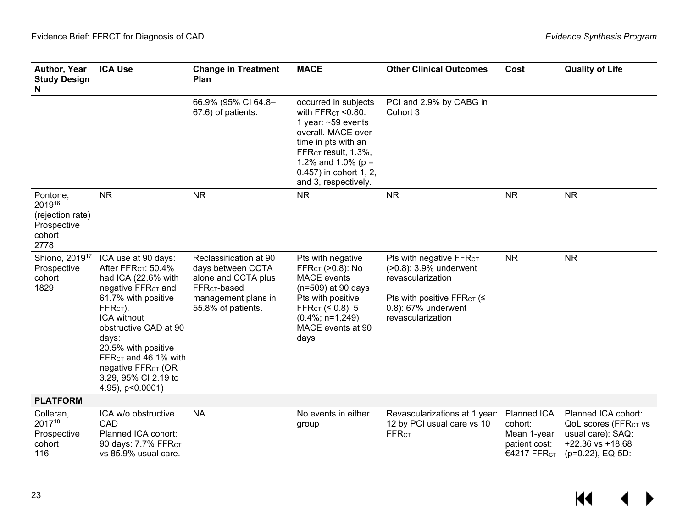| Author, Year<br><b>Study Design</b><br>N                                | <b>ICA Use</b>                                                                                                                                                                                                                                                                                                                                  | <b>Change in Treatment</b><br>Plan                                                                                                          | <b>MACE</b>                                                                                                                                                                                                                      | <b>Other Clinical Outcomes</b>                                                                                                                                        | Cost                                                                              | <b>Quality of Life</b>                                                                                                   |
|-------------------------------------------------------------------------|-------------------------------------------------------------------------------------------------------------------------------------------------------------------------------------------------------------------------------------------------------------------------------------------------------------------------------------------------|---------------------------------------------------------------------------------------------------------------------------------------------|----------------------------------------------------------------------------------------------------------------------------------------------------------------------------------------------------------------------------------|-----------------------------------------------------------------------------------------------------------------------------------------------------------------------|-----------------------------------------------------------------------------------|--------------------------------------------------------------------------------------------------------------------------|
|                                                                         |                                                                                                                                                                                                                                                                                                                                                 | 66.9% (95% CI 64.8-<br>67.6) of patients.                                                                                                   | occurred in subjects<br>with $FFRCT < 0.80$ .<br>1 year: $~59$ events<br>overall. MACE over<br>time in pts with an<br>FFR <sub>CT</sub> result, 1.3%,<br>1.2% and 1.0% ( $p =$<br>0.457) in cohort 1, 2,<br>and 3, respectively. | PCI and 2.9% by CABG in<br>Cohort 3                                                                                                                                   |                                                                                   |                                                                                                                          |
| Pontone,<br>201916<br>(rejection rate)<br>Prospective<br>cohort<br>2778 | <b>NR</b>                                                                                                                                                                                                                                                                                                                                       | <b>NR</b>                                                                                                                                   | <b>NR</b>                                                                                                                                                                                                                        | <b>NR</b>                                                                                                                                                             | <b>NR</b>                                                                         | <b>NR</b>                                                                                                                |
| Shiono, 2019 <sup>17</sup><br>Prospective<br>cohort<br>1829             | ICA use at 90 days:<br>After FFR <sub>CT</sub> : 50.4%<br>had ICA (22.6% with<br>negative FFR <sub>CT</sub> and<br>61.7% with positive<br>FFR <sub>CT</sub> ).<br>ICA without<br>obstructive CAD at 90<br>days:<br>20.5% with positive<br>FFR $cT$ and 46.1% with<br>negative FFR <sub>CT</sub> (OR<br>3.29, 95% CI 2.19 to<br>4.95), p<0.0001) | Reclassification at 90<br>days between CCTA<br>alone and CCTA plus<br>FFR <sub>CT</sub> -based<br>management plans in<br>55.8% of patients. | Pts with negative<br>FFR <sub>CT</sub> (>0.8): No<br><b>MACE</b> events<br>$(n=509)$ at 90 days<br>Pts with positive<br>FFR <sub>CT</sub> $(≤ 0.8): 5$<br>$(0.4\%; n=1,249)$<br>MACE events at 90<br>days                        | Pts with negative FFR <sub>CT</sub><br>(>0.8): 3.9% underwent<br>revascularization<br>Pts with positive FFR $cr$ ( $\leq$<br>0.8): 67% underwent<br>revascularization | <b>NR</b>                                                                         | <b>NR</b>                                                                                                                |
| <b>PLATFORM</b>                                                         |                                                                                                                                                                                                                                                                                                                                                 |                                                                                                                                             |                                                                                                                                                                                                                                  |                                                                                                                                                                       |                                                                                   |                                                                                                                          |
| Colleran,<br>201718<br>Prospective<br>cohort<br>116                     | ICA w/o obstructive<br>CAD<br>Planned ICA cohort:<br>90 days: 7.7% FFRCT<br>vs 85.9% usual care.                                                                                                                                                                                                                                                | <b>NA</b>                                                                                                                                   | No events in either<br>group                                                                                                                                                                                                     | Revascularizations at 1 year:<br>12 by PCI usual care vs 10<br><b>FFRCT</b>                                                                                           | Planned ICA<br>cohort:<br>Mean 1-year<br>patient cost:<br>€4217 FFR <sub>CT</sub> | Planned ICA cohort:<br>QoL scores (FFR <sub>CT</sub> vs<br>usual care): SAQ:<br>$+22.36$ vs $+18.68$<br>(p=0.22), EQ-5D: |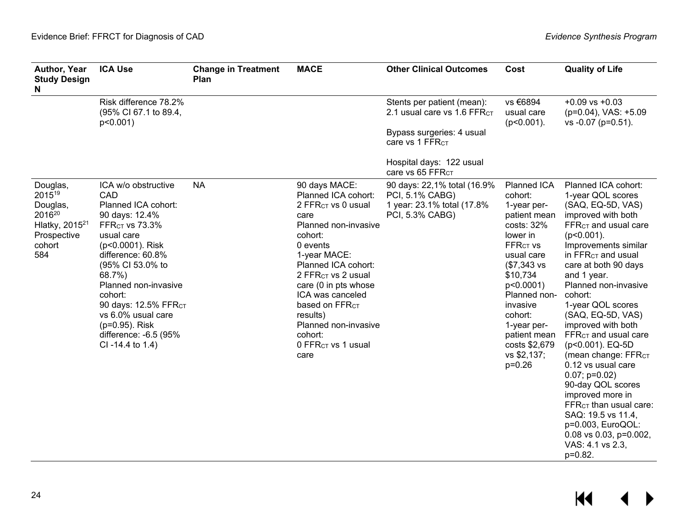| Author, Year<br><b>Study Design</b><br>N                                                                    | <b>ICA Use</b>                                                                                                                                                                                                                                                                                                                     | <b>Change in Treatment</b><br>Plan | <b>MACE</b>                                                                                                                                                                                                                                                                                                                                                   | <b>Other Clinical Outcomes</b>                                                                                                                                        | Cost                                                                                                                                                                                                                                                                                   | <b>Quality of Life</b>                                                                                                                                                                                                                                                                                                                                                                                                                                                                                                                                                                                                                        |
|-------------------------------------------------------------------------------------------------------------|------------------------------------------------------------------------------------------------------------------------------------------------------------------------------------------------------------------------------------------------------------------------------------------------------------------------------------|------------------------------------|---------------------------------------------------------------------------------------------------------------------------------------------------------------------------------------------------------------------------------------------------------------------------------------------------------------------------------------------------------------|-----------------------------------------------------------------------------------------------------------------------------------------------------------------------|----------------------------------------------------------------------------------------------------------------------------------------------------------------------------------------------------------------------------------------------------------------------------------------|-----------------------------------------------------------------------------------------------------------------------------------------------------------------------------------------------------------------------------------------------------------------------------------------------------------------------------------------------------------------------------------------------------------------------------------------------------------------------------------------------------------------------------------------------------------------------------------------------------------------------------------------------|
|                                                                                                             | Risk difference 78.2%<br>(95% CI 67.1 to 89.4,<br>$p<0.001$ )                                                                                                                                                                                                                                                                      |                                    |                                                                                                                                                                                                                                                                                                                                                               | Stents per patient (mean):<br>2.1 usual care vs 1.6 FFRCT<br>Bypass surgeries: 4 usual<br>care vs 1 FFR <sub>CT</sub><br>Hospital days: 122 usual<br>care vs 65 FFRCT | vs €6894<br>usual care<br>$(p<0.001)$ .                                                                                                                                                                                                                                                | $+0.09$ vs $+0.03$<br>$(p=0.04)$ , VAS: $+5.09$<br>vs -0.07 (p=0.51).                                                                                                                                                                                                                                                                                                                                                                                                                                                                                                                                                                         |
| Douglas,<br>201519<br>Douglas,<br>2016 <sup>20</sup><br>Hlatky, $2015^{21}$<br>Prospective<br>cohort<br>584 | ICA w/o obstructive<br>CAD<br>Planned ICA cohort:<br>90 days: 12.4%<br>FFR $cr$ vs 73.3%<br>usual care<br>(p<0.0001). Risk<br>difference: 60.8%<br>(95% CI 53.0% to<br>68.7%)<br>Planned non-invasive<br>cohort:<br>90 days: 12.5% FFRCT<br>vs 6.0% usual care<br>(p=0.95). Risk<br>difference: -6.5 (95%<br>$Cl - 14.4$ to $1.4)$ | <b>NA</b>                          | 90 days MACE:<br>Planned ICA cohort:<br>2 FFR <sub>CT</sub> vs 0 usual<br>care<br>Planned non-invasive<br>cohort:<br>0 events<br>1-year MACE:<br>Planned ICA cohort:<br>2 FFRCT vs 2 usual<br>care (0 in pts whose<br>ICA was canceled<br>based on FFR <sub>CT</sub><br>results)<br>Planned non-invasive<br>cohort:<br>0 FFR <sub>CT</sub> vs 1 usual<br>care | 90 days: 22,1% total (16.9%<br>PCI, 5.1% CABG)<br>1 year: 23.1% total (17.8%<br>PCI, 5.3% CABG)                                                                       | Planned ICA<br>cohort:<br>1-year per-<br>patient mean<br>costs: 32%<br>lower in<br><b>FFRCT VS</b><br>usual care<br>$($7,343 \text{ vs}$<br>\$10,734<br>$p<0.0001$ )<br>Planned non-<br>invasive<br>cohort:<br>1-year per-<br>patient mean<br>costs \$2,679<br>vs \$2,137;<br>$p=0.26$ | Planned ICA cohort:<br>1-year QOL scores<br>(SAQ, EQ-5D, VAS)<br>improved with both<br>FFR <sub>CT</sub> and usual care<br>$(p<0.001)$ .<br>Improvements similar<br>in $FFRCT$ and usual<br>care at both 90 days<br>and 1 year.<br>Planned non-invasive<br>cohort:<br>1-year QOL scores<br>(SAQ, EQ-5D, VAS)<br>improved with both<br>FFR <sub>CT</sub> and usual care<br>(p<0.001). EQ-5D<br>(mean change: FFRCT<br>0.12 vs usual care<br>$0.07; p=0.02$<br>90-day QOL scores<br>improved more in<br>$FFRCT$ than usual care:<br>SAQ: 19.5 vs 11.4,<br>$p=0.003$ , EuroQOL:<br>$0.08$ vs $0.03$ , $p=0.002$ ,<br>VAS: 4.1 vs 2.3,<br>p=0.82. |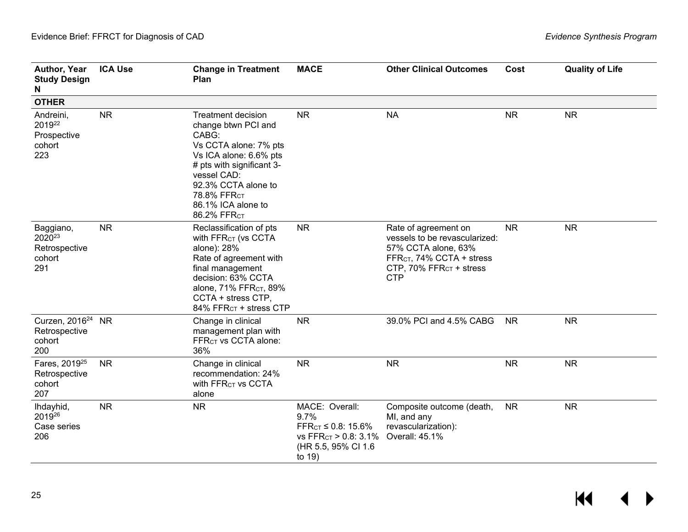| Author, Year<br><b>Study Design</b><br>N                          | <b>ICA Use</b> | <b>Change in Treatment</b><br>Plan                                                                                                                                                                                                              | <b>MACE</b>                                                                                                    | <b>Other Clinical Outcomes</b>                                                                                                                                             | Cost      | <b>Quality of Life</b> |
|-------------------------------------------------------------------|----------------|-------------------------------------------------------------------------------------------------------------------------------------------------------------------------------------------------------------------------------------------------|----------------------------------------------------------------------------------------------------------------|----------------------------------------------------------------------------------------------------------------------------------------------------------------------------|-----------|------------------------|
| <b>OTHER</b>                                                      |                |                                                                                                                                                                                                                                                 |                                                                                                                |                                                                                                                                                                            |           |                        |
| Andreini,<br>2019 <sup>22</sup><br>Prospective<br>cohort<br>223   | <b>NR</b>      | <b>Treatment decision</b><br>change btwn PCI and<br>CABG:<br>Vs CCTA alone: 7% pts<br>Vs ICA alone: 6.6% pts<br># pts with significant 3-<br>vessel CAD:<br>92.3% CCTA alone to<br>78.8% FFR <sub>CT</sub><br>86.1% ICA alone to<br>86.2% FFRCT | <b>NR</b>                                                                                                      | <b>NA</b>                                                                                                                                                                  | <b>NR</b> | <b>NR</b>              |
| Baggiano,<br>2020 <sup>23</sup><br>Retrospective<br>cohort<br>291 | NR             | Reclassification of pts<br>With FFR <sub>CT</sub> (vs CCTA<br>alone): 28%<br>Rate of agreement with<br>final management<br>decision: 63% CCTA<br>alone, 71% FFR <sub>CT</sub> , 89%<br>CCTA + stress CTP,<br>84% FFR <sub>CT</sub> + stress CTP | <b>NR</b>                                                                                                      | Rate of agreement on<br>vessels to be revascularized:<br>57% CCTA alone, 63%<br>FFR <sub>CT</sub> , 74% CCTA + stress<br>CTP, 70% FFR <sub>CT</sub> + stress<br><b>CTP</b> | <b>NR</b> | <b>NR</b>              |
| Curzen, 2016 <sup>24</sup> NR<br>Retrospective<br>cohort<br>200   |                | Change in clinical<br>management plan with<br>FFR <sub>CT</sub> vs CCTA alone:<br>36%                                                                                                                                                           | <b>NR</b>                                                                                                      | 39.0% PCI and 4.5% CABG                                                                                                                                                    | <b>NR</b> | <b>NR</b>              |
| Fares, 2019 <sup>25</sup><br>Retrospective<br>cohort<br>207       | <b>NR</b>      | Change in clinical<br>recommendation: 24%<br>With FFR <sub>CT</sub> vs CCTA<br>alone                                                                                                                                                            | <b>NR</b>                                                                                                      | <b>NR</b>                                                                                                                                                                  | <b>NR</b> | <b>NR</b>              |
| Ihdayhid,<br>2019 <sup>26</sup><br>Case series<br>206             | <b>NR</b>      | <b>NR</b>                                                                                                                                                                                                                                       | MACE: Overall:<br>9.7%<br>$FFR_{CT} \leq 0.8$ : 15.6%<br>VS FFRCT > 0.8: 3.1%<br>(HR 5.5, 95% CI 1.6<br>to 19) | Composite outcome (death,<br>MI, and any<br>revascularization):<br>Overall: 45.1%                                                                                          | <b>NR</b> | <b>NR</b>              |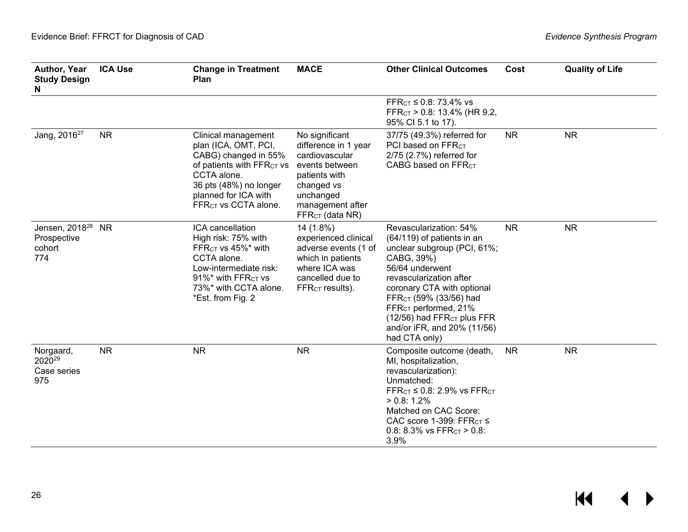| Author, Year<br><b>Study Design</b><br>N                   | <b>ICA Use</b> | <b>Change in Treatment</b><br>Plan                                                                                                                                                                                | <b>MACE</b>                                                                                                                                                               | <b>Other Clinical Outcomes</b>                                                                                                                                                                                                                                                                                                                    | Cost      | <b>Quality of Life</b> |
|------------------------------------------------------------|----------------|-------------------------------------------------------------------------------------------------------------------------------------------------------------------------------------------------------------------|---------------------------------------------------------------------------------------------------------------------------------------------------------------------------|---------------------------------------------------------------------------------------------------------------------------------------------------------------------------------------------------------------------------------------------------------------------------------------------------------------------------------------------------|-----------|------------------------|
|                                                            |                |                                                                                                                                                                                                                   |                                                                                                                                                                           | FFR <sub>CT</sub> ≤ 0.8: 73.4% vs<br>FFR <sub>CT</sub> $> 0.8$ : 13.4% (HR 9.2,<br>95% CI 5.1 to 17).                                                                                                                                                                                                                                             |           |                        |
| Jang, 2016 <sup>27</sup>                                   | <b>NR</b>      | Clinical management<br>plan (ICA, OMT, PCI,<br>CABG) changed in 55%<br>of patients with FFR <sub>CT</sub> vs<br>CCTA alone.<br>36 pts (48%) no longer<br>planned for ICA with<br>FFR <sub>CT</sub> vs CCTA alone. | No significant<br>difference in 1 year<br>cardiovascular<br>events between<br>patients with<br>changed vs<br>unchanged<br>management after<br>FFR <sub>CT</sub> (data NR) | 37/75 (49.3%) referred for<br>PCI based on FFR <sub>CT</sub><br>2/75 (2.7%) referred for<br>CABG based on FFR <sub>CT</sub>                                                                                                                                                                                                                       | <b>NR</b> | <b>NR</b>              |
| Jensen, 2018 <sup>28</sup><br>Prospective<br>cohort<br>774 | <b>NR</b>      | ICA cancellation<br>High risk: 75% with<br>FFR <sub>CT</sub> vs 45%* with<br>CCTA alone.<br>Low-intermediate risk:<br>$91\%$ * with FFR <sub>CT</sub> vs<br>73%* with CCTA alone.<br>*Est. from Fig. 2            | 14 (1.8%)<br>experienced clinical<br>adverse events (1 of<br>which in patients<br>where ICA was<br>cancelled due to<br>$FFRCT$ results).                                  | Revascularization: 54%<br>(64/119) of patients in an<br>unclear subgroup (PCI, 61%;<br>CABG, 39%)<br>56/64 underwent<br>revascularization after<br>coronary CTA with optional<br>FFR <sub>CT</sub> (59% (33/56) had<br>FFR <sub>CT</sub> performed, 21%<br>(12/56) had FFR <sub>CT</sub> plus FFR<br>and/or iFR, and 20% (11/56)<br>had CTA only) | <b>NR</b> | <b>NR</b>              |
| Norgaard,<br>2020 <sup>29</sup><br>Case series<br>975      | <b>NR</b>      | <b>NR</b>                                                                                                                                                                                                         | <b>NR</b>                                                                                                                                                                 | Composite outcome (death,<br>MI, hospitalization,<br>revascularization):<br>Unmatched:<br>FFR $c$ <sup>T</sup> $\leq$ 0.8: 2.9% vs FFR $c$ <sup>T</sup><br>$> 0.8: 1.2\%$<br>Matched on CAC Score:<br>CAC score 1-399: FFR $cT \leq$<br>0.8: 8.3% vs $FFRCT > 0.8$ :<br>3.9%                                                                      | <b>NR</b> | <b>NR</b>              |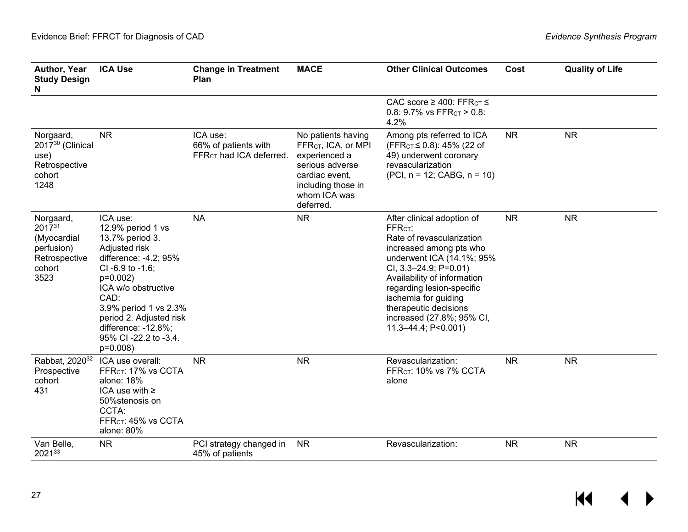| Author, Year<br><b>Study Design</b><br>N                                                 | <b>ICA Use</b>                                                                                                                                                                                                                                                                   | <b>Change in Treatment</b><br>Plan                                      | <b>MACE</b>                                                                                                                                                    | <b>Other Clinical Outcomes</b>                                                                                                                                                                                                                                                                                                        | Cost      | <b>Quality of Life</b> |
|------------------------------------------------------------------------------------------|----------------------------------------------------------------------------------------------------------------------------------------------------------------------------------------------------------------------------------------------------------------------------------|-------------------------------------------------------------------------|----------------------------------------------------------------------------------------------------------------------------------------------------------------|---------------------------------------------------------------------------------------------------------------------------------------------------------------------------------------------------------------------------------------------------------------------------------------------------------------------------------------|-----------|------------------------|
|                                                                                          |                                                                                                                                                                                                                                                                                  |                                                                         |                                                                                                                                                                | CAC score $\geq$ 400: FFR <sub>CT</sub> $\leq$<br>0.8: 9.7% vs $FFRCT > 0.8$ :<br>4.2%                                                                                                                                                                                                                                                |           |                        |
| Norgaard,<br>2017 <sup>30</sup> (Clinical<br>use)<br>Retrospective<br>cohort<br>1248     | <b>NR</b>                                                                                                                                                                                                                                                                        | ICA use:<br>66% of patients with<br>FFR <sub>CT</sub> had ICA deferred. | No patients having<br>FFR <sub>CT</sub> , ICA, or MPI<br>experienced a<br>serious adverse<br>cardiac event,<br>including those in<br>whom ICA was<br>deferred. | Among pts referred to ICA<br>(FFR <sub>CT</sub> ≤ 0.8): 45% (22 of<br>49) underwent coronary<br>revascularization<br>$(PCI, n = 12; CABG, n = 10)$                                                                                                                                                                                    | <b>NR</b> | <b>NR</b>              |
| Norgaard,<br>$2017^{31}$<br>(Myocardial<br>perfusion)<br>Retrospective<br>cohort<br>3523 | ICA use:<br>12.9% period 1 vs<br>13.7% period 3.<br>Adjusted risk<br>difference: -4.2; 95%<br>$CI - 6.9$ to $-1.6$ ;<br>$p=0.002$<br>ICA w/o obstructive<br>CAD:<br>3.9% period 1 vs 2.3%<br>period 2. Adjusted risk<br>difference: -12.8%;<br>95% CI -22.2 to -3.4.<br>p=0.008) | <b>NA</b>                                                               | <b>NR</b>                                                                                                                                                      | After clinical adoption of<br>FFR <sub>CT</sub> :<br>Rate of revascularization<br>increased among pts who<br>underwent ICA (14.1%; 95%<br>CI, $3.3 - 24.9$ ; P=0.01)<br>Availability of information<br>regarding lesion-specific<br>ischemia for guiding<br>therapeutic decisions<br>increased (27.8%; 95% CI,<br>11.3-44.4; P<0.001) | <b>NR</b> | <b>NR</b>              |
| Rabbat, 2020 <sup>32</sup><br>Prospective<br>cohort<br>431                               | ICA use overall:<br>FFR <sub>CT</sub> : 17% vs CCTA<br>alone: 18%<br>ICA use with $\ge$<br>50%stenosis on<br>CCTA:<br>FFR <sub>CT</sub> : 45% vs CCTA<br>alone: 80%                                                                                                              | <b>NR</b>                                                               | <b>NR</b>                                                                                                                                                      | Revascularization:<br>FFR <sub>CT</sub> : 10% vs 7% CCTA<br>alone                                                                                                                                                                                                                                                                     | <b>NR</b> | <b>NR</b>              |
| Van Belle,<br>202133                                                                     | <b>NR</b>                                                                                                                                                                                                                                                                        | PCI strategy changed in<br>45% of patients                              | <b>NR</b>                                                                                                                                                      | Revascularization:                                                                                                                                                                                                                                                                                                                    | <b>NR</b> | <b>NR</b>              |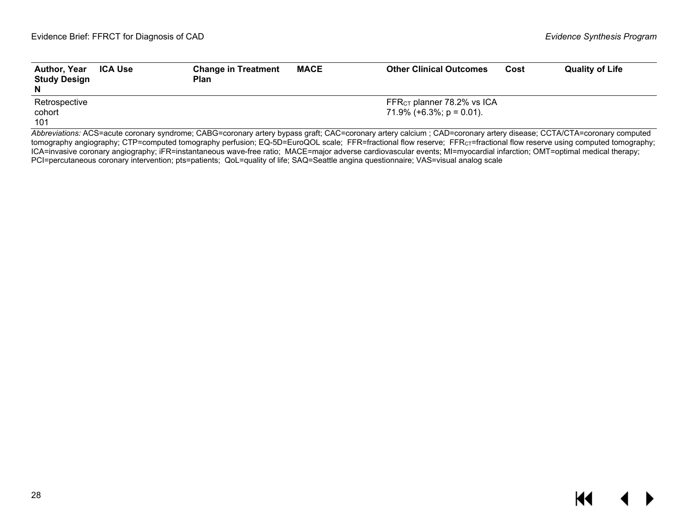| <b>Author, Year</b><br><b>Study Design</b><br>N | <b>ICA Use</b> | <b>Change in Treatment</b><br>Plan | <b>MACE</b> | <b>Other Clinical Outcomes</b>         | Cost | <b>Quality of Life</b> |
|-------------------------------------------------|----------------|------------------------------------|-------------|----------------------------------------|------|------------------------|
| Retrospective                                   |                |                                    |             | FFR <sub>CT</sub> planner 78.2% vs ICA |      |                        |
| cohort                                          |                |                                    |             | 71.9% $(+6.3\%; p = 0.01)$ .           |      |                        |
| 101                                             |                |                                    |             |                                        |      |                        |

<span id="page-29-0"></span>*Abbreviations:* ACS=acute coronary syndrome; CABG=coronary artery bypass graft; CAC=coronary artery calcium ; CAD=coronary artery disease; CCTA/CTA=coronary computed tomography angiography; CTP=computed tomography perfusion; EQ-5D=EuroQOL scale; FFR=fractional flow reserve; FFR<sub>CT</sub>=fractional flow reserve using computed tomography; ICA=invasive coronary angiography; iFR=instantaneous wave-free ratio; MACE=major adverse cardiovascular events; MI=myocardial infarction; OMT=optimal medical therapy; PCI=percutaneous coronary intervention; pts=patients; QoL=quality of life; SAQ=Seattle angina questionnaire; VAS=visual analog scale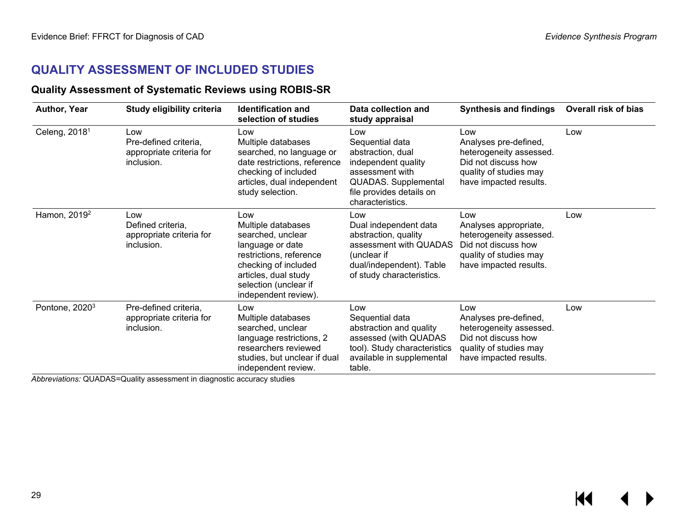## **QUALITY ASSESSMENT OF INCLUDED STUDIES**

### **Quality Assessment of Systematic Reviews using ROBIS-SR**

| Author, Year               | Study eligibility criteria                                             | <b>Identification and</b><br>selection of studies                                                                                                                                              | Data collection and<br>study appraisal                                                                                                                               | <b>Synthesis and findings</b>                                                                                                      | <b>Overall risk of bias</b> |
|----------------------------|------------------------------------------------------------------------|------------------------------------------------------------------------------------------------------------------------------------------------------------------------------------------------|----------------------------------------------------------------------------------------------------------------------------------------------------------------------|------------------------------------------------------------------------------------------------------------------------------------|-----------------------------|
| Celeng, 2018 <sup>1</sup>  | Low<br>Pre-defined criteria,<br>appropriate criteria for<br>inclusion. | Low<br>Multiple databases<br>searched, no language or<br>date restrictions, reference<br>checking of included<br>articles, dual independent<br>study selection.                                | Low<br>Sequential data<br>abstraction, dual<br>independent quality<br>assessment with<br><b>QUADAS.</b> Supplemental<br>file provides details on<br>characteristics. | Low<br>Analyses pre-defined,<br>heterogeneity assessed.<br>Did not discuss how<br>quality of studies may<br>have impacted results. | Low                         |
| Hamon, 2019 <sup>2</sup>   | Low<br>Defined criteria,<br>appropriate criteria for<br>inclusion.     | Low<br>Multiple databases<br>searched, unclear<br>language or date<br>restrictions, reference<br>checking of included<br>articles, dual study<br>selection (unclear if<br>independent review). | Low<br>Dual independent data<br>abstraction, quality<br>assessment with QUADAS<br>(unclear if<br>dual/independent). Table<br>of study characteristics.               | Low<br>Analyses appropriate,<br>heterogeneity assessed.<br>Did not discuss how<br>quality of studies may<br>have impacted results. | Low                         |
| Pontone, 2020 <sup>3</sup> | Pre-defined criteria,<br>appropriate criteria for<br>inclusion.        | Low<br>Multiple databases<br>searched, unclear<br>language restrictions, 2<br>researchers reviewed<br>studies, but unclear if dual<br>independent review.                                      | Low<br>Sequential data<br>abstraction and quality<br>assessed (with QUADAS<br>tool). Study characteristics<br>available in supplemental<br>table.                    | Low<br>Analyses pre-defined,<br>heterogeneity assessed.<br>Did not discuss how<br>quality of studies may<br>have impacted results. | Low                         |

<span id="page-30-1"></span><span id="page-30-0"></span>*Abbreviations:* QUADAS=Quality assessment in diagnostic accuracy studies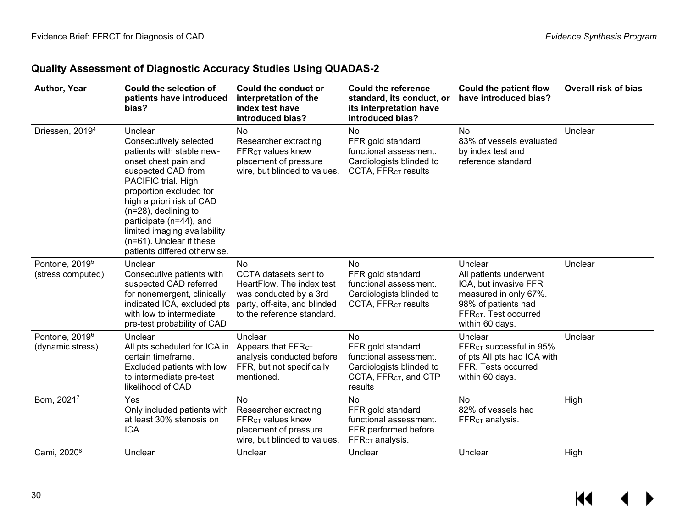## **Quality Assessment of Diagnostic Accuracy Studies Using QUADAS-2**

| Author, Year                                    | Could the selection of<br>patients have introduced<br>bias?                                                                                                                                                                                                                                                                                   | Could the conduct or<br>interpretation of the<br>index test have<br>introduced bias?                                                                    | <b>Could the reference</b><br>standard, its conduct, or<br>its interpretation have<br>introduced bias?              | <b>Could the patient flow</b><br>have introduced bias?                                                                                                             | <b>Overall risk of bias</b> |
|-------------------------------------------------|-----------------------------------------------------------------------------------------------------------------------------------------------------------------------------------------------------------------------------------------------------------------------------------------------------------------------------------------------|---------------------------------------------------------------------------------------------------------------------------------------------------------|---------------------------------------------------------------------------------------------------------------------|--------------------------------------------------------------------------------------------------------------------------------------------------------------------|-----------------------------|
| Driessen, 2019 <sup>4</sup>                     | Unclear<br>Consecutively selected<br>patients with stable new-<br>onset chest pain and<br>suspected CAD from<br>PACIFIC trial. High<br>proportion excluded for<br>high a priori risk of CAD<br>$(n=28)$ , declining to<br>participate (n=44), and<br>limited imaging availability<br>(n=61). Unclear if these<br>patients differed otherwise. | No<br>Researcher extracting<br>$FFRCT$ values knew<br>placement of pressure<br>wire, but blinded to values.                                             | No<br>FFR gold standard<br>functional assessment.<br>Cardiologists blinded to<br>CCTA, FFR <sub>CT</sub> results    | No<br>83% of vessels evaluated<br>by index test and<br>reference standard                                                                                          | Unclear                     |
| Pontone, 2019 <sup>5</sup><br>(stress computed) | Unclear<br>Consecutive patients with<br>suspected CAD referred<br>for nonemergent, clinically<br>indicated ICA, excluded pts<br>with low to intermediate<br>pre-test probability of CAD                                                                                                                                                       | <b>No</b><br>CCTA datasets sent to<br>HeartFlow. The index test<br>was conducted by a 3rd<br>party, off-site, and blinded<br>to the reference standard. | No<br>FFR gold standard<br>functional assessment.<br>Cardiologists blinded to<br>CCTA, FFR <sub>CT</sub> results    | Unclear<br>All patients underwent<br>ICA, but invasive FFR<br>measured in only 67%.<br>98% of patients had<br>FFR <sub>CT</sub> . Test occurred<br>within 60 days. | Unclear                     |
| Pontone, 2019 <sup>6</sup><br>(dynamic stress)  | Unclear<br>All pts scheduled for ICA in<br>certain timeframe.<br>Excluded patients with low<br>to intermediate pre-test<br>likelihood of CAD                                                                                                                                                                                                  | Unclear<br>Appears that FFR <sub>CT</sub><br>analysis conducted before<br>FFR, but not specifically<br>mentioned.                                       | No<br>FFR gold standard<br>functional assessment.<br>Cardiologists blinded to<br>CCTA, $FFRCT$ , and CTP<br>results | Unclear<br>FFR <sub>CT</sub> successful in 95%<br>of pts All pts had ICA with<br>FFR. Tests occurred<br>within 60 days.                                            | Unclear                     |
| Bom, 20217                                      | Yes<br>Only included patients with<br>at least 30% stenosis on<br>ICA.                                                                                                                                                                                                                                                                        | <b>No</b><br>Researcher extracting<br>FFR <sub>CT</sub> values knew<br>placement of pressure<br>wire, but blinded to values.                            | No<br>FFR gold standard<br>functional assessment.<br>FFR performed before<br>FFR <sub>CT</sub> analysis.            | <b>No</b><br>82% of vessels had<br>FFR <sub>CT</sub> analysis.                                                                                                     | High                        |
| Cami, 2020 <sup>8</sup>                         | Unclear                                                                                                                                                                                                                                                                                                                                       | Unclear                                                                                                                                                 | Unclear                                                                                                             | Unclear                                                                                                                                                            | High                        |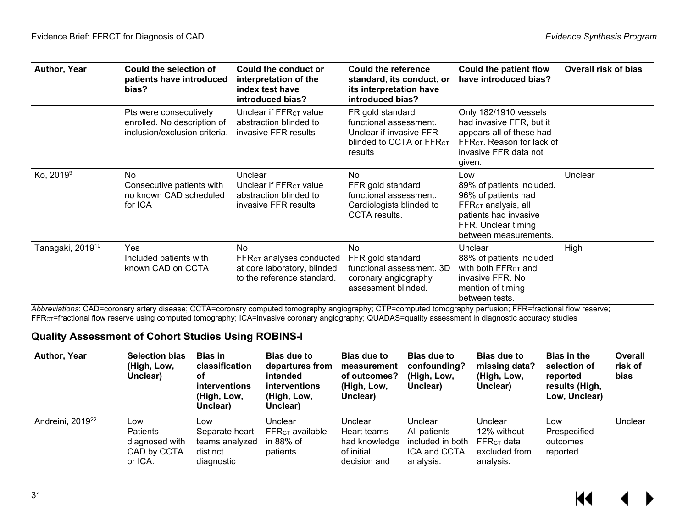| Author, Year                 | Could the selection of<br>patients have introduced<br>bias?                            | Could the conduct or<br>interpretation of the<br>index test have<br>introduced bias?                 | Could the reference<br>standard, its conduct, or<br>its interpretation have<br>introduced bias?                          | Could the patient flow<br>have introduced bias?                                                                                                            | Overall risk of bias |
|------------------------------|----------------------------------------------------------------------------------------|------------------------------------------------------------------------------------------------------|--------------------------------------------------------------------------------------------------------------------------|------------------------------------------------------------------------------------------------------------------------------------------------------------|----------------------|
|                              | Pts were consecutively<br>enrolled. No description of<br>inclusion/exclusion criteria. | Unclear if FFR <sub>CT</sub> value<br>abstraction blinded to<br>invasive FFR results                 | FR gold standard<br>functional assessment.<br>Unclear if invasive FFR<br>blinded to CCTA or FFR <sub>CT</sub><br>results | Only 182/1910 vessels<br>had invasive FFR, but it<br>appears all of these had<br>FFR <sub>CT</sub> . Reason for lack of<br>invasive FFR data not<br>given. |                      |
| Ko, 2019 <sup>9</sup>        | <b>No</b><br>Consecutive patients with<br>no known CAD scheduled<br>for ICA            | Unclear<br>Unclear if FFR <sub>CT</sub> value<br>abstraction blinded to<br>invasive FFR results      | No<br>FFR gold standard<br>functional assessment.<br>Cardiologists blinded to<br>CCTA results.                           | Low<br>89% of patients included.<br>96% of patients had<br>$FFRCT$ analysis, all<br>patients had invasive<br>FFR. Unclear timing<br>between measurements.  | Unclear              |
| Tanagaki, 2019 <sup>10</sup> | Yes<br>Included patients with<br>known CAD on CCTA                                     | <b>No</b><br>$FFRCT$ analyses conducted<br>at core laboratory, blinded<br>to the reference standard. | No<br>FFR gold standard<br>functional assessment. 3D<br>coronary angiography<br>assessment blinded.                      | Unclear<br>88% of patients included<br>with both FFR <sub>CT</sub> and<br>invasive FFR. No<br>mention of timing<br>between tests.                          | High                 |

*Abbreviations*: CAD=coronary artery disease; CCTA=coronary computed tomography angiography; CTP=computed tomography perfusion; FFR=fractional flow reserve; FFRCT=fractional flow reserve using computed tomography; ICA=invasive coronary angiography; QUADAS=quality assessment in diagnostic accuracy studies

### **Quality Assessment of Cohort Studies Using ROBINS-I**

<span id="page-32-0"></span>

| <b>Author, Year</b>          | <b>Selection bias</b><br>(High, Low,<br>Unclear)            | <b>Bias in</b><br>classification<br>οf<br><b>interventions</b><br>(High, Low,<br>Unclear) | <b>Bias due to</b><br>departures from<br>intended<br><b>interventions</b><br>(High, Low,<br>Unclear) | <b>Bias due to</b><br>measurement<br>of outcomes?<br>(High, Low,<br>Unclear) | <b>Bias due to</b><br>confounding?<br>(High, Low,<br>Unclear)            | <b>Bias due to</b><br>missing data?<br>(High, Low,<br>Unclear)       | <b>Bias in the</b><br>selection of<br>reported<br>results (High,<br>Low, Unclear) | Overall<br>risk of<br>bias |
|------------------------------|-------------------------------------------------------------|-------------------------------------------------------------------------------------------|------------------------------------------------------------------------------------------------------|------------------------------------------------------------------------------|--------------------------------------------------------------------------|----------------------------------------------------------------------|-----------------------------------------------------------------------------------|----------------------------|
| Andreini, 2019 <sup>22</sup> | Low<br>Patients<br>diagnosed with<br>CAD by CCTA<br>or ICA. | Low<br>Separate heart<br>teams analyzed<br>distinct<br>diagnostic                         | Unclear<br>$FFRCT$ available<br>in 88% of<br>patients.                                               | Unclear<br>Heart teams<br>had knowledge<br>of initial<br>decision and        | Unclear<br>All patients<br>included in both<br>ICA and CCTA<br>analysis. | Unclear<br>12% without<br>$FFRcT$ data<br>excluded from<br>analysis. | Low<br>Prespecified<br>outcomes<br>reported                                       | Unclear                    |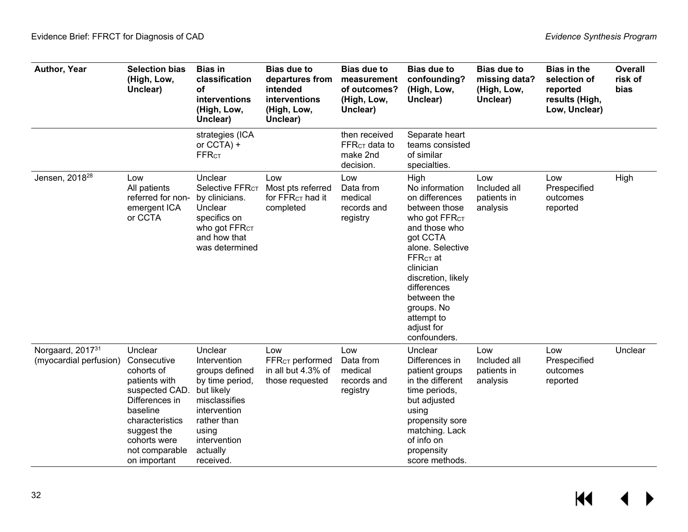| Author, Year                               | <b>Selection bias</b><br>(High, Low,<br>Unclear)                                                                                                                                          | <b>Bias in</b><br>classification<br>оf<br>interventions<br>(High, Low,<br>Unclear)                                                                                           | <b>Bias due to</b><br>departures from<br>intended<br>interventions<br>(High, Low,<br>Unclear) | <b>Bias due to</b><br>measurement<br>of outcomes?<br>(High, Low,<br>Unclear) | <b>Bias due to</b><br>confounding?<br>(High, Low,<br>Unclear)                                                                                                                                                                                                                    | <b>Bias due to</b><br>missing data?<br>(High, Low,<br>Unclear) | <b>Bias in the</b><br>selection of<br>reported<br>results (High,<br>Low, Unclear) | Overall<br>risk of<br>bias |
|--------------------------------------------|-------------------------------------------------------------------------------------------------------------------------------------------------------------------------------------------|------------------------------------------------------------------------------------------------------------------------------------------------------------------------------|-----------------------------------------------------------------------------------------------|------------------------------------------------------------------------------|----------------------------------------------------------------------------------------------------------------------------------------------------------------------------------------------------------------------------------------------------------------------------------|----------------------------------------------------------------|-----------------------------------------------------------------------------------|----------------------------|
|                                            |                                                                                                                                                                                           | strategies (ICA<br>or CCTA) +<br><b>FFRCT</b>                                                                                                                                |                                                                                               | then received<br>FFR <sub>CT</sub> data to<br>make 2nd<br>decision.          | Separate heart<br>teams consisted<br>of similar<br>specialties.                                                                                                                                                                                                                  |                                                                |                                                                                   |                            |
| Jensen, 2018 <sup>28</sup>                 | Low<br>All patients<br>referred for non-<br>emergent ICA<br>or CCTA                                                                                                                       | Unclear<br>Selective FFR <sub>CT</sub><br>by clinicians.<br>Unclear<br>specifics on<br>who got FFR <sub>CT</sub><br>and how that<br>was determined                           | Low<br>Most pts referred<br>for $FFRCT$ had it<br>completed                                   | Low<br>Data from<br>medical<br>records and<br>registry                       | High<br>No information<br>on differences<br>between those<br>Who got FFR <sub>CT</sub><br>and those who<br>got CCTA<br>alone. Selective<br>$FFRCT$ at<br>clinician<br>discretion, likely<br>differences<br>between the<br>groups. No<br>attempt to<br>adjust for<br>confounders. | Low<br>Included all<br>patients in<br>analysis                 | Low<br>Prespecified<br>outcomes<br>reported                                       | High                       |
| Norgaard, 201731<br>(myocardial perfusion) | Unclear<br>Consecutive<br>cohorts of<br>patients with<br>suspected CAD.<br>Differences in<br>baseline<br>characteristics<br>suggest the<br>cohorts were<br>not comparable<br>on important | Unclear<br>Intervention<br>groups defined<br>by time period,<br>but likely<br>misclassifies<br>intervention<br>rather than<br>using<br>intervention<br>actually<br>received. | Low<br>FFR <sub>CT</sub> performed<br>in all but 4.3% of<br>those requested                   | Low<br>Data from<br>medical<br>records and<br>registry                       | Unclear<br>Differences in<br>patient groups<br>in the different<br>time periods,<br>but adjusted<br>using<br>propensity sore<br>matching. Lack<br>of info on<br>propensity<br>score methods.                                                                                     | Low<br>Included all<br>patients in<br>analysis                 | Low<br>Prespecified<br>outcomes<br>reported                                       | Unclear                    |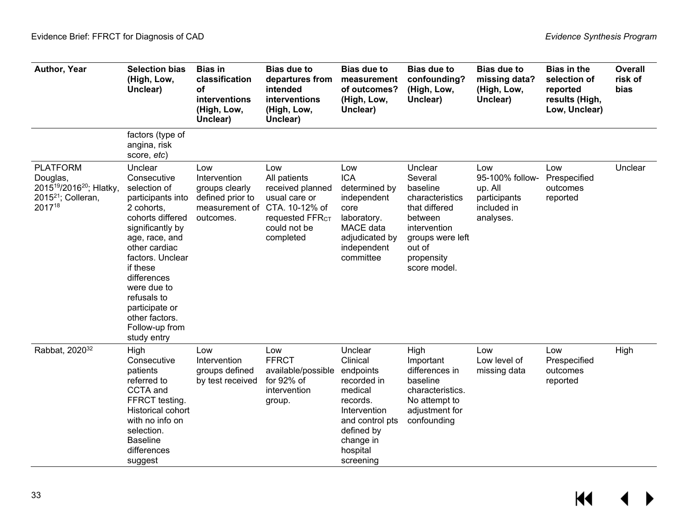| Author, Year                                                                                                       | <b>Selection bias</b><br>(High, Low,<br>Unclear)                                                                                                                                                                                                                                                       | <b>Bias in</b><br>classification<br>оf<br>interventions<br>(High, Low,<br>Unclear)       | <b>Bias due to</b><br>departures from<br>intended<br>interventions<br>(High, Low,<br>Unclear)                                          | <b>Bias due to</b><br>measurement<br>of outcomes?<br>(High, Low,<br>Unclear)                                                                                  | <b>Bias due to</b><br>confounding?<br>(High, Low,<br>Unclear)                                                                                             | <b>Bias due to</b><br>missing data?<br>(High, Low,<br>Unclear)                | <b>Bias in the</b><br>selection of<br>reported<br>results (High,<br>Low, Unclear) | <b>Overall</b><br>risk of<br>bias |
|--------------------------------------------------------------------------------------------------------------------|--------------------------------------------------------------------------------------------------------------------------------------------------------------------------------------------------------------------------------------------------------------------------------------------------------|------------------------------------------------------------------------------------------|----------------------------------------------------------------------------------------------------------------------------------------|---------------------------------------------------------------------------------------------------------------------------------------------------------------|-----------------------------------------------------------------------------------------------------------------------------------------------------------|-------------------------------------------------------------------------------|-----------------------------------------------------------------------------------|-----------------------------------|
|                                                                                                                    | factors (type of<br>angina, risk<br>score, etc)                                                                                                                                                                                                                                                        |                                                                                          |                                                                                                                                        |                                                                                                                                                               |                                                                                                                                                           |                                                                               |                                                                                   |                                   |
| <b>PLATFORM</b><br>Douglas,<br>2015 <sup>19</sup> /2016 <sup>20</sup> ; Hlatky,<br>2015 $21$ ; Colleran,<br>201718 | Unclear<br>Consecutive<br>selection of<br>participants into<br>2 cohorts,<br>cohorts differed<br>significantly by<br>age, race, and<br>other cardiac<br>factors. Unclear<br>if these<br>differences<br>were due to<br>refusals to<br>participate or<br>other factors.<br>Follow-up from<br>study entry | Low<br>Intervention<br>groups clearly<br>defined prior to<br>measurement of<br>outcomes. | Low<br>All patients<br>received planned<br>usual care or<br>CTA. 10-12% of<br>requested FFR <sub>CT</sub><br>could not be<br>completed | Low<br><b>ICA</b><br>determined by<br>independent<br>core<br>laboratory.<br>MACE data<br>adjudicated by<br>independent<br>committee                           | Unclear<br>Several<br>baseline<br>characteristics<br>that differed<br>between<br>intervention<br>groups were left<br>out of<br>propensity<br>score model. | Low<br>95-100% follow-<br>up. All<br>participants<br>included in<br>analyses. | Low<br>Prespecified<br>outcomes<br>reported                                       | Unclear                           |
| Rabbat, 2020 <sup>32</sup>                                                                                         | High<br>Consecutive<br>patients<br>referred to<br>CCTA and<br>FFRCT testing.<br>Historical cohort<br>with no info on<br>selection.<br><b>Baseline</b><br>differences<br>suggest                                                                                                                        | Low<br>Intervention<br>groups defined<br>by test received                                | Low<br><b>FFRCT</b><br>available/possible<br>for 92% of<br>intervention<br>group.                                                      | Unclear<br>Clinical<br>endpoints<br>recorded in<br>medical<br>records.<br>Intervention<br>and control pts<br>defined by<br>change in<br>hospital<br>screening | High<br>Important<br>differences in<br>baseline<br>characteristics.<br>No attempt to<br>adjustment for<br>confounding                                     | Low<br>Low level of<br>missing data                                           | Low<br>Prespecified<br>outcomes<br>reported                                       | High                              |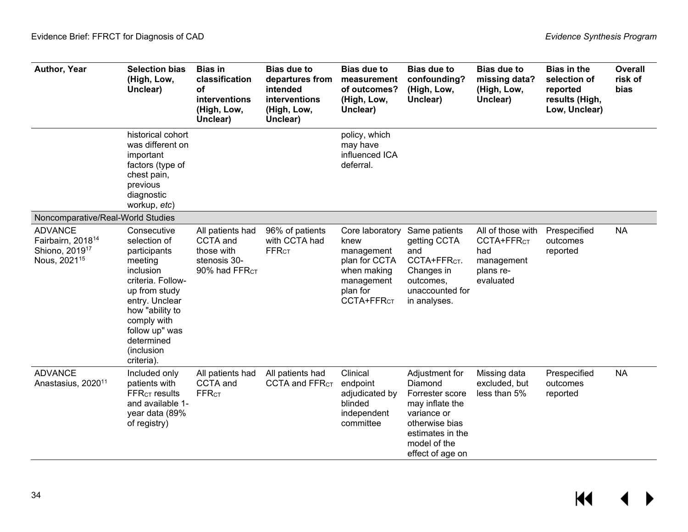| Author, Year                                                                                              | <b>Selection bias</b><br>(High, Low,<br>Unclear)                                                                                                                                                                          | <b>Bias in</b><br>classification<br>οf<br>interventions<br>(High, Low,<br>Unclear)      | <b>Bias due to</b><br>departures from<br>intended<br><b>interventions</b><br>(High, Low,<br>Unclear) | <b>Bias due to</b><br>measurement<br>of outcomes?<br>(High, Low,<br>Unclear)                                              | <b>Bias due to</b><br>confounding?<br>(High, Low,<br>Unclear)                                                                                            | <b>Bias due to</b><br>missing data?<br>(High, Low,<br>Unclear)                             | <b>Bias in the</b><br>selection of<br>reported<br>results (High,<br>Low, Unclear) | <b>Overall</b><br>risk of<br><b>bias</b> |
|-----------------------------------------------------------------------------------------------------------|---------------------------------------------------------------------------------------------------------------------------------------------------------------------------------------------------------------------------|-----------------------------------------------------------------------------------------|------------------------------------------------------------------------------------------------------|---------------------------------------------------------------------------------------------------------------------------|----------------------------------------------------------------------------------------------------------------------------------------------------------|--------------------------------------------------------------------------------------------|-----------------------------------------------------------------------------------|------------------------------------------|
|                                                                                                           | historical cohort<br>was different on<br>important<br>factors (type of<br>chest pain,<br>previous<br>diagnostic<br>workup, etc)                                                                                           |                                                                                         |                                                                                                      | policy, which<br>may have<br>influenced ICA<br>deferral.                                                                  |                                                                                                                                                          |                                                                                            |                                                                                   |                                          |
| Noncomparative/Real-World Studies                                                                         |                                                                                                                                                                                                                           |                                                                                         |                                                                                                      |                                                                                                                           |                                                                                                                                                          |                                                                                            |                                                                                   |                                          |
| <b>ADVANCE</b><br>Fairbairn, 2018 <sup>14</sup><br>Shiono, 2019 <sup>17</sup><br>Nous, 2021 <sup>15</sup> | Consecutive<br>selection of<br>participants<br>meeting<br>inclusion<br>criteria. Follow-<br>up from study<br>entry. Unclear<br>how "ability to<br>comply with<br>follow up" was<br>determined<br>(inclusion<br>criteria). | All patients had<br>CCTA and<br>those with<br>stenosis 30-<br>90% had FFR <sub>CT</sub> | 96% of patients<br>with CCTA had<br><b>FFRCT</b>                                                     | Core laboratory<br>knew<br>management<br>plan for CCTA<br>when making<br>management<br>plan for<br>CCTA+FFR <sub>CT</sub> | Same patients<br>getting CCTA<br>and<br>CCTA+FFR <sub>CT</sub> .<br>Changes in<br>outcomes,<br>unaccounted for<br>in analyses.                           | All of those with<br>CCTA+FFR <sub>CT</sub><br>had<br>management<br>plans re-<br>evaluated | Prespecified<br>outcomes<br>reported                                              | <b>NA</b>                                |
| <b>ADVANCE</b><br>Anastasius, 2020 <sup>11</sup>                                                          | Included only<br>patients with<br><b>FFR<sub>CT</sub></b> results<br>and available 1-<br>year data (89%<br>of registry)                                                                                                   | All patients had<br>CCTA and<br><b>FFRCT</b>                                            | All patients had<br>CCTA and FFR <sub>CT</sub>                                                       | Clinical<br>endpoint<br>adjudicated by<br>blinded<br>independent<br>committee                                             | Adjustment for<br>Diamond<br>Forrester score<br>may inflate the<br>variance or<br>otherwise bias<br>estimates in the<br>model of the<br>effect of age on | Missing data<br>excluded, but<br>less than 5%                                              | Prespecified<br>outcomes<br>reported                                              | <b>NA</b>                                |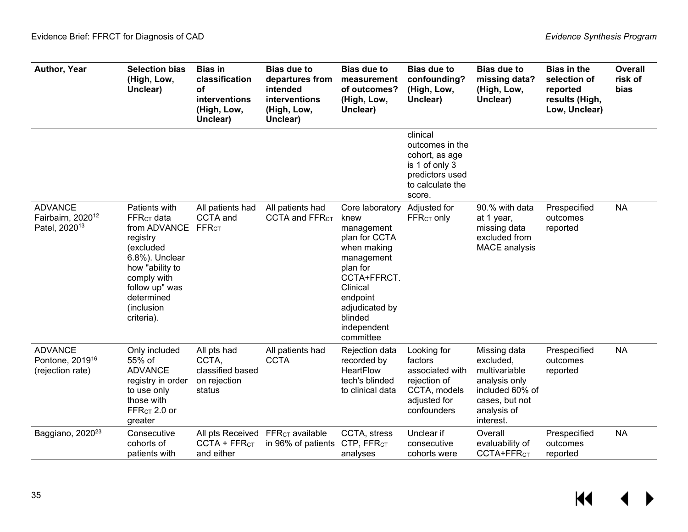| Author, Year                                                                 | <b>Selection bias</b><br>(High, Low,<br>Unclear)                                                                                                                                            | <b>Bias in</b><br>classification<br>οf<br>interventions<br>(High, Low,<br>Unclear) | <b>Bias due to</b><br>departures from<br>intended<br>interventions<br>(High, Low,<br>Unclear) | <b>Bias due to</b><br>measurement<br>of outcomes?<br>(High, Low,<br>Unclear)                                                                                                                    | <b>Bias due to</b><br>confounding?<br>(High, Low,<br>Unclear)                                                    | <b>Bias due to</b><br>missing data?<br>(High, Low,<br>Unclear)                                                               | <b>Bias in the</b><br>selection of<br>reported<br>results (High,<br>Low, Unclear) | <b>Overall</b><br>risk of<br><b>bias</b> |
|------------------------------------------------------------------------------|---------------------------------------------------------------------------------------------------------------------------------------------------------------------------------------------|------------------------------------------------------------------------------------|-----------------------------------------------------------------------------------------------|-------------------------------------------------------------------------------------------------------------------------------------------------------------------------------------------------|------------------------------------------------------------------------------------------------------------------|------------------------------------------------------------------------------------------------------------------------------|-----------------------------------------------------------------------------------|------------------------------------------|
|                                                                              |                                                                                                                                                                                             |                                                                                    |                                                                                               |                                                                                                                                                                                                 | clinical<br>outcomes in the<br>cohort, as age<br>is 1 of only 3<br>predictors used<br>to calculate the<br>score. |                                                                                                                              |                                                                                   |                                          |
| <b>ADVANCE</b><br>Fairbairn, 2020 <sup>12</sup><br>Patel, 2020 <sup>13</sup> | Patients with<br><b>FFRCT</b> data<br>from ADVANCE<br>registry<br>(excluded<br>6.8%). Unclear<br>how "ability to<br>comply with<br>follow up" was<br>determined<br>(inclusion<br>criteria). | All patients had<br>CCTA and<br>FFR <sub>CT</sub>                                  | All patients had<br>CCTA and FFRCT                                                            | Core laboratory<br>knew<br>management<br>plan for CCTA<br>when making<br>management<br>plan for<br>CCTA+FFRCT.<br>Clinical<br>endpoint<br>adjudicated by<br>blinded<br>independent<br>committee | Adjusted for<br>FFR <sub>CT</sub> only                                                                           | 90.% with data<br>at 1 year,<br>missing data<br>excluded from<br><b>MACE</b> analysis                                        | Prespecified<br>outcomes<br>reported                                              | <b>NA</b>                                |
| <b>ADVANCE</b><br>Pontone, 2019 <sup>16</sup><br>(rejection rate)            | Only included<br>55% of<br><b>ADVANCE</b><br>registry in order<br>to use only<br>those with<br>$FFRCT 2.0$ or<br>greater                                                                    | All pts had<br>CCTA.<br>classified based<br>on rejection<br>status                 | All patients had<br><b>CCTA</b>                                                               | Rejection data<br>recorded by<br>HeartFlow<br>tech's blinded<br>to clinical data                                                                                                                | Looking for<br>factors<br>associated with<br>rejection of<br>CCTA, models<br>adjusted for<br>confounders         | Missing data<br>excluded,<br>multivariable<br>analysis only<br>included 60% of<br>cases, but not<br>analysis of<br>interest. | Prespecified<br>outcomes<br>reported                                              | <b>NA</b>                                |
| Baggiano, 2020 <sup>23</sup>                                                 | Consecutive<br>cohorts of<br>patients with                                                                                                                                                  | $CCTA + FFRCT$<br>and either                                                       | All pts Received FFR <sub>CT</sub> available<br>in 96% of patients                            | CCTA, stress<br>CTP, FFR <sub>CT</sub><br>analyses                                                                                                                                              | Unclear if<br>consecutive<br>cohorts were                                                                        | Overall<br>evaluability of<br>CCTA+FFR <sub>CT</sub>                                                                         | Prespecified<br>outcomes<br>reported                                              | <b>NA</b>                                |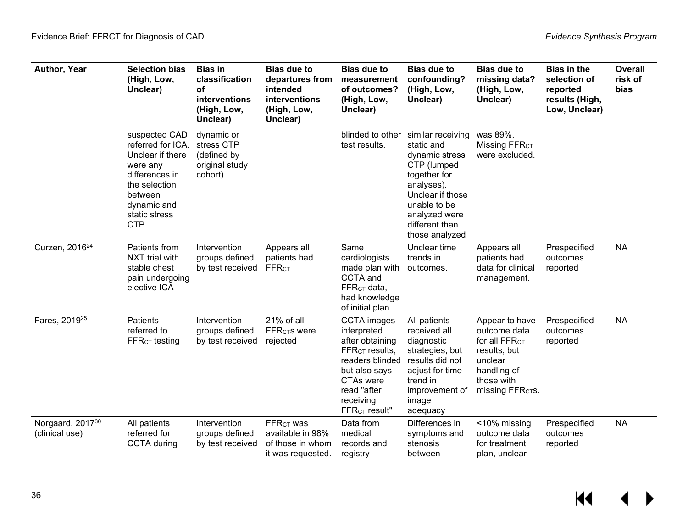| Author, Year                                   | <b>Selection bias</b><br>(High, Low,<br>Unclear)                                                                                                               | <b>Bias in</b><br>classification<br><b>of</b><br>interventions<br>(High, Low,<br>Unclear) | <b>Bias due to</b><br>departures from<br>intended<br>interventions<br>(High, Low,<br>Unclear) | <b>Bias due to</b><br>measurement<br>of outcomes?<br>(High, Low,<br>Unclear)                                                                                                                       | <b>Bias due to</b><br>confounding?<br>(High, Low,<br>Unclear)                                                                                                                           | <b>Bias due to</b><br>missing data?<br>(High, Low,<br>Unclear)                                                                                | <b>Bias in the</b><br>selection of<br>reported<br>results (High,<br>Low, Unclear) | <b>Overall</b><br>risk of<br>bias |
|------------------------------------------------|----------------------------------------------------------------------------------------------------------------------------------------------------------------|-------------------------------------------------------------------------------------------|-----------------------------------------------------------------------------------------------|----------------------------------------------------------------------------------------------------------------------------------------------------------------------------------------------------|-----------------------------------------------------------------------------------------------------------------------------------------------------------------------------------------|-----------------------------------------------------------------------------------------------------------------------------------------------|-----------------------------------------------------------------------------------|-----------------------------------|
|                                                | suspected CAD<br>referred for ICA.<br>Unclear if there<br>were any<br>differences in<br>the selection<br>between<br>dynamic and<br>static stress<br><b>CTP</b> | dynamic or<br>stress CTP<br>(defined by<br>original study<br>cohort).                     |                                                                                               | blinded to other<br>test results.                                                                                                                                                                  | similar receiving<br>static and<br>dynamic stress<br>CTP (lumped<br>together for<br>analyses).<br>Unclear if those<br>unable to be<br>analyzed were<br>different than<br>those analyzed | was 89%.<br>Missing FFR <sub>CT</sub><br>were excluded.                                                                                       |                                                                                   |                                   |
| Curzen, 2016 <sup>24</sup>                     | Patients from<br>NXT trial with<br>stable chest<br>pain undergoing<br>elective ICA                                                                             | Intervention<br>groups defined<br>by test received                                        | Appears all<br>patients had<br><b>FFRCT</b>                                                   | Same<br>cardiologists<br>made plan with<br>CCTA and<br>$FFRCT$ data,<br>had knowledge<br>of initial plan                                                                                           | Unclear time<br>trends in<br>outcomes.                                                                                                                                                  | Appears all<br>patients had<br>data for clinical<br>management.                                                                               | Prespecified<br>outcomes<br>reported                                              | <b>NA</b>                         |
| Fares, 2019 <sup>25</sup>                      | Patients<br>referred to<br>$FFRcT$ testing                                                                                                                     | Intervention<br>groups defined<br>by test received                                        | 21% of all<br><b>FFR<sub>CT</sub>S</b> were<br>rejected                                       | <b>CCTA</b> images<br>interpreted<br>after obtaining<br>$FFRCT$ results,<br>readers blinded results did not<br>but also says<br>CTAs were<br>read "after<br>receiving<br>FFR <sub>CT</sub> result" | All patients<br>received all<br>diagnostic<br>strategies, but<br>adjust for time<br>trend in<br>improvement of<br>image<br>adequacy                                                     | Appear to have<br>outcome data<br>for all FFR <sub>CT</sub><br>results, but<br>unclear<br>handling of<br>those with<br><b>missing FFRCTS.</b> | Prespecified<br>outcomes<br>reported                                              | <b>NA</b>                         |
| Norgaard, 2017 <sup>30</sup><br>(clinical use) | All patients<br>referred for<br><b>CCTA</b> during                                                                                                             | Intervention<br>groups defined<br>by test received                                        | <b>FFRCT WAS</b><br>available in 98%<br>of those in whom<br>it was requested.                 | Data from<br>medical<br>records and<br>registry                                                                                                                                                    | Differences in<br>symptoms and<br>stenosis<br>between                                                                                                                                   | <10% missing<br>outcome data<br>for treatment<br>plan, unclear                                                                                | Prespecified<br>outcomes<br>reported                                              | <b>NA</b>                         |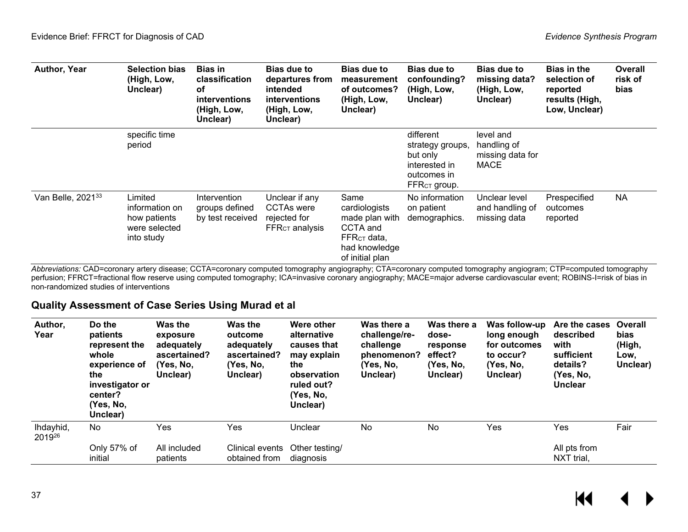| Author, Year                  | <b>Selection bias</b><br>(High, Low,<br>Unclear)                         | <b>Bias in</b><br>classification<br>οf<br><b>interventions</b><br>(High, Low,<br>Unclear) | <b>Bias due to</b><br>departures from<br>intended<br><b>interventions</b><br>(High, Low,<br>Unclear) | <b>Bias due to</b><br>measurement<br>of outcomes?<br>(High, Low,<br>Unclear)                                       | <b>Bias due to</b><br>confounding?<br>(High, Low,<br>Unclear)                                         | <b>Bias due to</b><br>missing data?<br>(High, Low,<br>Unclear) | <b>Bias in the</b><br>selection of<br>reported<br>results (High,<br>Low, Unclear) | <b>Overall</b><br>risk of<br>bias |
|-------------------------------|--------------------------------------------------------------------------|-------------------------------------------------------------------------------------------|------------------------------------------------------------------------------------------------------|--------------------------------------------------------------------------------------------------------------------|-------------------------------------------------------------------------------------------------------|----------------------------------------------------------------|-----------------------------------------------------------------------------------|-----------------------------------|
|                               | specific time<br>period                                                  |                                                                                           |                                                                                                      |                                                                                                                    | different<br>strategy groups,<br>but only<br>interested in<br>outcomes in<br>FFR <sub>CT</sub> group. | level and<br>handling of<br>missing data for<br><b>MACE</b>    |                                                                                   |                                   |
| Van Belle, 2021 <sup>33</sup> | Limited<br>information on<br>how patients<br>were selected<br>into study | Intervention<br>groups defined<br>by test received                                        | Unclear if any<br><b>CCTAs were</b><br>rejected for<br>$\mathsf{FFR}_{\mathsf{CT}}$ analysis         | Same<br>cardiologists<br>made plan with<br>CCTA and<br>FFR <sub>CT</sub> data,<br>had knowledge<br>of initial plan | No information<br>on patient<br>demographics.                                                         | Unclear level<br>and handling of<br>missing data               | Prespecified<br>outcomes<br>reported                                              | <b>NA</b>                         |

*Abbreviations:* CAD=coronary artery disease; CCTA=coronary computed tomography angiography; CTA=coronary computed tomography angiogram; CTP=computed tomography perfusion; FFRCT=fractional flow reserve using computed tomography; ICA=invasive coronary angiography; MACE=major adverse cardiovascular event; ROBINS-I=risk of bias in non-randomized studies of interventions

#### **Quality Assessment of Case Series Using Murad et al**

<span id="page-38-0"></span>

| Author,<br>Year     | Do the<br>patients<br>represent the<br>whole<br>experience of<br>the<br>investigator or<br>center?<br>(Yes. No.<br>Unclear) | Was the<br>exposure<br>adequately<br>ascertained?<br>(Yes, No,<br>Unclear) | <b>Was the</b><br>outcome<br>adequately<br>ascertained?<br>(Yes, No,<br>Unclear) | Were other<br>alternative<br>causes that<br>may explain<br>the<br>observation<br>ruled out?<br>(Yes, No,<br>Unclear) | Was there a<br>challenge/re-<br>challenge<br>phenomenon?<br>(Yes, No,<br>Unclear) | Was there a<br>dose-<br>response<br>effect?<br>(Yes, No,<br>Unclear) | Was follow-up<br>long enough<br>for outcomes<br>to occur?<br>(Yes, No.<br>Unclear) | Are the cases<br>described<br>with<br>sufficient<br>details?<br>(Yes, No,<br><b>Unclear</b> | Overall<br><b>bias</b><br>(High,<br>Low,<br>Unclear) |
|---------------------|-----------------------------------------------------------------------------------------------------------------------------|----------------------------------------------------------------------------|----------------------------------------------------------------------------------|----------------------------------------------------------------------------------------------------------------------|-----------------------------------------------------------------------------------|----------------------------------------------------------------------|------------------------------------------------------------------------------------|---------------------------------------------------------------------------------------------|------------------------------------------------------|
| Ihdayhid,<br>201926 | <b>No</b>                                                                                                                   | Yes                                                                        | Yes                                                                              | Unclear                                                                                                              | No                                                                                | No                                                                   | Yes                                                                                | Yes                                                                                         | Fair                                                 |
|                     | Only 57% of<br>initial                                                                                                      | All included<br>patients                                                   | Clinical events<br>obtained from                                                 | Other testing/<br>diagnosis                                                                                          |                                                                                   |                                                                      |                                                                                    | All pts from<br>NXT trial,                                                                  |                                                      |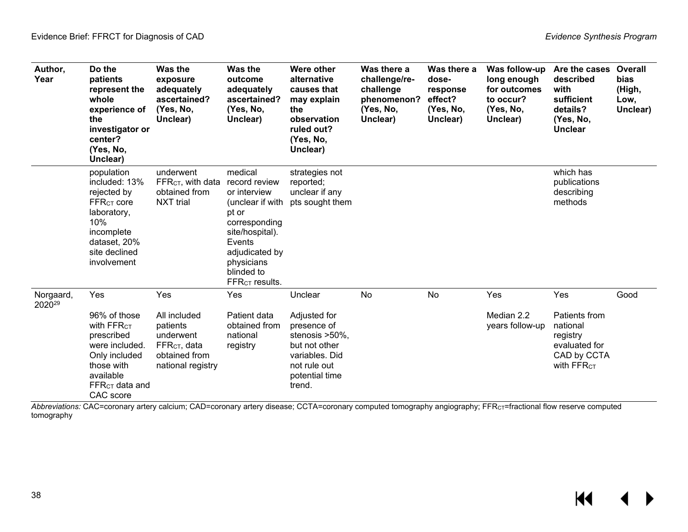| Author,<br>Year                 | Do the<br>patients<br>represent the<br>whole<br>experience of<br>the<br>investigator or<br>center?<br>(Yes, No,<br>Unclear)                                | <b>Was the</b><br>exposure<br>adequately<br>ascertained?<br>(Yes, No,<br>Unclear)                              | Was the<br>outcome<br>adequately<br>ascertained?<br>(Yes, No,<br>Unclear)                                                                                                                       | Were other<br>alternative<br>causes that<br>may explain<br>the<br>observation<br>ruled out?<br>(Yes, No,<br>Unclear)                    | Was there a<br>challenge/re-<br>challenge<br>phenomenon?<br>(Yes, No,<br>Unclear) | Was there a<br>dose-<br>response<br>effect?<br>(Yes, No,<br>Unclear) | Was follow-up<br>long enough<br>for outcomes<br>to occur?<br>(Yes, No,<br>Unclear) | Are the cases<br>described<br>with<br>sufficient<br>details?<br>(Yes, No,<br><b>Unclear</b>            | <b>Overall</b><br>bias<br>(High,<br>Low,<br>Unclear) |
|---------------------------------|------------------------------------------------------------------------------------------------------------------------------------------------------------|----------------------------------------------------------------------------------------------------------------|-------------------------------------------------------------------------------------------------------------------------------------------------------------------------------------------------|-----------------------------------------------------------------------------------------------------------------------------------------|-----------------------------------------------------------------------------------|----------------------------------------------------------------------|------------------------------------------------------------------------------------|--------------------------------------------------------------------------------------------------------|------------------------------------------------------|
|                                 | population<br>included: 13%<br>rejected by<br>$FFR$ <sub>CT</sub> core<br>laboratory,<br>10%<br>incomplete<br>dataset, 20%<br>site declined<br>involvement | underwent<br>FFR <sub>CT</sub> , with data<br>obtained from<br><b>NXT</b> trial                                | medical<br>record review<br>or interview<br>(unclear if with<br>pt or<br>corresponding<br>site/hospital).<br>Events<br>adjudicated by<br>physicians<br>blinded to<br>FFR <sub>CT</sub> results. | strategies not<br>reported;<br>unclear if any<br>pts sought them                                                                        |                                                                                   |                                                                      |                                                                                    | which has<br>publications<br>describing<br>methods                                                     |                                                      |
| Norgaard,<br>2020 <sup>29</sup> | Yes<br>96% of those<br>with FFR <sub>CT</sub><br>prescribed<br>were included.<br>Only included<br>those with<br>available<br>$FFRCT$ data and<br>CAC score | Yes<br>All included<br>patients<br>underwent<br>FFR <sub>CT</sub> , data<br>obtained from<br>national registry | Yes<br>Patient data<br>obtained from<br>national<br>registry                                                                                                                                    | Unclear<br>Adjusted for<br>presence of<br>stenosis >50%,<br>but not other<br>variables. Did<br>not rule out<br>potential time<br>trend. | No                                                                                | No                                                                   | Yes<br>Median 2.2<br>years follow-up                                               | Yes<br>Patients from<br>national<br>registry<br>evaluated for<br>CAD by CCTA<br>With FFR <sub>CT</sub> | Good                                                 |

<span id="page-39-0"></span>*Abbreviations:* CAC=coronary artery calcium; CAD=coronary artery disease; CCTA=coronary computed tomography angiography; FFRCT=fractional flow reserve computed tomography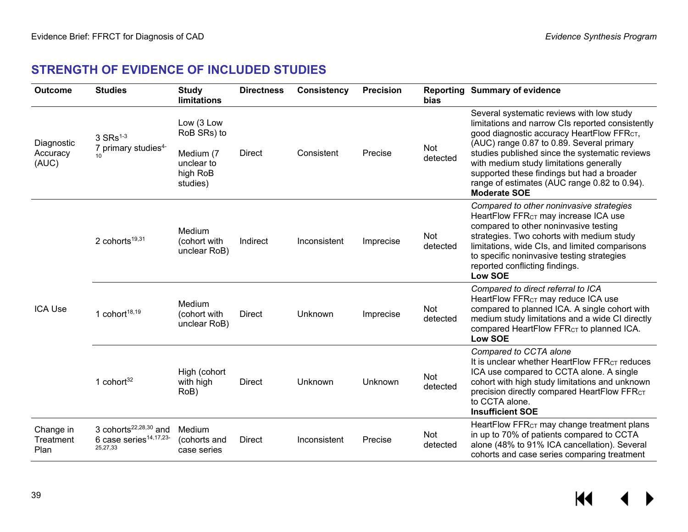## **STRENGTH OF EVIDENCE OF INCLUDED STUDIES**

| <b>Outcome</b>                  | <b>Studies</b>                                                     | <b>Study</b><br><b>limitations</b>                                           | <b>Directness</b> | <b>Consistency</b> | <b>Precision</b> | <b>bias</b>     | <b>Reporting Summary of evidence</b>                                                                                                                                                                                                                                                                                                                                                                                   |
|---------------------------------|--------------------------------------------------------------------|------------------------------------------------------------------------------|-------------------|--------------------|------------------|-----------------|------------------------------------------------------------------------------------------------------------------------------------------------------------------------------------------------------------------------------------------------------------------------------------------------------------------------------------------------------------------------------------------------------------------------|
| Diagnostic<br>Accuracy<br>(AUC) | $3 SRs1-3$<br>7 primary studies <sup>4-</sup>                      | Low (3 Low<br>RoB SRs) to<br>Medium (7<br>unclear to<br>high RoB<br>studies) | <b>Direct</b>     | Consistent         | Precise          | Not<br>detected | Several systematic reviews with low study<br>limitations and narrow CIs reported consistently<br>good diagnostic accuracy HeartFlow FFR <sub>CT</sub> ,<br>(AUC) range 0.87 to 0.89. Several primary<br>studies published since the systematic reviews<br>with medium study limitations generally<br>supported these findings but had a broader<br>range of estimates (AUC range 0.82 to 0.94).<br><b>Moderate SOE</b> |
|                                 | 2 cohorts <sup>19,31</sup>                                         | Medium<br>(cohort with<br>unclear RoB)                                       | Indirect          | Inconsistent       | Imprecise        | Not<br>detected | Compared to other noninvasive strategies<br>HeartFlow FFR <sub>CT</sub> may increase ICA use<br>compared to other noninvasive testing<br>strategies. Two cohorts with medium study<br>limitations, wide CIs, and limited comparisons<br>to specific noninvasive testing strategies<br>reported conflicting findings.<br><b>Low SOE</b>                                                                                 |
| <b>ICA Use</b>                  | 1 cohort $18,19$                                                   | Medium<br>(cohort with<br>unclear RoB)                                       | Direct            | Unknown            | Imprecise        | Not<br>detected | Compared to direct referral to ICA<br>HeartFlow FFR <sub>CT</sub> may reduce ICA use<br>compared to planned ICA. A single cohort with<br>medium study limitations and a wide CI directly<br>compared HeartFlow FFR <sub>CT</sub> to planned ICA.<br><b>Low SOE</b>                                                                                                                                                     |
|                                 | 1 cohor $t^{32}$                                                   | High (cohort<br>with high<br>RoB)                                            | <b>Direct</b>     | Unknown            | Unknown          | Not<br>detected | Compared to CCTA alone<br>It is unclear whether HeartFlow FFR <sub>CT</sub> reduces<br>ICA use compared to CCTA alone. A single<br>cohort with high study limitations and unknown<br>precision directly compared HeartFlow FFRCT<br>to CCTA alone.<br><b>Insufficient SOE</b>                                                                                                                                          |
| Change in<br>Treatment<br>Plan  | 3 cohorts $22,28,30$ and<br>6 case series $14,17,23$ -<br>25,27,33 | Medium<br>(cohorts and<br>case series                                        | <b>Direct</b>     | Inconsistent       | Precise          | Not<br>detected | HeartFlow FFR <sub>CT</sub> may change treatment plans<br>in up to 70% of patients compared to CCTA<br>alone (48% to 91% ICA cancellation). Several<br>cohorts and case series comparing treatment                                                                                                                                                                                                                     |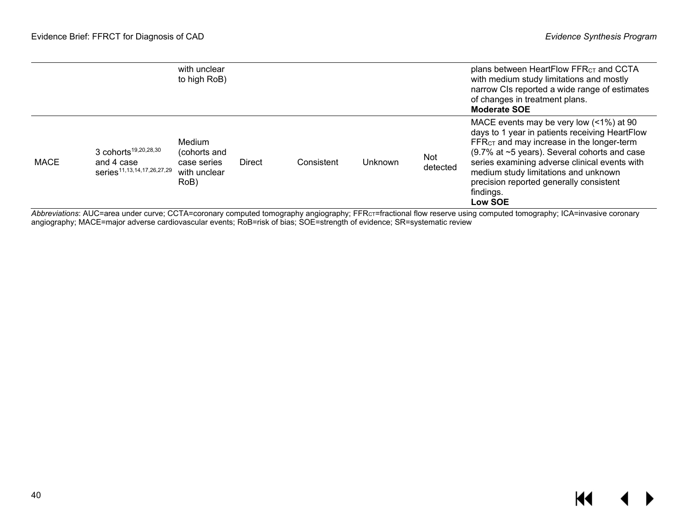|             |                                                                                          | with unclear<br>to high RoB)                                  |               |            |         |                 | plans between HeartFlow $FFRCT$ and CCTA<br>with medium study limitations and mostly<br>narrow CIs reported a wide range of estimates<br>of changes in treatment plans.<br><b>Moderate SOE</b>                                                                                                                                                                        |
|-------------|------------------------------------------------------------------------------------------|---------------------------------------------------------------|---------------|------------|---------|-----------------|-----------------------------------------------------------------------------------------------------------------------------------------------------------------------------------------------------------------------------------------------------------------------------------------------------------------------------------------------------------------------|
| <b>MACE</b> | 3 cohorts <sup>19,20,28,30</sup><br>and 4 case<br>series <sup>11,13,14,17,26,27,29</sup> | Medium<br>(cohorts and<br>case series<br>with unclear<br>RoB) | <b>Direct</b> | Consistent | Unknown | Not<br>detected | MACE events may be very low (<1%) at 90<br>days to 1 year in patients receiving HeartFlow<br>FFR <sub>CT</sub> and may increase in the longer-term<br>(9.7% at ~5 years). Several cohorts and case<br>series examining adverse clinical events with<br>medium study limitations and unknown<br>precision reported generally consistent<br>findings.<br><b>Low SOE</b> |

*Abbreviations*: AUC=area under curve; CCTA=coronary computed tomography angiography; FFRCT=fractional flow reserve using computed tomography; ICA=invasive coronary angiography; MACE=major adverse cardiovascular events; RoB=risk of bias; SOE=strength of evidence; SR=systematic review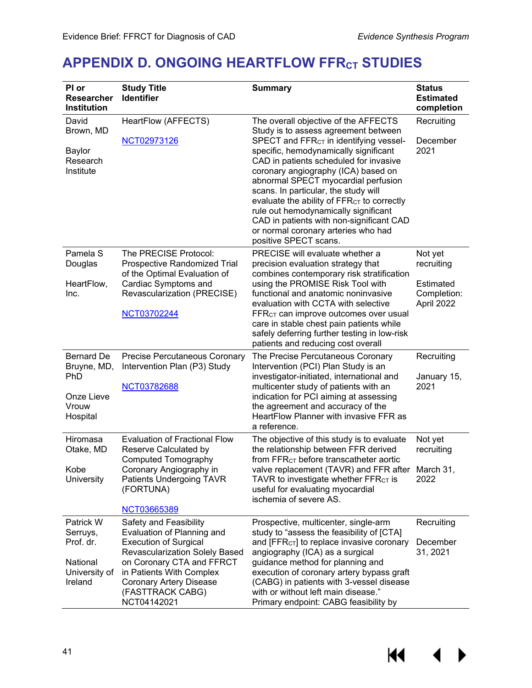## <span id="page-42-0"></span>**APPENDIX D. ONGOING HEARTFLOW FFRCT STUDIES**

| PI or<br><b>Researcher</b><br><b>Institution</b> | <b>Study Title</b><br><b>Identifier</b>                                                                                    | <b>Summary</b>                                                                                                                                                                                                                                                                                                                                                                                                      | <b>Status</b><br><b>Estimated</b><br>completion |
|--------------------------------------------------|----------------------------------------------------------------------------------------------------------------------------|---------------------------------------------------------------------------------------------------------------------------------------------------------------------------------------------------------------------------------------------------------------------------------------------------------------------------------------------------------------------------------------------------------------------|-------------------------------------------------|
| David<br>Brown, MD                               | HeartFlow (AFFECTS)<br>NCT02973126                                                                                         | The overall objective of the AFFECTS<br>Study is to assess agreement between<br>SPECT and FFR <sub>CT</sub> in identifying vessel-                                                                                                                                                                                                                                                                                  | Recruiting<br>December                          |
| Baylor<br>Research<br>Institute                  |                                                                                                                            | specific, hemodynamically significant<br>CAD in patients scheduled for invasive<br>coronary angiography (ICA) based on<br>abnormal SPECT myocardial perfusion<br>scans. In particular, the study will<br>evaluate the ability of FFR <sub>CT</sub> to correctly<br>rule out hemodynamically significant<br>CAD in patients with non-significant CAD<br>or normal coronary arteries who had<br>positive SPECT scans. | 2021                                            |
| Pamela S<br>Douglas                              | The PRECISE Protocol:<br>Prospective Randomized Trial<br>of the Optimal Evaluation of                                      | PRECISE will evaluate whether a<br>precision evaluation strategy that<br>combines contemporary risk stratification                                                                                                                                                                                                                                                                                                  | Not yet<br>recruiting                           |
| HeartFlow,<br>Inc.                               | Cardiac Symptoms and<br>Revascularization (PRECISE)                                                                        | using the PROMISE Risk Tool with<br>functional and anatomic noninvasive<br>evaluation with CCTA with selective                                                                                                                                                                                                                                                                                                      | <b>Estimated</b><br>Completion:<br>April 2022   |
|                                                  | NCT03702244                                                                                                                | FFR <sub>CT</sub> can improve outcomes over usual<br>care in stable chest pain patients while<br>safely deferring further testing in low-risk<br>patients and reducing cost overall                                                                                                                                                                                                                                 |                                                 |
| <b>Bernard De</b><br>Bruyne, MD,<br><b>PhD</b>   | Precise Percutaneous Coronary<br>Intervention Plan (P3) Study                                                              | The Precise Percutaneous Coronary<br>Intervention (PCI) Plan Study is an<br>investigator-initiated, international and                                                                                                                                                                                                                                                                                               | Recruiting<br>January 15,                       |
| Onze Lieve<br>Vrouw<br>Hospital                  | NCT03782688                                                                                                                | multicenter study of patients with an<br>indication for PCI aiming at assessing<br>the agreement and accuracy of the<br>HeartFlow Planner with invasive FFR as<br>a reference.                                                                                                                                                                                                                                      | 2021                                            |
| Hiromasa<br>Otake, MD                            | <b>Evaluation of Fractional Flow</b><br>Reserve Calculated by<br><b>Computed Tomography</b>                                | The objective of this study is to evaluate<br>the relationship between FFR derived<br>from FFR <sub>CT</sub> before transcatheter aortic                                                                                                                                                                                                                                                                            | Not yet<br>recruiting                           |
| Kobe<br>University                               | Coronary Angiography in<br>Patients Undergoing TAVR<br>(FORTUNA)                                                           | valve replacement (TAVR) and FFR after March 31,<br>TAVR to investigate whether $\mathsf{FFR}_{\mathsf{CT}}$ is<br>useful for evaluating myocardial<br>ischemia of severe AS.                                                                                                                                                                                                                                       | 2022                                            |
|                                                  | NCT03665389                                                                                                                |                                                                                                                                                                                                                                                                                                                                                                                                                     |                                                 |
| Patrick W<br>Serruys,<br>Prof. dr.               | Safety and Feasibility<br>Evaluation of Planning and<br><b>Execution of Surgical</b><br>Revascularization Solely Based     | Prospective, multicenter, single-arm<br>study to "assess the feasibility of [CTA]<br>and [FFR <sub>CT</sub> ] to replace invasive coronary<br>angiography (ICA) as a surgical                                                                                                                                                                                                                                       | Recruiting<br>December<br>31, 2021              |
| National<br>University of<br>Ireland             | on Coronary CTA and FFRCT<br>in Patients With Complex<br><b>Coronary Artery Disease</b><br>(FASTTRACK CABG)<br>NCT04142021 | guidance method for planning and<br>execution of coronary artery bypass graft<br>(CABG) in patients with 3-vessel disease<br>with or without left main disease."<br>Primary endpoint: CABG feasibility by                                                                                                                                                                                                           |                                                 |

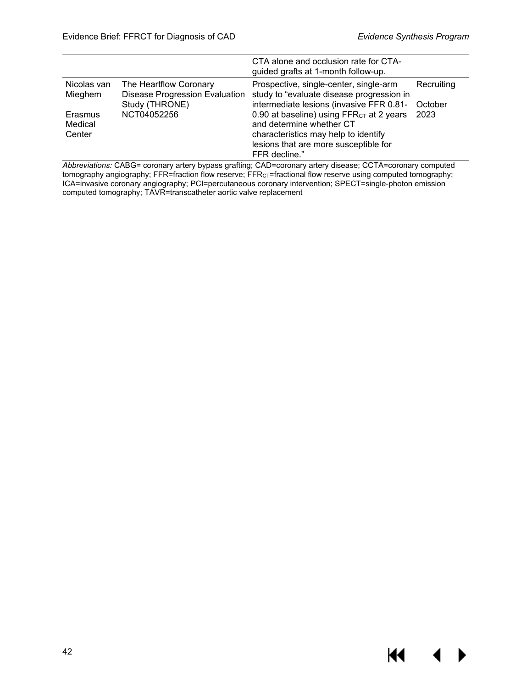**KK 4** 

|                              |                                                                                   | CTA alone and occlusion rate for CTA-<br>guided grafts at 1-month follow-up.                                                                                                       |                       |
|------------------------------|-----------------------------------------------------------------------------------|------------------------------------------------------------------------------------------------------------------------------------------------------------------------------------|-----------------------|
| Nicolas van<br>Mieghem       | The Heartflow Coronary<br><b>Disease Progression Evaluation</b><br>Study (THRONE) | Prospective, single-center, single-arm<br>study to "evaluate disease progression in<br>intermediate lesions (invasive FFR 0.81-                                                    | Recruiting<br>October |
| Erasmus<br>Medical<br>Center | NCT04052256                                                                       | 0.90 at baseline) using FFR <sub>CT</sub> at 2 years<br>and determine whether CT<br>characteristics may help to identify<br>lesions that are more susceptible for<br>FFR decline." | 2023                  |

*Abbreviations:* CABG= coronary artery bypass grafting; CAD=coronary artery disease; CCTA=coronary computed tomography angiography; FFR=fraction flow reserve; FFR $\rm{cr}$ =fractional flow reserve using computed tomography; ICA=invasive coronary angiography; PCI=percutaneous coronary intervention; SPECT=single-photon emission computed tomography; TAVR=transcatheter aortic valve replacement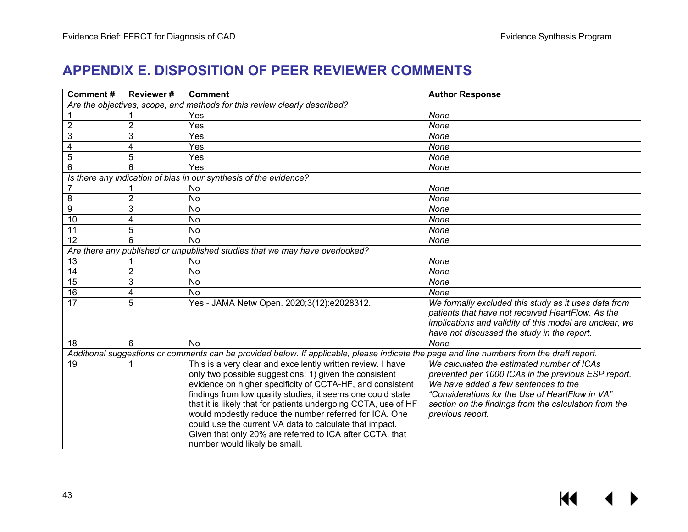## **APPENDIX E. DISPOSITION OF PEER REVIEWER COMMENTS**

<span id="page-44-0"></span>

| Comment#                                                                                                                                  | <b>Reviewer#</b>      | <b>Comment</b>                                                 | <b>Author Response</b>                                                                                    |  |  |
|-------------------------------------------------------------------------------------------------------------------------------------------|-----------------------|----------------------------------------------------------------|-----------------------------------------------------------------------------------------------------------|--|--|
| Are the objectives, scope, and methods for this review clearly described?                                                                 |                       |                                                                |                                                                                                           |  |  |
|                                                                                                                                           |                       | Yes                                                            | None                                                                                                      |  |  |
| $\overline{2}$                                                                                                                            | $\overline{2}$        | Yes                                                            | None                                                                                                      |  |  |
| 3                                                                                                                                         | 3                     | Yes                                                            | None                                                                                                      |  |  |
| $\overline{4}$                                                                                                                            | 4                     | Yes                                                            | None                                                                                                      |  |  |
| $\overline{5}$                                                                                                                            | 5                     | Yes                                                            | None                                                                                                      |  |  |
| 6                                                                                                                                         | ĥ                     | Yes                                                            | None                                                                                                      |  |  |
| Is there any indication of bias in our synthesis of the evidence?                                                                         |                       |                                                                |                                                                                                           |  |  |
|                                                                                                                                           |                       | <b>No</b>                                                      | None                                                                                                      |  |  |
| 8                                                                                                                                         | $\overline{2}$        | No                                                             | None                                                                                                      |  |  |
| 9                                                                                                                                         | 3                     | No                                                             | None                                                                                                      |  |  |
| $\overline{10}$                                                                                                                           | 4                     | No                                                             | None                                                                                                      |  |  |
| 11                                                                                                                                        | 5                     | No                                                             | None                                                                                                      |  |  |
| 12                                                                                                                                        | հ                     | <b>No</b>                                                      | None                                                                                                      |  |  |
| Are there any published or unpublished studies that we may have overlooked?                                                               |                       |                                                                |                                                                                                           |  |  |
| 13                                                                                                                                        |                       | No                                                             | None                                                                                                      |  |  |
| 14                                                                                                                                        | $\overline{c}$        | <b>No</b>                                                      | None                                                                                                      |  |  |
| 15                                                                                                                                        | 3                     | No                                                             | None                                                                                                      |  |  |
| $\overline{16}$                                                                                                                           | 4                     | No                                                             | None                                                                                                      |  |  |
| $\overline{17}$                                                                                                                           | 5                     | Yes - JAMA Netw Open. 2020;3(12):e2028312.                     | We formally excluded this study as it uses data from<br>patients that have not received HeartFlow. As the |  |  |
|                                                                                                                                           |                       |                                                                | implications and validity of this model are unclear, we<br>have not discussed the study in the report.    |  |  |
| 18                                                                                                                                        | $\boldsymbol{\kappa}$ | <b>No</b>                                                      | None                                                                                                      |  |  |
| Additional suggestions or comments can be provided below. If applicable, please indicate the page and line numbers from the draft report. |                       |                                                                |                                                                                                           |  |  |
| 19                                                                                                                                        |                       | This is a very clear and excellently written review. I have    | We calculated the estimated number of ICAs                                                                |  |  |
|                                                                                                                                           |                       | only two possible suggestions: 1) given the consistent         | prevented per 1000 ICAs in the previous ESP report.                                                       |  |  |
|                                                                                                                                           |                       | evidence on higher specificity of CCTA-HF, and consistent      | We have added a few sentences to the                                                                      |  |  |
|                                                                                                                                           |                       | findings from low quality studies, it seems one could state    | "Considerations for the Use of HeartFlow in VA"                                                           |  |  |
|                                                                                                                                           |                       | that it is likely that for patients undergoing CCTA, use of HF | section on the findings from the calculation from the                                                     |  |  |
|                                                                                                                                           |                       | would modestly reduce the number referred for ICA. One         | previous report.                                                                                          |  |  |
|                                                                                                                                           |                       | could use the current VA data to calculate that impact.        |                                                                                                           |  |  |
|                                                                                                                                           |                       | Given that only 20% are referred to ICA after CCTA, that       |                                                                                                           |  |  |
|                                                                                                                                           |                       | number would likely be small.                                  |                                                                                                           |  |  |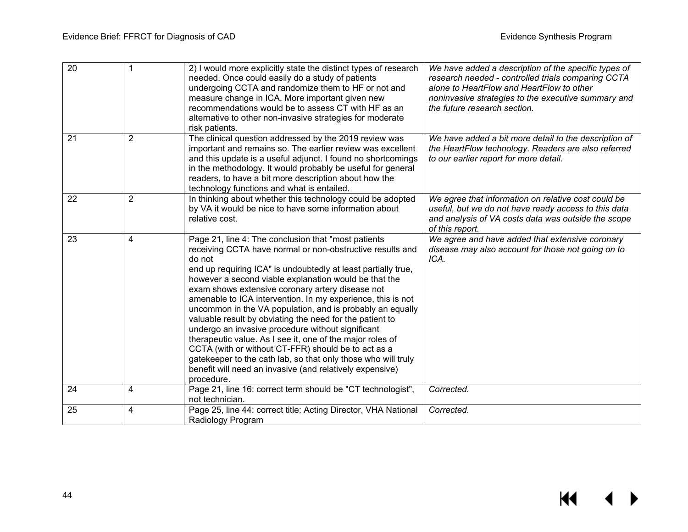$M \rightarrow$ 

| $\overline{20}$ | $\mathbf 1$    | 2) I would more explicitly state the distinct types of research<br>needed. Once could easily do a study of patients<br>undergoing CCTA and randomize them to HF or not and<br>measure change in ICA. More important given new<br>recommendations would be to assess CT with HF as an<br>alternative to other non-invasive strategies for moderate<br>risk patients.                                                                                                                                                                                                                                                                                                                                                                                                                                                  | We have added a description of the specific types of<br>research needed - controlled trials comparing CCTA<br>alone to HeartFlow and HeartFlow to other<br>noninvasive strategies to the executive summary and<br>the future research section. |
|-----------------|----------------|----------------------------------------------------------------------------------------------------------------------------------------------------------------------------------------------------------------------------------------------------------------------------------------------------------------------------------------------------------------------------------------------------------------------------------------------------------------------------------------------------------------------------------------------------------------------------------------------------------------------------------------------------------------------------------------------------------------------------------------------------------------------------------------------------------------------|------------------------------------------------------------------------------------------------------------------------------------------------------------------------------------------------------------------------------------------------|
| 21              | $\overline{2}$ | The clinical question addressed by the 2019 review was<br>important and remains so. The earlier review was excellent<br>and this update is a useful adjunct. I found no shortcomings<br>in the methodology. It would probably be useful for general<br>readers, to have a bit more description about how the<br>technology functions and what is entailed.                                                                                                                                                                                                                                                                                                                                                                                                                                                           | We have added a bit more detail to the description of<br>the HeartFlow technology. Readers are also referred<br>to our earlier report for more detail.                                                                                         |
| 22              | $\overline{2}$ | In thinking about whether this technology could be adopted<br>by VA it would be nice to have some information about<br>relative cost.                                                                                                                                                                                                                                                                                                                                                                                                                                                                                                                                                                                                                                                                                | We agree that information on relative cost could be<br>useful, but we do not have ready access to this data<br>and analysis of VA costs data was outside the scope<br>of this report.                                                          |
| 23              | $\overline{4}$ | Page 21, line 4: The conclusion that "most patients<br>receiving CCTA have normal or non-obstructive results and<br>do not<br>end up requiring ICA" is undoubtedly at least partially true,<br>however a second viable explanation would be that the<br>exam shows extensive coronary artery disease not<br>amenable to ICA intervention. In my experience, this is not<br>uncommon in the VA population, and is probably an equally<br>valuable result by obviating the need for the patient to<br>undergo an invasive procedure without significant<br>therapeutic value. As I see it, one of the major roles of<br>CCTA (with or without CT-FFR) should be to act as a<br>gatekeeper to the cath lab, so that only those who will truly<br>benefit will need an invasive (and relatively expensive)<br>procedure. | We agree and have added that extensive coronary<br>disease may also account for those not going on to<br>ICA.                                                                                                                                  |
| 24              | $\overline{4}$ | Page 21, line 16: correct term should be "CT technologist",<br>not technician.                                                                                                                                                                                                                                                                                                                                                                                                                                                                                                                                                                                                                                                                                                                                       | Corrected.                                                                                                                                                                                                                                     |
| 25              | 4              | Page 25, line 44: correct title: Acting Director, VHA National<br>Radiology Program                                                                                                                                                                                                                                                                                                                                                                                                                                                                                                                                                                                                                                                                                                                                  | Corrected.                                                                                                                                                                                                                                     |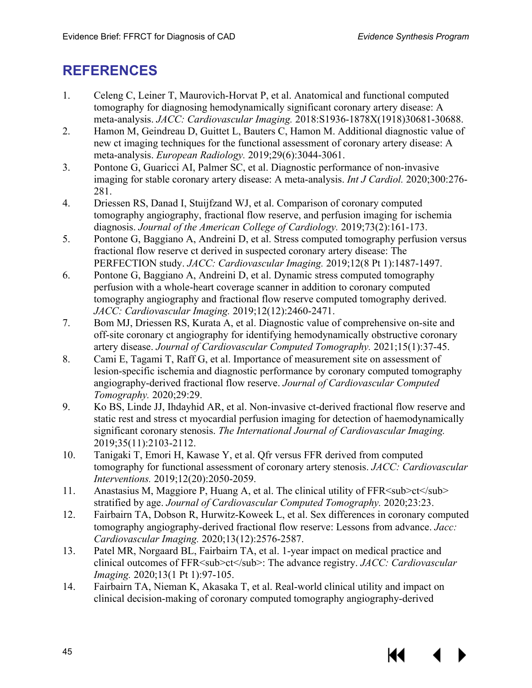## <span id="page-46-5"></span><span id="page-46-4"></span><span id="page-46-3"></span><span id="page-46-2"></span><span id="page-46-1"></span><span id="page-46-0"></span>**REFERENCES**

- 1. Celeng C, Leiner T, Maurovich-Horvat P, et al. Anatomical and functional computed tomography for diagnosing hemodynamically significant coronary artery disease: A meta-analysis. *JACC: Cardiovascular Imaging.* 2018:S1936-1878X(1918)30681-30688.
- <span id="page-46-6"></span>2. Hamon M, Geindreau D, Guittet L, Bauters C, Hamon M. Additional diagnostic value of new ct imaging techniques for the functional assessment of coronary artery disease: A meta-analysis. *European Radiology.* 2019;29(6):3044-3061.
- <span id="page-46-7"></span>3. Pontone G, Guaricci AI, Palmer SC, et al. Diagnostic performance of non-invasive imaging for stable coronary artery disease: A meta-analysis. *Int J Cardiol.* 2020;300:276- 281.
- <span id="page-46-8"></span>4. Driessen RS, Danad I, Stuijfzand WJ, et al. Comparison of coronary computed tomography angiography, fractional flow reserve, and perfusion imaging for ischemia diagnosis. *Journal of the American College of Cardiology.* 2019;73(2):161-173.
- <span id="page-46-9"></span>5. Pontone G, Baggiano A, Andreini D, et al. Stress computed tomography perfusion versus fractional flow reserve ct derived in suspected coronary artery disease: The PERFECTION study. *JACC: Cardiovascular Imaging.* 2019;12(8 Pt 1):1487-1497.
- <span id="page-46-10"></span>6. Pontone G, Baggiano A, Andreini D, et al. Dynamic stress computed tomography perfusion with a whole-heart coverage scanner in addition to coronary computed tomography angiography and fractional flow reserve computed tomography derived. *JACC: Cardiovascular Imaging.* 2019;12(12):2460-2471.
- <span id="page-46-11"></span>7. Bom MJ, Driessen RS, Kurata A, et al. Diagnostic value of comprehensive on-site and off-site coronary ct angiography for identifying hemodynamically obstructive coronary artery disease. *Journal of Cardiovascular Computed Tomography.* 2021;15(1):37-45.
- <span id="page-46-12"></span>8. Cami E, Tagami T, Raff G, et al. Importance of measurement site on assessment of lesion-specific ischemia and diagnostic performance by coronary computed tomography angiography-derived fractional flow reserve. *Journal of Cardiovascular Computed Tomography.* 2020;29:29.
- <span id="page-46-14"></span><span id="page-46-13"></span>9. Ko BS, Linde JJ, Ihdayhid AR, et al. Non-invasive ct-derived fractional flow reserve and static rest and stress ct myocardial perfusion imaging for detection of haemodynamically significant coronary stenosis. *The International Journal of Cardiovascular Imaging.*  2019;35(11):2103-2112.
- 10. Tanigaki T, Emori H, Kawase Y, et al. Qfr versus FFR derived from computed tomography for functional assessment of coronary artery stenosis. *JACC: Cardiovascular Interventions.* 2019;12(20):2050-2059.
- 11. Anastasius M, Maggiore P, Huang A, et al. The clinical utility of FFR  $\leq$ sub $\geq$ ct $\leq$ /sub $\geq$ stratified by age. *Journal of Cardiovascular Computed Tomography.* 2020;23:23.
- 12. Fairbairn TA, Dobson R, Hurwitz-Koweek L, et al. Sex differences in coronary computed tomography angiography-derived fractional flow reserve: Lessons from advance. *Jacc: Cardiovascular Imaging.* 2020;13(12):2576-2587.
- 13. Patel MR, Norgaard BL, Fairbairn TA, et al. 1-year impact on medical practice and clinical outcomes of FFR<sub>ct</sub>: The advance registry. *JACC: Cardiovascular Imaging.* 2020;13(1 Pt 1):97-105.
- 14. Fairbairn TA, Nieman K, Akasaka T, et al. Real-world clinical utility and impact on clinical decision-making of coronary computed tomography angiography-derived

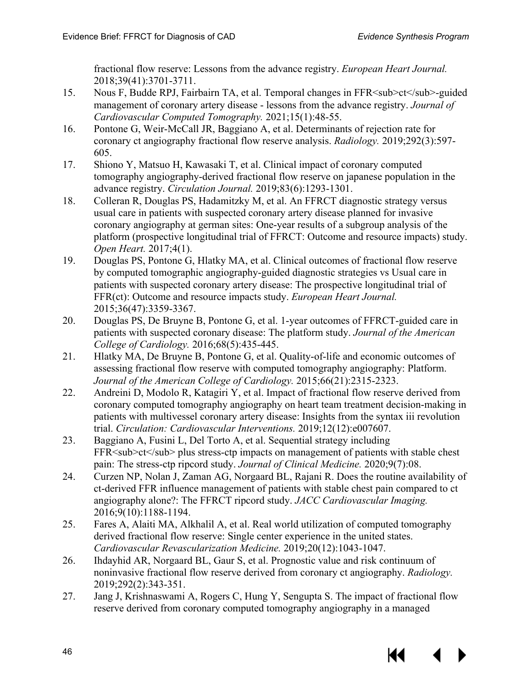<span id="page-47-3"></span><span id="page-47-2"></span><span id="page-47-1"></span><span id="page-47-0"></span>fractional flow reserve: Lessons from the advance registry. *European Heart Journal.*  2018;39(41):3701-3711.

- <span id="page-47-4"></span>15. Nous F, Budde RPJ, Fairbairn TA, et al. Temporal changes in FFR<sub>ct</sub>-guided management of coronary artery disease - lessons from the advance registry. *Journal of Cardiovascular Computed Tomography.* 2021;15(1):48-55.
- 16. Pontone G, Weir-McCall JR, Baggiano A, et al. Determinants of rejection rate for coronary ct angiography fractional flow reserve analysis. *Radiology.* 2019;292(3):597- 605.
- <span id="page-47-5"></span>17. Shiono Y, Matsuo H, Kawasaki T, et al. Clinical impact of coronary computed tomography angiography-derived fractional flow reserve on japanese population in the advance registry. *Circulation Journal.* 2019;83(6):1293-1301.
- <span id="page-47-6"></span>18. Colleran R, Douglas PS, Hadamitzky M, et al. An FFRCT diagnostic strategy versus usual care in patients with suspected coronary artery disease planned for invasive coronary angiography at german sites: One-year results of a subgroup analysis of the platform (prospective longitudinal trial of FFRCT: Outcome and resource impacts) study. *Open Heart.* 2017;4(1).
- <span id="page-47-8"></span><span id="page-47-7"></span>19. Douglas PS, Pontone G, Hlatky MA, et al. Clinical outcomes of fractional flow reserve by computed tomographic angiography-guided diagnostic strategies vs Usual care in patients with suspected coronary artery disease: The prospective longitudinal trial of FFR(ct): Outcome and resource impacts study. *European Heart Journal.*  2015;36(47):3359-3367.
- <span id="page-47-9"></span>20. Douglas PS, De Bruyne B, Pontone G, et al. 1-year outcomes of FFRCT-guided care in patients with suspected coronary disease: The platform study. *Journal of the American College of Cardiology.* 2016;68(5):435-445.
- <span id="page-47-10"></span>21. Hlatky MA, De Bruyne B, Pontone G, et al. Quality-of-life and economic outcomes of assessing fractional flow reserve with computed tomography angiography: Platform. *Journal of the American College of Cardiology.* 2015;66(21):2315-2323.
- <span id="page-47-11"></span>22. Andreini D, Modolo R, Katagiri Y, et al. Impact of fractional flow reserve derived from coronary computed tomography angiography on heart team treatment decision-making in patients with multivessel coronary artery disease: Insights from the syntax iii revolution trial. *Circulation: Cardiovascular Interventions.* 2019;12(12):e007607.
- <span id="page-47-12"></span>23. Baggiano A, Fusini L, Del Torto A, et al. Sequential strategy including FFR<sub>ct</sub> plus stress-ctp impacts on management of patients with stable chest pain: The stress-ctp ripcord study. *Journal of Clinical Medicine.* 2020;9(7):08.
- 24. Curzen NP, Nolan J, Zaman AG, Norgaard BL, Rajani R. Does the routine availability of ct-derived FFR influence management of patients with stable chest pain compared to ct angiography alone?: The FFRCT ripcord study. *JACC Cardiovascular Imaging.*  2016;9(10):1188-1194.
- 25. Fares A, Alaiti MA, Alkhalil A, et al. Real world utilization of computed tomography derived fractional flow reserve: Single center experience in the united states. *Cardiovascular Revascularization Medicine.* 2019;20(12):1043-1047.
- 26. Ihdayhid AR, Norgaard BL, Gaur S, et al. Prognostic value and risk continuum of noninvasive fractional flow reserve derived from coronary ct angiography. *Radiology.*  2019;292(2):343-351.
- 27. Jang J, Krishnaswami A, Rogers C, Hung Y, Sengupta S. The impact of fractional flow reserve derived from coronary computed tomography angiography in a managed